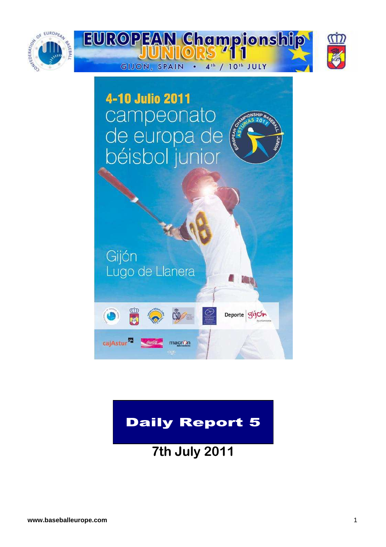



# Daily Report 5

**7th July 2011**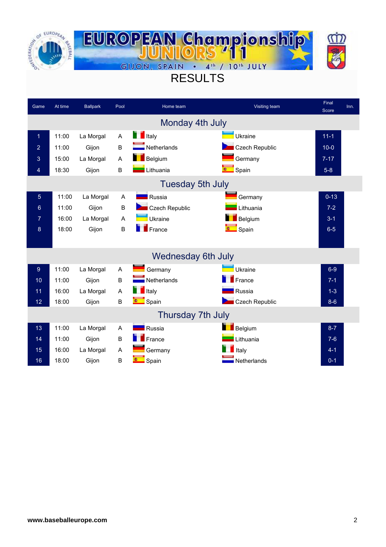



# RESULTS

| Game           | At time | <b>Ballpark</b> | Pool    | Home team                 | Visiting team           | Final<br><b>Score</b> | Inn. |
|----------------|---------|-----------------|---------|---------------------------|-------------------------|-----------------------|------|
|                |         |                 |         | Monday 4th July           |                         |                       |      |
| $\overline{1}$ | 11:00   | La Morgal       | A       | <b>T</b> Italy            | Ukraine                 | $11-1$                |      |
| $\overline{2}$ | 11:00   | Gijon           | B       | Netherlands               | <b>Czech Republic</b>   | $10-0$                |      |
| 3              | 15:00   | La Morgal       | A       | <b>Belgium</b>            | Germany                 | $7 - 17$              |      |
| 4              | 18:30   | Gijon           | B       | Lithuania                 | 0 <sup>1</sup><br>Spain | $5-8$                 |      |
|                |         |                 |         | <b>Tuesday 5th July</b>   |                         |                       |      |
| $\overline{5}$ | 11:00   | La Morgal       | A       | <b>Russia</b>             | Germany                 | $0 - 13$              |      |
| 6              | 11:00   | Gijon           | $\sf B$ | <b>Czech Republic</b>     | Lithuania               | $7-2$                 |      |
| 7              | 16:00   | La Morgal       | A       | Ukraine                   | Belgium                 | $3 - 1$               |      |
| 8              | 18:00   | Gijon           | B       | France                    | <b>Company</b> Spain    | $6-5$                 |      |
|                |         |                 |         |                           |                         |                       |      |
|                |         |                 |         | <b>Wednesday 6th July</b> |                         |                       |      |
| 9              | 11:00   | La Morgal       | A       | Germany                   | Ukraine                 | $6-9$                 |      |
| 10             | 11:00   | Gijon           | B       | Netherlands               | $\blacksquare$ France   | $7 - 1$               |      |
| 11             | 16:00   | La Morgal       | A       | $\blacksquare$ Italy      | Russia                  | $1 - 3$               |      |
| 12             | 18:00   | Gijon           | B       | <b>E</b> Spain            | <b>Czech Republic</b>   | $8-6$                 |      |
|                |         |                 |         | Thursday 7th July         |                         |                       |      |
| 13             | 11:00   | La Morgal       | A       | <b>NATION</b> Russia      | Belgium                 | $8 - 7$               |      |
| 14             | 11:00   | Gijon           | B       | $F$ France                | Lithuania               | $7-6$                 |      |
| 15             | 16:00   | La Morgal       | A       | Germany                   | Italy                   | $4 - 1$               |      |
| 16             | 18:00   | Gijon           | B       | <b>Company</b> Spain      | Netherlands             | $0 - 1$               |      |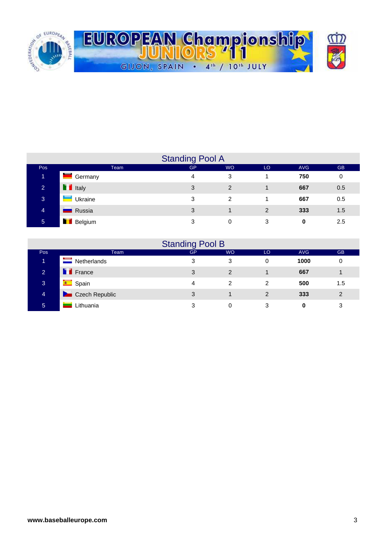

|                 |                           | <b>Standing Pool A</b> |           |     |            |           |
|-----------------|---------------------------|------------------------|-----------|-----|------------|-----------|
| Pos             | <b>Team</b>               | <b>GP</b>              | <b>WO</b> | LO. | <b>AVG</b> | <b>GB</b> |
| 1               | Ø<br>Germany              | 4                      | 3         |     | 750        | 0         |
| $\overline{2}$  | $\blacksquare$ Italy      | 3                      | 2         |     | 667        | 0.5       |
| 3               | $\blacksquare$<br>Ukraine | 3                      | 2         |     | 667        | 0.5       |
| $\overline{4}$  | Russia                    | 3                      |           | 2   | 333        | 1.5       |
| $5\phantom{.0}$ | <b>Belgium</b>            | 3                      | 0         | 3   | 0          | 2.5       |

|                |                      | <b>Standing Pool B</b> |           |               |            |                |
|----------------|----------------------|------------------------|-----------|---------------|------------|----------------|
| Pos            | Team                 | <b>GP</b>              | <b>WO</b> | LO            | <b>AVG</b> | <b>GB</b>      |
| 4              | Netherlands          | 3                      | 3         | 0             | 1000       | 0              |
| $\overline{2}$ | <b>T</b> France      | 3                      | 2         |               | 667        |                |
| 3              | <b>Compact Spain</b> | 4                      | 2         | 2             | 500        | 1.5            |
| 4              | Czech Republic       | 3                      |           | $\mathcal{P}$ | 333        | $\overline{2}$ |
| 5              | Lithuania            | 3                      | 0         | 3             | 0          | 3              |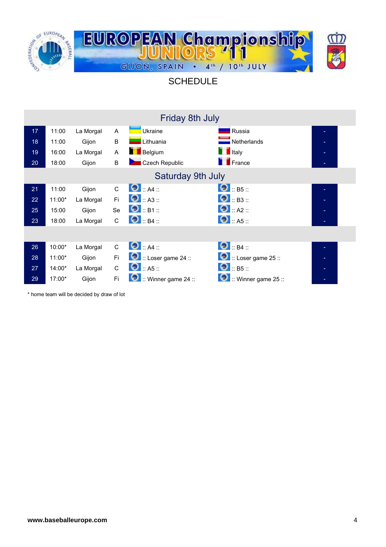

#### **SCHEDULE**

|                 |          |           |              | Friday 8th July                     |                              |  |
|-----------------|----------|-----------|--------------|-------------------------------------|------------------------------|--|
| 17 <sub>2</sub> | 11:00    | La Morgal | $\mathsf{A}$ | Ukraine                             | Russia                       |  |
| 18              | 11:00    | Gijon     | B            | Lithuania                           | Netherlands                  |  |
| 19              | 16:00    | La Morgal | A            | <b>Belgium</b>                      | $\blacksquare$ Italy         |  |
| 20              | 18:00    | Gijon     | $\sf B$      | Czech Republic                      | <b>France</b>                |  |
|                 |          |           |              | Saturday 9th July                   |                              |  |
| 21              | 11:00    | Gijon     | $\mathsf{C}$ | $\bullet$ :: A4 ::                  | $\bullet$ :: B5 ::           |  |
| 22              | $11:00*$ | La Morgal | Fi.          | $\bullet$ : A3 ::                   | $\bigcirc$ :: B3 ::          |  |
| 25              | 15:00    | Gijon     | Se           | $\Theta$ :: B1 ::                   | $\bigcirc$ :: A2 ::          |  |
| 23              | 18:00    | La Morgal | C            | $\bigcirc$ :: B4 ::                 | $\bigcirc$ :: A5 ::          |  |
|                 |          |           |              |                                     |                              |  |
| 26              | 10:00*   | La Morgal | $\mathsf{C}$ | $\bullet$ :: A4 ::                  | $\bigcirc$ : B4 ::           |  |
| 28              | $11:00*$ | Gijon     | Fi           | $\bullet$ :: Loser game 24 ::       | <b>D</b> :: Loser game 25 :: |  |
| 27              | 14:00*   | La Morgal | C            | $\bullet$ :: A5 ::                  | $\bullet$ :: B5 ::           |  |
| 29              | 17:00*   | Gijon     | Fi           | $\blacksquare$ :: Winner game 24 :: | $\cdot$ : Winner game 25 ::  |  |

\* home team will be decided by draw of lot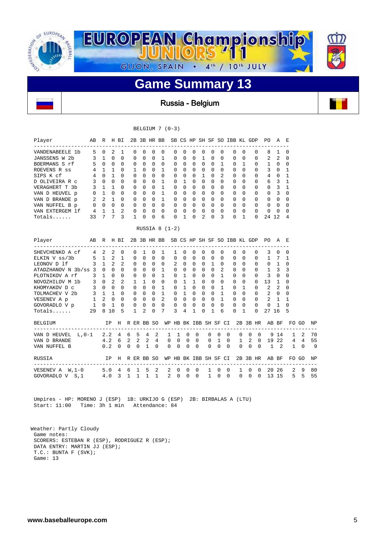

Russia - Belgium

#### BELGIUM 7 (0-3)

| Player          | AВ       | R              | Н        | ВI             | 2B       | 3B           | HR       | BB       |          | SB CS    | HP           | SH SF         |          | SO.          | IBB          |              | KL GDP       | PΟ           | A             | E        |
|-----------------|----------|----------------|----------|----------------|----------|--------------|----------|----------|----------|----------|--------------|---------------|----------|--------------|--------------|--------------|--------------|--------------|---------------|----------|
| VANDENABEELE 1b | .5       | $\Omega$       | 2        |                | 0        | $\Omega$     | $\Omega$ | $\Omega$ | $\Omega$ | $\Omega$ | $\Omega$     | 0             | $\Omega$ | <sup>0</sup> | <sup>0</sup> | $\Omega$     | $\Omega$     | 8            | $\mathbf{1}$  | $\Omega$ |
| JANSSENS W 2b   |          | 1              | $\Omega$ | $\Omega$       | $\Omega$ | $\Omega$     | $\Omega$ |          | $\Omega$ | $\Omega$ | $\Omega$     |               | $\Omega$ | <sup>0</sup> | $\Omega$     | $\Omega$     | $\Omega$     | 2            | 2             | $\Omega$ |
| BOERMANS S rf   | Б.       | <sup>0</sup>   | $\Omega$ | $\Omega$       | $\Omega$ | $\Omega$     | $\Omega$ | $\Omega$ | $\Omega$ | $\Omega$ | $\Omega$     | 0             | $\Omega$ |              | $\Omega$     |              | $\Omega$     |              | $\Omega$      | $\Omega$ |
| ROEVENS R ss    | 4        |                |          | $\Omega$       |          | $\cap$       | $\Omega$ | 1        | $\Omega$ | $\Omega$ | $\Omega$     | $\Omega$      | $\Omega$ | 0            | $\Omega$     | <sup>0</sup> | $\Omega$     | 3            | $\Omega$      |          |
| SIPS K cf       | 4        | <sup>0</sup>   |          | $\Omega$       | $\Omega$ | $\Omega$     | $\Omega$ | $\Omega$ | $\Omega$ | $\Omega$ | $\Omega$     |               | $\Omega$ | 2            | $\Omega$     | $\Omega$     | $\Omega$     | 4            | $\Omega$      |          |
| D OLIVEIRA R C  | 3        | $\Omega$       | $\Omega$ | $\Omega$       | $\Omega$ | $\Omega$     | $\Omega$ | 1        | $\Omega$ |          | <sup>0</sup> | $\Omega$      | $\Omega$ | <sup>0</sup> | $\Omega$     | $\Omega$     | $\Omega$     | 6            | ς             |          |
| VERAGHERT T 3b  | 3        | 1              |          | $\Omega$       | $\Omega$ | $\Omega$     | $\Omega$ | 1        | $\Omega$ | $\Omega$ | $\Omega$     | $\Omega$      | $\Omega$ | <sup>0</sup> | $\Omega$     | <sup>0</sup> | $\Omega$     | <sup>0</sup> | २             |          |
| VAN D HEUVEL p  | 0        |                | $\Omega$ | $\Omega$       | $\Omega$ | $\Omega$     | $\Omega$ |          | $\Omega$ | $\Omega$ | $\Omega$     | $\Omega$      | $\Omega$ | <sup>0</sup> | $\Omega$     | <sup>0</sup> | $\Omega$     | $\Omega$     | $\mathcal{L}$ | $\cap$   |
| VAN D BRANDE p  | 2        | $\mathfrak{D}$ |          | $\Omega$       | $\Omega$ | $\cap$       | $\Omega$ | 1        | $\Omega$ | $\cap$   | <sup>0</sup> | $\Omega$      | $\Omega$ | <sup>n</sup> | $\Omega$     | U            | $\Omega$     | <sup>0</sup> | $\cap$        | $\cap$   |
| VAN NUFFEL B p  | $\Omega$ | $\Omega$       | $\Omega$ | $\Omega$       | $\Omega$ | $\Omega$     | $\Omega$ | $\Omega$ | $\Omega$ | $\Omega$ | <sup>0</sup> | $\Omega$      | $\Omega$ | <sup>0</sup> | $\Omega$     | <sup>0</sup> | $\Omega$     | $\Omega$     | $\Omega$      | $\Omega$ |
| VAN EXTERGEM 1f | 4        |                |          | $\mathfrak{D}$ | $\Omega$ | $\Omega$     | $\Omega$ | $\Omega$ | $\Omega$ | $\Omega$ | $\Omega$     | $\Omega$      | $\Omega$ | $\Omega$     | $\Omega$     | $\Omega$     | $\Omega$     | $\Omega$     | $\Omega$      | $\cap$   |
| $Totals$        | 33       |                |          | २              |          | <sup>n</sup> | $\cap$   | 6        | $\cap$   |          | U            | $\mathcal{L}$ | ∩        | ς            | U            |              | <sup>0</sup> | 24           | 12            | 4        |

RUSSIA 8 (1-2)

| Player                | AВ           | R            |                | H BI         |          |              | 2B 3B HR BB |          |                |                |          |          |              | SB CS HP SH SF SO IBB KL GDP |              |              |              |              |          |              | PO.            | A            | E            |          |    |
|-----------------------|--------------|--------------|----------------|--------------|----------|--------------|-------------|----------|----------------|----------------|----------|----------|--------------|------------------------------|--------------|--------------|--------------|--------------|----------|--------------|----------------|--------------|--------------|----------|----|
| SHEVCHENKO A cf       | 4            | 2            | 2              | 0            |          | $\Omega$     |             | 0        | -1             |                | 0        | $\Omega$ | $\Omega$     | $\Omega$                     | $\Omega$     |              | $\Omega$     | $\Omega$     |          | $\Omega$     | 3              | 0            | 0            |          |    |
| ELKIN V ss/3b         | 5            | 1            | $\overline{a}$ | 1            |          | $\Omega$     | $\Omega$    | 0        | $\Omega$       | $\Omega$       | 0        | $\Omega$ | $\Omega$     | $\Omega$                     | $\Omega$     |              | $\Omega$     | $\Omega$     |          | $\Omega$     | 1              | 7            | 1            |          |    |
| LEONOV D 1f           | 3            | 1            | $\overline{2}$ | $\mathbf{2}$ |          | $\Omega$     | $\Omega$    | 0        | $\Omega$       | $\overline{a}$ | 0        | $\Omega$ | $\Omega$     | 1                            | $\Omega$     |              | 0            | $\Omega$     |          | $\Omega$     | 0              | 1            | $\Omega$     |          |    |
| ATADZHANOV N 3b/ss 3  |              | $\Omega$     | $\Omega$       | 0            |          | $\Omega$     | $\Omega$    | $\Omega$ | -1.            | $\Omega$       | 0        | $\Omega$ | $\Omega$     | $\Omega$                     |              | 2            | $\Omega$     | $\Omega$     |          | $\Omega$     | $\mathbf{1}$   | 3            | 3            |          |    |
| PLOTNIKOV A rf        | 3            | 1            | $\Omega$       | 0            |          | <sup>0</sup> | $\Omega$    | 0        | 1              | $\Omega$       | 1        | $\Omega$ | 0            | $\Omega$                     |              | 1            | <sup>0</sup> | $\Omega$     |          | $\Omega$     | 3              | 0            | $\Omega$     |          |    |
| NOVOZHILOV M 1b       | 3            | $\Omega$     | $\overline{2}$ | 2            |          | 1            | 1.          | 0        | $\Omega$       | $\Omega$       |          | 1.       | <sup>0</sup> | $\Omega$                     |              | <sup>0</sup> | $\Omega$     | $\Omega$     |          | $\Omega$     | 13             |              | 0            |          |    |
| KHOMYAKOV D C         | 3            | $\Omega$     | $\Omega$       | 0            |          | $\Omega$     | $\Omega$    | 0        |                | $\Omega$       |          | $\Omega$ | $\Omega$     | $\Omega$                     | 1            |              | 0            | 1            |          | $\Omega$     | $\mathbf{2}$   | 2            | $\Omega$     |          |    |
| TOLMACHEV V 2b        | 3            | $\mathbf{1}$ | 1              | 0            |          | $\Omega$     | $\Omega$    | $\Omega$ | 1              | $\Omega$       | 1.       | $\Omega$ | $\Omega$     | $\Omega$                     | -1           |              | $\Omega$     | $\Omega$     |          | $\Omega$     | $\overline{a}$ | <sup>0</sup> | $\Omega$     |          |    |
| VESENEV A p           | $\mathbf{1}$ | 2            | $\Omega$       | 0            |          | $\Omega$     | $\Omega$    | 0        | 2              | $\Omega$       | 0        | $\Omega$ | $\Omega$     | $\Omega$                     | 1            |              | $\Omega$     | $\Omega$     |          | $\Omega$     | 2              | 1            | 1            |          |    |
| GOVORADLO V p         | 1            | $\Omega$     | 1              | 0            |          | $\Omega$     | $\Omega$    | 0        | $\Omega$       | $\Omega$       | $\Omega$ | $\Omega$ | $\Omega$     | $\Omega$                     | $\Omega$     |              | $\Omega$     | $\Omega$     |          | $\Omega$     | <sup>0</sup>   |              | $\Omega$     |          |    |
| $Totals$              | 29           | 8            | 10             | 5            |          | 1            | 2           | $\Omega$ | 7              | ζ              | 4        | 1        | <sup>0</sup> | 1                            | 6            |              | 0            | 1            |          | <sup>0</sup> | 27             | 16           | 5            |          |    |
| <b>BELGIUM</b>        |              |              | ΙP             | H            |          |              | R ER BB SO  |          | WP             | HB             |          |          |              | BK IBB SH SF CI              |              |              |              | $2B$ $3B$    |          | HR           |                | AB BF        | FO.          | GO       | NP |
| VAN D HEUVEL<br>L,0-1 |              | 2.2          |                | 4            | 6        | 5            | 4           | 2        | 1              | $\mathbf{1}$   | $\Omega$ |          | $\Omega$     | $\Omega$                     | $\Omega$     | $\Omega$     |              | <sup>0</sup> | $\Omega$ | $\Omega$     | 9              | 14           | $\mathbf{1}$ | 2        | 70 |
| VAN D BRANDE          |              | 4.2          |                | -6           | 2        | 2            | 2           | 4        | $\Omega$       | $\Omega$       | $\Omega$ |          | $\Omega$     | $\Omega$                     | $\mathbf{1}$ | $\Omega$     |              | $\mathbf{1}$ | 2        | $\Omega$     | 19             | 2.2          | 4            | 4        | 55 |
| VAN NUFFEL B          |              | 0.2          |                | $\Omega$     | $\Omega$ | 0            | 1           | $\Omega$ | $\Omega$       | $\Omega$       | $\Omega$ | $\Omega$ |              | $\Omega$                     | $\Omega$     | $\Omega$     |              | $\Omega$     | 0        | $\Omega$     | 1.             | 2            | 1            | $\Omega$ | 9  |
| RUSSIA                |              |              | ΙP             | H            | R        |              | ER BB SO    |          | WP             | HB             |          | BK IBB   |              | SH SF CI                     |              |              |              | 2B           | 3B       | HR           | AB.            | BF           | FO.          | GO       | NP |
| W,1-0<br>VESENEV A    |              | 5.0          |                | 4            | 6        | 1            | 5           | 2        | 2              | $\Omega$       | $\Omega$ |          |              | 1                            | $\Omega$     | $\Omega$     |              | 1            | $\Omega$ | $\Omega$     | 20             | 26           | 2            | 9        | 80 |
| GOVORADLO V S, 1      |              | 4.0          |                | 3            | 1        |              |             |          | $\mathfrak{D}$ | 0              | $\Omega$ | $\Omega$ |              | 1                            | $\Omega$     | $\Omega$     |              | $\Omega$     | 0        | $\Omega$     | 13             | 15           | 5            | .5       | 55 |

 Umpires - HP: MORENO J (ESP) 1B: URKIJO G (ESP) 2B: BIRBALAS A (LTU) Start: 11:00 Time: 3h 1 min Attendance: 84

```
 Weather: Partly Cloudy 
Game notes: 
SCORERS: ESTEBAN R (ESP), RODRIGUEZ R (ESP); 
DATA ENTRY: MARTIN JJ (ESP); 
T.C.: BUNTA F (SVK); 
Game: 13
```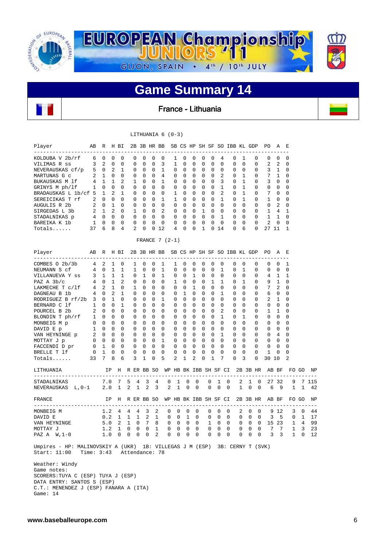

# **Game Summary 14**

France - Lithuania

|                                                                                                                      |              |                          |              |                               |      |              | LITHUANIA $6(0-3)$ |             |              |                |              |                |                                          |                |                |                |                 |                |                |                |                |                  |    |          |             |       |
|----------------------------------------------------------------------------------------------------------------------|--------------|--------------------------|--------------|-------------------------------|------|--------------|--------------------|-------------|--------------|----------------|--------------|----------------|------------------------------------------|----------------|----------------|----------------|-----------------|----------------|----------------|----------------|----------------|------------------|----|----------|-------------|-------|
| Player<br>--------                                                                                                   | AB R H BI    |                          |              |                               |      |              |                    |             |              |                |              |                | 2B 3B HR BB SB CS HP SH SF SO IBB KL GDP |                |                |                |                 |                |                |                | PO.            | A                |    | Е        |             |       |
| KOLDUBA V 2b/rf                                                                                                      | 6            | 0                        | 0            | 0                             |      | 0            | 0                  | 0           | 0            | 1              | 0            |                | 0                                        | 0              | 0              | 4              | 0               |                | 1              | 0              | 0              | 0                |    | 0        |             |       |
| VILIMAS R ss                                                                                                         | 3            | 2                        | $\mathbf 0$  | 0                             |      | 0            | 0                  | 0           | 3            | 1              | 0            |                | 0                                        | 0              | $\mathbf 0$    | 0              | 0               |                | $\mathbf 0$    | 0              | 2              | 2                |    | 0        |             |       |
| NEVERAUSKAS cf/p                                                                                                     | 5            | 0                        | 2            | 1                             |      | 0            | 0                  | 0           | 1            | 0              | $\mathbf 0$  |                | 0                                        | 0              | $\mathbf 0$    | 0              | 0               |                | 0              | 0              | 3              | 1                |    | 0        |             |       |
| MARTUNAS G c                                                                                                         | 2            | 1                        | $\mathbf 0$  | 0                             |      | 0            | 0                  | 0           | 4            | 0              | 0            |                | 0                                        | 0              | $\mathbf 0$    | 2              | 0               |                | 1              | 0              | 7              | 1                |    | 0        |             |       |
| BUKAUSKAS M 1f                                                                                                       | 4            | $\mathbf{1}$             | 1            | 2                             |      | 1            | 0                  | $\mathbf 0$ | 1            | 0              | $\mathbf 0$  |                | 0                                        | 0              | $\mathbf 0$    | 3              | 0               |                | 1              | 0              | 3              | $\mathbf 0$      |    | 0        |             |       |
| GRINYS M ph/lf                                                                                                       | 1            | 0                        | $\mathbf 0$  | 0                             |      | $\mathbf 0$  | 0                  | 0           | $\mathbf 0$  | 0              | 0            |                | 0                                        | 0              | $\mathbf 0$    | 1              | 0               |                | 1              | 0              | 0              | 0                |    | 0        |             |       |
|                                                                                                                      |              | 1                        | 2            | 1                             |      | $\mathbf 0$  | 0                  | 0           | $\mathbf 0$  | 1              | 0            |                | 0                                        | 0              | $\mathbf 0$    | 2              | 0               |                | 1              | 0              | 7              | 0                |    | 0        |             |       |
| BRADAUSKAS L 1b/cf 5                                                                                                 | 2            | 0                        | $\mathbf 0$  | 0                             |      | 0            | 0                  | 0           | 1            | 1              | 0            |                | 0                                        | 0              | $\mathbf 0$    | 1              | 0               |                | 1              | 0              | 1              | 0                |    | 0        |             |       |
| SEREICIKAS T rf                                                                                                      | 2            | $\mathbf 0$              | 1            | $\Omega$                      |      |              | 0                  | 0           | $\mathbf 0$  | 0              | 0            |                | 0                                        | 0              | $\Omega$       | $\Omega$       | 0               |                | $\Omega$       | 0              | 0              | 2                |    | 0        |             |       |
| AUGULIS R 2b                                                                                                         |              |                          |              |                               |      | 0            |                    |             |              |                |              |                |                                          |                |                |                |                 |                |                |                |                |                  |    |          |             |       |
| SIRGEDAS L 3b                                                                                                        | 2            | 1                        | 2            | $\Omega$                      |      | 1            | $\Omega$           | 0           | 2            | 0              | 0            |                | 0                                        | 1              | $\Omega$       | $\Omega$       | 0               |                | $\Omega$       | 0              | 1              | 4                |    | 1        |             |       |
| STADALNIKAS p                                                                                                        | 4            | $\mathbf 0$              | $\mathbf 0$  | $\Omega$                      |      | 0            | 0                  | $\mathbf 0$ | $\mathbf 0$  | 0              | $\Omega$     |                | 0                                        | 0              | $\Omega$       | $\mathbf{1}$   | 0               |                | $\Omega$       | 0              | 1              | 1                |    | 0        |             |       |
| BAREIKA K 1b                                                                                                         | 1            | 0                        | $\mathbf 0$  | 0                             |      | 0            | 0                  | 0           | $\mathbf 0$  | 0              | 0            |                | 0                                        | 0              | 0              | $\mathbf 0$    | 0               |                | $\mathbf 0$    | 0              | $\overline{2}$ | $\mathbf 0$      |    | 0        |             |       |
| Totals                                                                                                               | 37           | 6                        | 8            | 4                             |      | 2            | 0                  |             | 012          | 4              | 0            |                | 0                                        | 1              | 0              | 14             | 0               |                | 6              | 0              | 27 11          |                  |    | 1        |             |       |
|                                                                                                                      |              |                          |              |                               |      |              | FRANCE $7(2-1)$    |             |              |                |              |                |                                          |                |                |                |                 |                |                |                |                |                  |    |          |             |       |
| Player                                                                                                               | AB           | R H BI<br>$---$          |              |                               | ---- |              |                    |             |              |                |              |                | 2B 3B HR BB SB CS HP SH SF SO IBB KL GDP |                |                |                |                 |                |                |                | PO.            | A                |    | Е        |             |       |
| COMBES 0 2b/3b                                                                                                       | 4            | 2                        | 1            | 0                             |      | 1            | $\Omega$           | $\Omega$    | 1            | $\mathbf{1}$   | 0            |                | $\Omega$                                 | $\Omega$       | $\Omega$       | 0              | 0               |                | $\Omega$       | 0              | 0              | $\Omega$         |    | 1        |             |       |
| NEUMANN S cf                                                                                                         | 4            | $\Omega$                 | $\mathbf{1}$ | $\mathbf{1}$                  |      | 1            | $\Omega$           | 0           | $\mathbf{1}$ | $\Omega$       | $\Omega$     |                | 0                                        | $\Omega$       | $\Omega$       | $\mathbf{1}$   | $\Omega$        |                | 1              | $\Omega$       | $\Omega$       | $\Omega$         |    | 0        |             |       |
| VILLANUEVA Y ss                                                                                                      | 3            | 1                        | $\mathbf{1}$ | $\mathbf{1}$                  |      | $\Omega$     | $\mathbf{1}$       | 0           | 1            | 0              | $\Omega$     |                | $\mathbf{1}$                             | $\Omega$       | $\Omega$       | $\Omega$       | 0               |                | $\Omega$       | 0              | 4              | 1                |    | 1        |             |       |
| PAZ A $3b/c$                                                                                                         | 4            | $\mathbf 0$              | 1            | 2                             |      | 0            | $\Omega$           | 0           | $\mathbf 0$  | 1              | $\Omega$     |                | 0                                        | 0              | 1              | 1              | 0               |                | 1              | $\Omega$       | 9              | 1                |    | 0        |             |       |
| LAKMECHE T c/lf                                                                                                      | 4            | 2                        | 1            | 0                             |      | 1            | $\Omega$           | $\Omega$    | 0            | 0              | $\mathbf 0$  |                | 1                                        | 0              | $\Omega$       | $\Omega$       | 0               |                | $\Omega$       | 0              | 7              | 2                |    | 0        |             |       |
| DAGNEAU B 1b                                                                                                         | 4            | 0                        | 2            | 1                             |      | $\Omega$     | $\Omega$           | 0           | 0            | 0              | 1            |                | 0                                        | 0              | $\Omega$       | 1              | 0               |                | $\Omega$       | 0              | 6              | 0                |    | 0        |             |       |
| RODRIGUEZ B rf/2b                                                                                                    | 3            | 0                        | 1            | $\Omega$                      |      | $\Omega$     | $\Omega$           | 0           | 1            | 0              | $\Omega$     |                | 0                                        | 0              | $\Omega$       | $\Omega$       | 0               |                | $\Omega$       | 0              | 2              | 1                |    | 0        |             |       |
| BERNARD C 1f                                                                                                         | 1            | $\Omega$                 | $\Omega$     | 1                             |      | $\Omega$     | $\Omega$           | 0           | $\mathbf 0$  | 0              | $\Omega$     |                | 0                                        | 0              | $\Omega$       | 0              | 0               |                | $\Omega$       | 0              | 0              | 0                |    | 0        |             |       |
| POURCEL B 2b                                                                                                         | 2            | $\mathbf 0$              | $\mathbf 0$  | $\Omega$                      |      | 0            | 0                  | 0           | 0            | 0              | $\mathbf 0$  |                | 0                                        | 0              | $\mathbf 0$    | 2              | 0               |                | 0              | 0              | 1              | 1                |    | 0        |             |       |
| BLONDIN T ph/rf                                                                                                      | 1            | 0                        | 0            | 0                             |      | 0            | 0                  | 0           | $\mathbf 0$  | 0              | 0            |                | 0                                        | 0              | $\mathbf 0$    | 1              | 0               |                | 1              | 0              | 0              | $\mathbf 0$      |    | 0        |             |       |
| MONBEIG M p                                                                                                          | $\mathbf{0}$ | $\circ$                  | $\mathbf 0$  | 0                             |      | 0            | 0                  | $\mathbf 0$ | 0            | 0              | $\mathbf 0$  |                | 0                                        | 0              | $\mathbf 0$    | 0              | 0               |                | 0              | 0              | 0              | $\mathbf 0$      |    | 0        |             |       |
| DAVID E p                                                                                                            | $1 \quad 0$  |                          | 0            | 0                             |      | 0            | 0                  | 0           | $\mathbf 0$  | 0              | 0            |                | 0                                        | 0              | $\mathbf 0$    | 0              | 0               |                | 0              | 0              | 0              | 0                |    | 0        |             |       |
| VAN HEYNINGE p                                                                                                       | 2            | $\overline{\phantom{0}}$ | $\mathbf 0$  | 0                             |      | 0            | 0                  | $\mathbf 0$ | 0            | 0              | $\mathbf 0$  |                | 0                                        | 0              | 0              | 1              | 0               |                | 0              | 0              | 0              | 4                |    | 0        |             |       |
| MOTTAY J p                                                                                                           | 0            | $\circ$                  | 0            | 0                             |      | 0            | 0                  | 0           | 1            | 0              | 0            |                | 0                                        | 0              | 0              | $\mathbf 0$    | 0               |                | 0              | 0              | 0              | 0                |    | 0        |             |       |
| FACCENDI D pr                                                                                                        | 0            | 1                        | 0            | $\mathbf 0$                   |      | 0            | 0                  | $\mathbf 0$ | 0            | 0              | $\mathbf 0$  |                | 0                                        | 0              | 0              | 0              | 0               |                | 0              | 0              | 0              | 0                |    | 0        |             |       |
| BRELLE T 1f                                                                                                          | 0            | $\mathbf{1}$             | 0            | 0                             |      | 0            | 0                  | 0           | $\mathbf 0$  | 0              | 0            |                | 0                                        | 0              | 0              | $\mathbf 0$    | 0               |                | 0              | 0              | 1              | 0                |    | 0        |             |       |
| Totals                                                                                                               | 33           | 7                        | 8            | 6                             |      | 3            | 1                  | 0           | 5            | 2              | 1            |                | 2                                        | 0              | 1              | 7              | 0               |                | 3              | 0              | 30             | 10               |    | 2        |             |       |
|                                                                                                                      |              |                          |              |                               |      |              |                    |             |              |                |              |                |                                          |                |                |                |                 |                |                |                |                |                  |    |          |             |       |
| LITHUANIA<br>--------------------------------                                                                        |              | IP.                      |              |                               |      |              | H R ER BB SO       |             |              |                |              |                | WP HB BK IBB SH SF CI                    |                |                |                | $=$ $=$ $=$ $=$ |                |                | $- - - - -$    | 2B 3B HR AB BF |                  |    | -------- | FO GO       | ΝP    |
| STADALNIKAS                                                                                                          |              | 7.0                      |              | 7                             | 5    | 4            | 3                  | 4           |              | 0              | 1            | 0              | 0                                        | 0              |                | 1              | 0               | 2              | 1              | 0              | 27             |                  | 32 | 9        |             | 7 115 |
| NEVERAUSKAS L, 0-1                                                                                                   |              | 2.0                      |              | $\mathbf{1}$                  | 2    | $\mathbf{1}$ | 2                  | 3           |              | 2              | $\mathbf 1$  | 0              | $\mathbf 0$                              | 0              |                | 0              | $\mathbf 0$     | $\mathbf{1}$   | 0              | 0              | 6              |                  | 9  | 1        | 1           | 42    |
| FRANCE                                                                                                               |              |                          | IP           |                               |      |              | H R ER BB SO       |             |              |                |              |                | WP HB BK IBB SH SF CI                    |                |                |                |                 |                |                | 2B 3B HR       |                | AB BF            |    |          | FO GO       | ΝP    |
| ------------------------<br>MONBEIG M                                                                                |              | $1.2 \quad 4$            |              |                               | 4    | 4            | 3                  | 2           |              | 0              | 0            | 0              | 0                                        | 0              |                | 0              | 0               | 2              | 0              | 0              |                | 9 1 2            |    | 3        | 0           | 44    |
| DAVID E                                                                                                              |              | 0.2                      |              | 1                             | 1    | $\mathbf{1}$ | 2                  | 1           |              | 0              | 0            | 1              | 0                                        | 0              |                | 0              | 0               | 0              | 0              | 0              | 3              |                  | 5  | 0        | 1           | 17    |
| VAN HEYNINGE                                                                                                         |              |                          |              | $5.0$ 2 1 0                   |      |              | 7                  |             | 8            | 0              | 0            |                | $0\quad 0$                               | $\overline{1}$ |                | $\overline{0}$ | 0               | $\overline{0}$ |                | $\overline{0}$ | $0$ 15 23      |                  |    |          | 1 4         | 99    |
| MOTTAY J                                                                                                             |              |                          |              | $1.2 \quad 1 \quad 0 \quad 0$ |      |              |                    | $0\quad 1$  |              | $\overline{0}$ | $0\quad 0$   |                | 0                                        |                | $\mathbf{0}$   | $\mathbf{0}$   | 0               | $\overline{0}$ | $\overline{0}$ | 0              |                | 7 7              |    |          | $1 \quad 3$ | 23    |
| PAZ A $W, 1-0$                                                                                                       |              |                          |              | $1.0 \t 0$                    |      | $0\quad 0$   | $\overline{0}$     | 2           |              | $\overline{0}$ | $\mathbf{0}$ | $\overline{0}$ | $\overline{0}$                           |                | $\overline{0}$ | $\mathbf{0}$   | 0               |                | $0\quad 0$     | 0              |                | $3 \overline{3}$ |    |          | $1 \quad 0$ | 12    |
|                                                                                                                      |              |                          |              |                               |      |              |                    |             |              |                |              |                |                                          |                |                |                |                 |                |                |                |                |                  |    |          |             |       |
| Umpires - HP: MALINOVSKIY A (UKR) 1B: VILLEGAS J M (ESP) 3B: CERNY T (SVK)<br>Start: 11:00 Time: 3:43 Attendance: 78 |              |                          |              |                               |      |              |                    |             |              |                |              |                |                                          |                |                |                |                 |                |                |                |                |                  |    |          |             |       |
|                                                                                                                      |              |                          |              |                               |      |              |                    |             |              |                |              |                |                                          |                |                |                |                 |                |                |                |                |                  |    |          |             |       |
| Weather: Windy                                                                                                       |              |                          |              |                               |      |              |                    |             |              |                |              |                |                                          |                |                |                |                 |                |                |                |                |                  |    |          |             |       |
| Game notes:                                                                                                          |              |                          |              |                               |      |              |                    |             |              |                |              |                |                                          |                |                |                |                 |                |                |                |                |                  |    |          |             |       |
| SCORERS: TUYA C (ESP) TUYA J (ESP)                                                                                   |              |                          |              |                               |      |              |                    |             |              |                |              |                |                                          |                |                |                |                 |                |                |                |                |                  |    |          |             |       |
| DATA ENTRY: SANTOS S (ESP)                                                                                           |              |                          |              |                               |      |              |                    |             |              |                |              |                |                                          |                |                |                |                 |                |                |                |                |                  |    |          |             |       |
| C.T.: MENENDEZ J (ESP) FANARA A (ITA)                                                                                |              |                          |              |                               |      |              |                    |             |              |                |              |                |                                          |                |                |                |                 |                |                |                |                |                  |    |          |             |       |
| Game: $14$                                                                                                           |              |                          |              |                               |      |              |                    |             |              |                |              |                |                                          |                |                |                |                 |                |                |                |                |                  |    |          |             |       |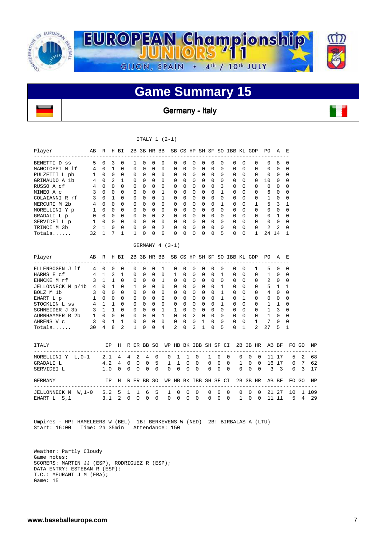

### **Game Summary 15**

Germany - Italy

#### ITALY 1 (2-1)

| Player<br>-------------------                                             | AВ           | R            |                                   | H BI           |               |               | 2B 3B HR BB   |               |                                          |                       |               |                |               |                         |               |               | SB CS HP SH SF SO IBB KL GDP |                   |               |                | PO.            | A                       | Е                      |       |               |
|---------------------------------------------------------------------------|--------------|--------------|-----------------------------------|----------------|---------------|---------------|---------------|---------------|------------------------------------------|-----------------------|---------------|----------------|---------------|-------------------------|---------------|---------------|------------------------------|-------------------|---------------|----------------|----------------|-------------------------|------------------------|-------|---------------|
| BENETTI D ss                                                              | 5            | $\Omega$     | 3                                 | $\Omega$       | 1             |               | $\Omega$      | $\Omega$      | $\mathbf 0$                              | $\Omega$              | $\Omega$      | $\Omega$       | $\Omega$      | $\Omega$                | $\Omega$      |               | 0                            | $\Omega$          |               | 0              | $\Omega$       | 8                       | 0                      |       |               |
| MANCIOPPI N 1f                                                            | 4            | $\mathbf 0$  | $\mathbf{1}$                      | $\Omega$       | 0             |               | 0             | $\Omega$      | 0                                        | 0                     | $\Omega$      | 0              | 0             | $\Omega$                | $\Omega$      |               | 0                            | $\Omega$          |               | 0              | 0              | $\Omega$                | 0                      |       |               |
| PULZETTI L ph                                                             | 1            | $\Omega$     | $\mathbf 0$                       | 0              | $\Omega$      |               | 0             | 0             | 0                                        | 0                     | $\Omega$      | $\Omega$       | 0             | $\Omega$                | $\Omega$      |               | 0                            | $\Omega$          |               | $\Omega$       | 0              | 0                       | 0                      |       |               |
| GRIMAUDO A 1b                                                             | 4            | $\Omega$     | $\overline{2}$                    | $\mathbf{1}$   | $\Omega$      |               | $\Omega$      | $\Omega$      | $\Omega$                                 | $\Omega$              | $\Omega$      | $\Omega$       | $\Omega$      | $\Omega$                | $\Omega$      |               | $\Omega$                     | $\Omega$          |               | $\Omega$       | 10             | $\Omega$                | $\Omega$               |       |               |
| RUSSO A cf                                                                | 4            | $\Omega$     | $\Omega$                          | $\Omega$       | $\Omega$      |               | $\Omega$      | $\Omega$      | $\mathbf 0$                              | $\Omega$              | $\Omega$      | $\Omega$       | $\Omega$      | $\Omega$                | 3             |               | $\Omega$                     | $\Omega$          |               | $\Omega$       | $\Omega$       | $\Omega$                | $\Omega$               |       |               |
| MINEO A c                                                                 | 3            | $\Omega$     | $\Omega$                          | $\Omega$       | $\Omega$      |               | $\Omega$      | $\Omega$      | $\mathbf{1}$                             | $\Omega$              | $\Omega$      | $\Omega$       | $\Omega$      | $\Omega$                | $\mathbf{1}$  |               | $\Omega$                     | $\Omega$          |               | $\Omega$       | 6              | $\Omega$                | $\Omega$               |       |               |
| COLAIANNI R rf                                                            | 3            | $\Omega$     | $\mathbf{1}$                      | $\Omega$       | $\Omega$      |               | $\Omega$      | 0             | 1                                        | 0                     | $\Omega$      | $\Omega$       | 0             | $\Omega$                | $\Omega$      |               | 0                            | $\Omega$          |               | 0              | 1              | $\mathbf 0$             | 0                      |       |               |
| MERCURI M 2b                                                              | 4            | $\Omega$     | $\Omega$                          | $\Omega$       | 0             |               | $\Omega$      | $\Omega$      | $\Omega$                                 | $\Omega$              | $\Omega$      | $\Omega$       | $\Omega$      | $\Omega$                | $\mathbf{1}$  |               | $\Omega$                     | $\Omega$          |               | 1              | 5              | 3                       | 1                      |       |               |
| MORELLINI Y p                                                             | $\mathbf{1}$ | $\Omega$     | $\Omega$                          | $\Omega$       | 0             |               | $\Omega$      | $\Omega$      | $\mathbf 0$                              | 0                     | $\Omega$      | $\Omega$       | $\Omega$      | $\Omega$                | $\Omega$      |               | 0                            | $\Omega$          |               | 0              | 0              | $\Omega$                | $\Omega$               |       |               |
| GRADALI L p                                                               | $\Omega$     | $\bigcap$    | $\Omega$                          | $\Omega$       | $\Omega$      |               | $\Omega$      | $\Omega$      | 2                                        | $\Omega$              | $\Omega$      | $\Omega$       | $\Omega$      | $\Omega$                | $\Omega$      |               | $\Omega$                     | $\Omega$          |               | $\Omega$       | $\Omega$       | $\mathbf{1}$            | $\Omega$               |       |               |
| SERVIDEI L p                                                              | $\mathbf{1}$ | $\Omega$     | $\Omega$                          | $\Omega$       | $\Omega$      |               | $\Omega$      | $\Omega$      | $\Omega$                                 | $\Omega$              | $\Omega$      | $\Omega$       | $\Omega$      | $\Omega$                | $\Omega$      |               | $\Omega$                     | $\Omega$          |               | $\Omega$       | $\Omega$       | $\Omega$                | $\Omega$               |       |               |
| TRINCI M 3b                                                               | 2            | $\mathbf{1}$ | $\mathbf 0$                       | 0              | 0             |               | 0             | 0             | 2                                        | 0                     | 0             | 0              | 0             | $\mathbf 0$             | $\Omega$      |               | 0                            | $\Omega$          |               | 0              | 2              | 2                       | 0                      |       |               |
| $Totals$                                                                  | 32           | 1            | 7                                 | $\mathbf{1}$   | 1             |               | 0             | 0             | 6                                        | $\Omega$              | $\Omega$      | $\Omega$       | $\Omega$      | $\Omega$                | 5             |               | $\Omega$                     | $\Omega$          |               | 1              | 24 14          |                         | 1                      |       |               |
|                                                                           |              |              |                                   |                |               |               |               |               | GERMANY 4 (3-1)                          |                       |               |                |               |                         |               |               |                              |                   |               |                |                |                         |                        |       |               |
| Player<br>---------------------                                           | AB           | R            |                                   | H BI           |               |               |               |               | 2B 3B HR BB SB CS HP SH SF SO IBB KL GDP |                       |               |                |               |                         |               |               |                              |                   |               |                | PO.            | AE                      |                        |       |               |
| ELLENBOGEN J 1f                                                           | 4            | $\mathbf 0$  | 0                                 | $\mathbf 0$    | 0             |               | 0             | 0             | 1                                        | 0                     | $\Omega$      | 0              | 0             | $\Omega$                | 0             |               | 0                            | 0                 |               | 1              | 5              | $\Omega$                | 0                      |       |               |
| HARMS E cf                                                                | 4            | $\mathbf{1}$ | 3                                 | $\mathbf{1}$   | $\Omega$      |               | $\Omega$      | $\Omega$      | $\mathbf 0$                              | 1                     | $\Omega$      | $\Omega$       | $\Omega$      | $\Omega$                | $\mathbf{1}$  |               | $\Omega$                     | $\Omega$          |               | $\Omega$       | 1              | $\Omega$                | $\Omega$               |       |               |
| EHMCKE M rf                                                               | 3            | $\mathbf{1}$ | $\mathbf{1}$                      | $\Omega$       | $\Omega$      |               | $\Omega$      | $\Omega$      | $\mathbf{1}$                             | $\Omega$              | $\Omega$      | $\Omega$       | $\Omega$      | $\Omega$                | $\Omega$      |               | $\Omega$                     | $\Omega$          |               | $\Omega$       | 2              | $\Omega$                | $\Omega$               |       |               |
| JELLONNECK M p/1b                                                         | 4            | 0            | $\overline{1}$                    | $\Omega$       | 1             |               | $\Omega$      | $\Omega$      | $\mathbf 0$                              | 0                     | $\Omega$      | 0              | 0             | $\Omega$                | $\mathbf{1}$  |               | 0                            | $\Omega$          |               | 0              | 5              | $\mathbf 1$             | $\mathbf{1}$           |       |               |
| BOLZ M 1b                                                                 | 3            | $\Omega$     | $\Omega$                          | $\Omega$       | $\Omega$      |               | $\Omega$      | 0             | $\mathbf 0$                              | 0                     | $\Omega$      | 0              | 0             | $\Omega$                | $\mathbf{1}$  |               | $\Omega$                     | $\Omega$          |               | 0              | 4              | $\mathbf 0$             | 0                      |       |               |
| EWART L p                                                                 | 1            | $\mathbf 0$  | $\Omega$                          | $\Omega$       | $\Omega$      |               | $\Omega$      | $\Omega$      | $\mathbf 0$                              | $\Omega$              | $\Omega$      | $\Omega$       | $\Omega$      | $\Omega$                | $\mathbf{1}$  |               | 0                            | $\mathbf{1}$      |               | 0              | 0              | $\mathbf 0$             | 0                      |       |               |
| STOCKLIN L ss                                                             | 4            | $\mathbf{1}$ | $\mathbf{1}$                      | $\Omega$       | $\Omega$      |               | $\Omega$      | $\Omega$      | $\mathbf 0$                              | 0                     | $\Omega$      | $\Omega$       | $\Omega$      | $\Omega$                | $\mathbf{1}$  |               | 0                            | $\Omega$          |               | 0              | 1              | $\mathbf{1}$            | 0                      |       |               |
| SCHNEIDER J 3b                                                            | 3            | $\mathbf{1}$ | $\mathbf{1}$                      | $\Omega$       | $\Omega$      |               | $\Omega$      | $\Omega$      | $\mathbf{1}$                             | $\mathbf{1}$          | $\Omega$      | $\Omega$       | $\Omega$      | $\Omega$                | $\Omega$      |               | $\Omega$                     | $\Omega$          |               | $\Omega$       | $\mathbf{1}$   | 3                       | $\Omega$               |       |               |
| AURNHAMMER B 2b                                                           | $\mathbf{1}$ | $\Omega$     | 0                                 | $\mathbf 0$    | $\Omega$      |               | 0             | $\mathbf 0$   | 1                                        | 0                     | $\mathbf 0$   | 2              | $\mathbf 0$   | $\Omega$                | 0             |               | 0                            | $\Omega$          |               | 0              | 1              | 0                       | 0                      |       |               |
| AHRENS V c                                                                | 3            | 0            | 1                                 | 1              | 0             |               | 0             | 0             | $\mathbf 0$                              | 0                     | 0             | 0              | 1             | $\mathbf 0$             | $\Omega$      |               | 0                            | $\mathbf 0$       |               | $\mathbf{1}$   | 7              | $\mathbf 0$             | 0                      |       |               |
| $Totals$                                                                  | 30           | 4            | 8                                 | $\overline{a}$ | $\mathbf{1}$  |               | $\Omega$      | $\Omega$      | 4                                        | 2                     | $\Omega$      | $\overline{a}$ | $\mathbf{1}$  | $\Omega$                | 5             |               | $\Omega$                     | $\mathbf{1}$      |               | $\overline{a}$ | 27             | 5                       | $\mathbf{1}$           |       |               |
| <b>ITALY</b>                                                              |              |              | ΙP                                | Н              | R ER BB SO    |               |               |               |                                          | WP HB BK IBB SH SF CI |               |                |               |                         |               |               |                              |                   |               | 2B 3B HR       |                | AB BF                   |                        | FO GO | ΝP            |
| ____________________________________                                      |              | 2.1          |                                   | $\overline{4}$ | 4             | 2             | 4             | 0             | $\mathbf 0$                              | 1                     | 1             |                | 0             | 1                       | 0             | $\mathbf 0$   |                              | $\mathbf 0$       | 0             | 0              |                | 11 17                   | 5                      | 2     | $- - -$<br>68 |
| MORELLINI Y L, 0-1<br>GRADALI L                                           |              | 4.2          |                                   | $\overline{4}$ | $\mathbf 0$   | $\mathbf 0$   | 0             | 5             | 1                                        | $\mathbf{1}$          | $\mathbf 0$   |                | $\mathbf 0$   | 0                       | $\mathbf 0$   | $\mathbf 0$   |                              | 1                 | $\mathbf 0$   | 0              |                | 16 17                   | 0                      | 7     | 62            |
| SERVIDEI L                                                                |              | 1.0          |                                   | 0              | 0             | $\mathbf 0$   | $\Omega$      | $\Omega$      | $\Omega$                                 | 0                     | $\Omega$      |                | $\Omega$      | $\Omega$                | $\Omega$      | $\Omega$      |                              | $\Omega$          | $\Omega$      | $\Omega$       | 3              | $\overline{\mathbf{3}}$ | $\Omega$               | 3     | 17            |
| GERMANY                                                                   |              |              | ΙP                                |                | H R ER BB SO  |               |               |               |                                          | WP HB BK IBB SH SF CI |               |                |               |                         |               |               |                              |                   |               |                | 2B 3B HR AB BF |                         |                        | FO GO | ΝP            |
| __________________________________<br>JELLONNECK M W, 1-0<br>EWART L S, 1 |              |              | 5.2 <sub>5</sub><br>$3.1 \quad 2$ |                | 1<br>$\Omega$ | 1<br>$\Omega$ | 6<br>$\Omega$ | 5<br>$\Omega$ | 1<br>$\Omega$                            | 0<br>$\Omega$         | 0<br>$\Omega$ |                | 0<br>$\Omega$ | $   -$<br>0<br>$\Omega$ | 0<br>$\Omega$ | 0<br>$\Omega$ |                              | 0<br>$\mathbf{1}$ | 0<br>$\Omega$ | 0<br>$\Omega$  |                | 21 27<br>11 11          | $- - - - -$<br>10<br>5 | 4     | 1 109<br>29   |

 Umpires - HP: HAMELEERS W (BEL) 1B: BERKEVENS W (NED) 2B: BIRBALAS A (LTU) Start: 16:00 Time: 2h 35min Attendance: 150

 Weather: Partly Cloudy Game notes: SCORERS: MARTIN JJ (ESP), RODRIGUEZ R (ESP); DATA ENTRY: ESTEBAN R (ESP); T.C.: MEURANT J M (FRA); Game: 15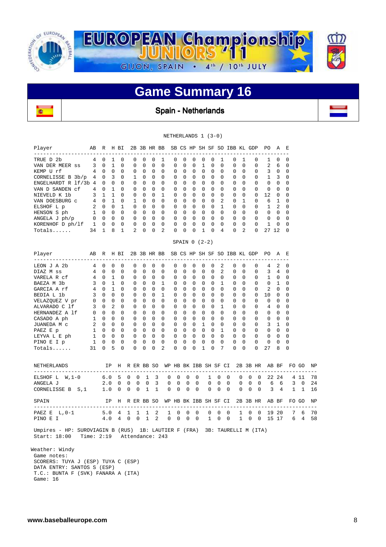

### **Game Summary 16**

Spain - Netherlands

|                                                                                                                                                                                                                                                                                                                                                                                                                                                                                                                               |                                                                                                                                                                                                                                                                                                                                                                                                                                                                                                                                                                                                                                                                                                                                                               | NETHERLANDS 1 (3-0)                                                                                                                                                                                                                                                                                                                                                                                                                                                                                                                                                                                                                                                                                                                                                                    |                                                                                                                                                                                                                                                                                                                                                                                                                                                                                                                                                                                                                                                                                                                                                                                                                                                                 |                                                                                                                                                                                                                                                                                                                         |
|-------------------------------------------------------------------------------------------------------------------------------------------------------------------------------------------------------------------------------------------------------------------------------------------------------------------------------------------------------------------------------------------------------------------------------------------------------------------------------------------------------------------------------|---------------------------------------------------------------------------------------------------------------------------------------------------------------------------------------------------------------------------------------------------------------------------------------------------------------------------------------------------------------------------------------------------------------------------------------------------------------------------------------------------------------------------------------------------------------------------------------------------------------------------------------------------------------------------------------------------------------------------------------------------------------|----------------------------------------------------------------------------------------------------------------------------------------------------------------------------------------------------------------------------------------------------------------------------------------------------------------------------------------------------------------------------------------------------------------------------------------------------------------------------------------------------------------------------------------------------------------------------------------------------------------------------------------------------------------------------------------------------------------------------------------------------------------------------------------|-----------------------------------------------------------------------------------------------------------------------------------------------------------------------------------------------------------------------------------------------------------------------------------------------------------------------------------------------------------------------------------------------------------------------------------------------------------------------------------------------------------------------------------------------------------------------------------------------------------------------------------------------------------------------------------------------------------------------------------------------------------------------------------------------------------------------------------------------------------------|-------------------------------------------------------------------------------------------------------------------------------------------------------------------------------------------------------------------------------------------------------------------------------------------------------------------------|
| Player<br>AB R H BI                                                                                                                                                                                                                                                                                                                                                                                                                                                                                                           |                                                                                                                                                                                                                                                                                                                                                                                                                                                                                                                                                                                                                                                                                                                                                               |                                                                                                                                                                                                                                                                                                                                                                                                                                                                                                                                                                                                                                                                                                                                                                                        | 2B 3B HR BB SB CS HP SH SF SO IBB KL GDP PO                                                                                                                                                                                                                                                                                                                                                                                                                                                                                                                                                                                                                                                                                                                                                                                                                     | A<br>E                                                                                                                                                                                                                                                                                                                  |
| ____________________________<br>4 0<br>TRUE D 2b<br>VAN DER MEER SS<br>$3 \quad 0$<br>4<br>$0\quad 0$<br>KEMP U rf<br>4<br>0 <sup>3</sup><br>CORNELISSE B 3b/p<br>ENGELHARDT R 1f/3b 4<br>$0\quad 0$<br>VAN D SANDEN Cf<br>4<br>$\Omega$<br>3 1 1<br>NIEVELD K 1b<br>4 0 1<br>VAN DOESBURG C<br>$2 \quad 0 \quad 0$<br>ELSHOF L p<br>1 0 0<br>HENSON S ph<br>$0\quad 0\quad 0\quad 0$<br>ANGELA J ph/p<br>KORENHOF $D$ $ph/1f$ $1$ 0 0 0<br>34 1<br>Totals                                                                    | ---<br>$\mathbf{1}$<br>0<br>0<br>0<br>0<br>$\Omega$<br>$\overline{1}$<br>0<br>$\Omega$<br>0<br>$\Omega$<br>$\Omega$<br>$\Omega$<br>$\Omega$<br>$\mathbf 0$<br>0<br>0<br>1<br>$\mathbf 0$<br>$\mathbf 0$<br>$\mathbf 0$<br>0<br>1<br>$\Omega$<br>$\Omega$<br>$\Omega$<br>$\Omega$<br>$\mathbf 0$<br>$\mathbf 0$<br>$\mathbf 0$<br>0<br>0<br>$\mathbf{1}$<br>$\Omega$<br>$\Omega$<br>$\mathbf{1}$<br>$0\quad 0$<br>$\mathbf 0$<br>$\overline{0}$<br>$\overline{0}$<br>$\mathbf{0}$<br>0<br>$0\quad 0$<br>$\mathbf{0}$<br>$0\quad 0$<br>$\mathbf 0$<br>$\mathbf{1}$<br>2<br>$\mathbf{0}$<br>$\overline{0}$<br>8                                                                                                                                                  | --------<br>------<br>1<br>0<br>0<br>0<br>0<br>$\mathbf 0$<br>$\Omega$<br>$\mathbf 0$<br>$\mathbf{1}$<br>$\Omega$<br>$\Omega$<br>$\Omega$<br>$\Omega$<br>0<br>$\Omega$<br>0<br>0<br>$\mathbf 0$<br>0<br>$\overline{0}$<br>0<br>0<br>$\mathbf 0$<br>0<br>$\overline{0}$<br>0<br>0<br>$\Omega$<br>$\mathbf{0}$<br>$\mathbf 0$<br>1<br>0<br>$\mathbf 0$<br>$0\quad 0$<br>$0\quad 0$<br>$\mathbf{0}$<br>$\mathbf 0$<br>$\Omega$<br>$\mathsf{O}$<br>$\mathbf 0$<br>$\mathbf 0$<br>$0\quad 0$<br>$\mathbf 0$<br>$\mathbf 0$<br>$\mathbf 0$<br>$0\quad 0$<br>$\overline{0}$<br>0<br>$\mathbf{0}$<br>$0\quad 0$<br>$\mathbf 0$<br>$\mathbf 0$<br>$\mathbf 0$<br>0<br>0<br>2<br>$\mathbf 0$<br>0<br>$\mathbf{1}$<br>0                                                                           | ---<br>$- - -$<br>0<br>1<br>0<br>1<br>0<br>$\Omega$<br>$\Omega$<br>$\Omega$<br>$\Omega$<br>0<br>$\Omega$<br>$\Omega$<br>$\Omega$<br>$\Omega$<br>$\Omega$<br>$\mathbf 0$<br>0<br>0<br>$\mathbf 0$<br>0<br>$\mathbf{0}$<br>$\overline{0}$<br>0<br>0<br>0<br>$\Omega$<br>$\Omega$<br>$\Omega$<br>$\Omega$<br>0<br>$\mathbf 0$<br>$\overline{\phantom{0}}$<br>$\mathbf 0$<br>$\mathbf 0$<br>0<br>$\overline{2}$<br>$\Omega$<br>$\mathbf 0$<br>1<br>0<br>$\Omega$<br>$\mathbf{1}$<br>$\mathbf 0$<br>$\mathbf 0$<br>0<br>$\mathbf{0}$<br>$\overline{0}$<br>0<br>0<br>0<br>$\mathbf{0}$<br>$\overline{0}$<br>$\mathbf 0$<br>$\mathbf{0}$<br>$\circ$<br>$\Omega$<br>$\bigcirc$<br>$\Omega$<br>$\mathbf 0$<br>$\Omega$<br>$\mathbf 0$<br>4<br>2<br>0<br>0                                                                                                                | ----------<br>$-$<br>1<br>0<br>0<br>2<br>6<br>0<br>$\mathbf{3}$<br>$\Omega$<br>0<br>1<br>3<br>0<br>0<br>$\mathbf 0$<br>0<br>0<br>0<br>0<br>12<br>0<br>0<br>6<br>0<br>1<br>$\mathbf{1}$<br>2<br>0<br>0<br>0<br>0<br>0<br>$\overline{0}$<br>0<br>1<br>0<br>$\Omega$<br>27 12<br>0                                         |
|                                                                                                                                                                                                                                                                                                                                                                                                                                                                                                                               |                                                                                                                                                                                                                                                                                                                                                                                                                                                                                                                                                                                                                                                                                                                                                               | SPAIN $0$ $(2-2)$                                                                                                                                                                                                                                                                                                                                                                                                                                                                                                                                                                                                                                                                                                                                                                      |                                                                                                                                                                                                                                                                                                                                                                                                                                                                                                                                                                                                                                                                                                                                                                                                                                                                 |                                                                                                                                                                                                                                                                                                                         |
| Player<br>AB R H BI<br>__________________________                                                                                                                                                                                                                                                                                                                                                                                                                                                                             | 2B 3B HR BB<br>$- - - -$                                                                                                                                                                                                                                                                                                                                                                                                                                                                                                                                                                                                                                                                                                                                      | $- - -$<br>$\begin{array}{cccccccccc} \multicolumn{2}{c}{} & \multicolumn{2}{c}{} & \multicolumn{2}{c}{} & \multicolumn{2}{c}{} & \multicolumn{2}{c}{} & \multicolumn{2}{c}{} & \multicolumn{2}{c}{} & \multicolumn{2}{c}{} & \multicolumn{2}{c}{} & \multicolumn{2}{c}{} & \multicolumn{2}{c}{} & \multicolumn{2}{c}{} & \multicolumn{2}{c}{} & \multicolumn{2}{c}{} & \multicolumn{2}{c}{} & \multicolumn{2}{c}{} & \multicolumn{2}{c}{} & \multicolumn{2}{c}{} & \multicolumn{2}{c}{} & \mult$                                                                                                                                                                                                                                                                                      | SB CS HP SH SF SO IBB KL GDP                                                                                                                                                                                                                                                                                                                                                                                                                                                                                                                                                                                                                                                                                                                                                                                                                                    | PO.<br>A<br>E                                                                                                                                                                                                                                                                                                           |
| LEON J A 2b<br>$4\phantom{.00000000000000000000}$<br>$\mathbf 0$<br>DIAZ M ss<br>4 0<br>4 0<br>VARELA R cf<br>BAEZA M 3b<br>$\mathbf{3}$<br>$0\quad 1$<br>$4\overline{ }$<br>$0\quad 1$<br>GARCIA A rf<br>$0\quad 0$<br>BEDIA L 1b<br>3<br>$\overline{0}$<br>$0\quad 0$<br>VELAZQUEZ V pr<br>$0\quad 2$<br>ALVARADO C 1f<br>3<br>$0\quad 0\quad 0$<br>HERNANDEZ A 1f<br>1 0 0<br>CASADO A ph<br>2 0 0<br>JUANEDA M C<br>1 0 0<br>PAEZ E p<br>LEYVA L E ph<br>$1 \quad 0 \quad 0$<br>PINO E I p<br>1<br>0<br>31<br>0<br>Totals | 0<br>0<br>0<br>0<br>0<br>$\mathbf 0$<br>$\mathbf 0$<br>$\mathbf 0$<br>0<br>$\mathbf 0$<br>$\overline{1}$<br>$\Omega$<br>$\Omega$<br>$\Omega$<br>$\Omega$<br>$\mathbf 0$<br>$\mathbf 0$<br>0<br>$\mathbf 0$<br>$\Omega$<br>$\mathbf 0$<br>$\mathbf{0}$<br>$\mathbf 0$<br>$\mathbf 0$<br>$\Omega$<br>0<br>0<br>$\mathbf 0$<br>$\mathbf 0$<br>$\mathbf 0$<br>$\mathbf 0$<br>$\Omega$<br>$\Omega$<br>$\Omega$<br>$\Omega$<br>$\Omega$<br>$\mathbf 0$<br>$\mathbf 0$<br>0<br>$\mathbf 0$<br>$\overline{0}$<br>$\mathbf 0$<br>0<br>0<br>$\overline{0}$<br>0<br>$\mathbf{0}$<br>$\overline{\phantom{0}}$<br>$\circ$<br>$\overline{0}$<br>$\overline{0}$<br>0<br>$\overline{0}$<br>$\mathbf{0}$<br>0<br>0<br>0<br>0<br>0<br>5<br>$\mathsf 0$<br>0<br>0<br>$\mathbf 0$ | 0<br>0<br>0<br>0<br>0<br>$\mathbf 0$<br>0<br>0<br>0<br>0<br>$\Omega$<br>$\Omega$<br>$\Omega$<br>$\Omega$<br>$\Omega$<br>$\mathbf{1}$<br>0<br>$\mathbf 0$<br>$0\quad 0$<br>$\mathbf{0}$<br>$\mathbf 0$<br>$\mathbf 0$<br>$0\quad 0$<br>$\mathbf{1}$<br>$\mathbf 0$<br>$0\quad 0$<br>0<br>$\mathbf 0$<br>0<br>$\mathbf 0$<br>0<br>$\overline{0}$<br>$\Omega$<br>$\Omega$<br>$\Omega$<br>$\Omega$<br>$\Omega$<br>$\mathbf 0$<br>$\mathbf 0$<br>$\Omega$<br>$0\quad 0$<br>0<br>0<br>$\mathbf 0$<br>$0\quad 0$<br>1<br>$\mathbf{0}$<br>0<br>$\mathbf{0}$<br>$\overline{0}$<br>$\overline{0}$<br>$\mathbf{0}$<br>0<br>0<br>$\begin{matrix} 0 & 0 & 0 \end{matrix}$<br>$\overline{0}$<br>0<br>$\Omega$<br>$0\quad 0$<br>0<br>0<br>0<br>0<br>0<br>$\overline{a}$<br>0<br>$\mathbf 0$<br>0<br>1 | 2<br>0<br>0<br>0<br>0<br>$\overline{2}$<br>$\mathbf 0$<br>0<br>$\Omega$<br>0<br>$\Omega$<br>$\Omega$<br>$\Omega$<br>$\Omega$<br>$\Omega$<br>$\mathbf 0$<br>$\mathbf{1}$<br>$\mathbf 0$<br>0<br>0<br>$\Omega$<br>$\overline{0}$<br>$\mathbf 0$<br>$\mathbf 0$<br>$\Omega$<br>$\mathbf 0$<br>$\overline{0}$<br>$\mathbf 0$<br>0<br>0<br>$\mathbf{0}$<br>$\overline{0}$<br>$\mathbf 0$<br>$\mathbf 0$<br>0<br>$\mathbf{1}$<br>$\Omega$<br>$\Omega$<br>$\Omega$<br>$\Omega$<br>$\Omega$<br>$\overline{0}$<br>$\mathbf 0$<br>0<br>$\Omega$<br>$\mathbf{0}$<br>$\overline{0}$<br>0<br>0<br>0<br>$\overline{0}$<br>0<br>$\overline{0}$<br>$\mathbf 0$<br>$\mathbf{0}$<br>$\overline{1}$<br>0<br>$\Omega$<br>0<br>0<br>$\overline{0}$<br>$\mathbf 0$<br>$\mathbf{0}$<br>0<br>$\mathbf 0$<br>0<br>$\mathbf 0$<br>0<br>$\mathbf 0$<br>7<br>$\Omega$<br>$\Omega$<br>0<br>0 | 4<br>2<br>0<br>3<br>4<br>0<br>1<br>$\Omega$<br>$\Omega$<br>$\mathbf 0$<br>1<br>0<br>2<br>$\mathbf 0$<br>0<br>10<br>0<br>0<br>$\mathbf 0$<br>0<br>0<br>4<br>$\Omega$<br>$\Omega$<br>0<br>0<br>0<br>0<br>$\mathbf 0$<br>0<br>3<br>1<br>0<br>0<br>0<br>0<br>$\mathbf 0$<br>$\mathbf 0$<br>0<br>0<br>0<br>0<br>27<br>8<br>0 |
| NETHERLANDS                                                                                                                                                                                                                                                                                                                                                                                                                                                                                                                   |                                                                                                                                                                                                                                                                                                                                                                                                                                                                                                                                                                                                                                                                                                                                                               | IP H R ER BB SO WP HB BK IBB SH SF CI                                                                                                                                                                                                                                                                                                                                                                                                                                                                                                                                                                                                                                                                                                                                                  | 2B 3B HR AB BF                                                                                                                                                                                                                                                                                                                                                                                                                                                                                                                                                                                                                                                                                                                                                                                                                                                  | FO GO<br>NP                                                                                                                                                                                                                                                                                                             |
| ELSHOF L W, 1-0<br>6.0 5<br>ANGELA J<br>CORNELISSE B S, 1                                                                                                                                                                                                                                                                                                                                                                                                                                                                     | 0<br>0<br>1<br>$2.0\quad 0$<br>0<br>0<br>0<br>$1.0\quad0$<br>0<br>$\mathbf{1}$<br>0                                                                                                                                                                                                                                                                                                                                                                                                                                                                                                                                                                                                                                                                           | 0<br>3<br>0<br>0<br>0<br>3<br>0<br>0<br>0<br>0<br>1<br>$\mathbf 0$<br>0<br>0<br>0                                                                                                                                                                                                                                                                                                                                                                                                                                                                                                                                                                                                                                                                                                      | 0<br>1<br>0<br>0<br>0<br>0<br>0<br>0<br>0<br>0<br>0<br>0<br>$\mathbf 0$<br>$\mathbf 0$<br>0<br>0<br>0<br>0                                                                                                                                                                                                                                                                                                                                                                                                                                                                                                                                                                                                                                                                                                                                                      | 22 24<br>4 11<br>78<br>$3 \quad 0$<br>6<br>6<br>24<br>3<br>1<br>4<br>$\mathbf{1}$<br>16                                                                                                                                                                                                                                 |
| SPAIN                                                                                                                                                                                                                                                                                                                                                                                                                                                                                                                         | IP H R ER BB SO                                                                                                                                                                                                                                                                                                                                                                                                                                                                                                                                                                                                                                                                                                                                               | WP HB BK IBB SH SF CI                                                                                                                                                                                                                                                                                                                                                                                                                                                                                                                                                                                                                                                                                                                                                                  | 2B 3B HR AB BF                                                                                                                                                                                                                                                                                                                                                                                                                                                                                                                                                                                                                                                                                                                                                                                                                                                  | FO GO<br>ΝP                                                                                                                                                                                                                                                                                                             |
| L,0-1<br>5.0<br>PAEZ E<br>4.0<br>PINO E I                                                                                                                                                                                                                                                                                                                                                                                                                                                                                     | $\overline{4}$<br>1<br>1<br>1<br>$\overline{4}$<br>$\mathsf{O}$<br>$0\quad 1$                                                                                                                                                                                                                                                                                                                                                                                                                                                                                                                                                                                                                                                                                 | 2<br>0<br>0<br>0<br>1<br>-2<br>$\overline{0}$<br>0<br>0<br>0                                                                                                                                                                                                                                                                                                                                                                                                                                                                                                                                                                                                                                                                                                                           | 0<br>0<br>$\mathbf 0$<br>0<br>$\mathbf 0$<br>1<br>$\mathbf{1}$<br>$\mathbf 0$<br>$1 \quad 0$<br>0<br>$\overline{0}$                                                                                                                                                                                                                                                                                                                                                                                                                                                                                                                                                                                                                                                                                                                                             | 6<br>70<br>19 20<br>7<br>15 17<br>6 4<br>58                                                                                                                                                                                                                                                                             |
| Umpires - HP: SUROVIAGIN B (RUS) 1B: LAUTIER F (FRA) 3B: TAURELLI M (ITA)<br>Start: 18:00                                                                                                                                                                                                                                                                                                                                                                                                                                     | Time: 2:19 Attendance: 243                                                                                                                                                                                                                                                                                                                                                                                                                                                                                                                                                                                                                                                                                                                                    |                                                                                                                                                                                                                                                                                                                                                                                                                                                                                                                                                                                                                                                                                                                                                                                        |                                                                                                                                                                                                                                                                                                                                                                                                                                                                                                                                                                                                                                                                                                                                                                                                                                                                 |                                                                                                                                                                                                                                                                                                                         |
| Weather: Windy<br>Game notes:<br>SCORERS: TUYA J (ESP) TUYA C (ESP)<br>DATA ENTRY: SANTOS S (ESP)                                                                                                                                                                                                                                                                                                                                                                                                                             |                                                                                                                                                                                                                                                                                                                                                                                                                                                                                                                                                                                                                                                                                                                                                               |                                                                                                                                                                                                                                                                                                                                                                                                                                                                                                                                                                                                                                                                                                                                                                                        |                                                                                                                                                                                                                                                                                                                                                                                                                                                                                                                                                                                                                                                                                                                                                                                                                                                                 |                                                                                                                                                                                                                                                                                                                         |

 T.C.: BUNTA F (SVK) FANARA A (ITA) Game: 16

**B**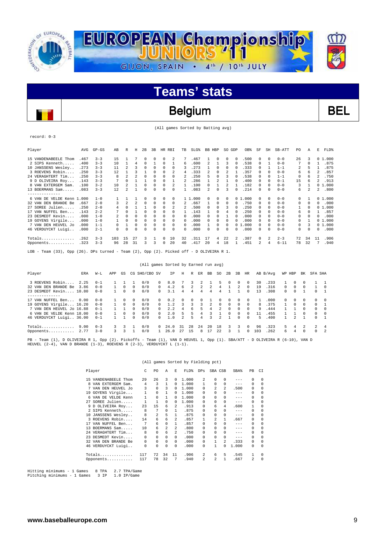

### Belgium BEL

(All games Sorted by Batting avg)

record: 0-3

| Player                                                                       | AVG  | $GP - GS$ | AB  | R        | Н  | 2B       | 3B | HR RBI       |              | TB           | SLG%    | BB.          | HBP          | SO GDP   |                | OB%    | SF         | SH            | SB-ATT   | PO. | Α        | Е  | FLD%   |
|------------------------------------------------------------------------------|------|-----------|-----|----------|----|----------|----|--------------|--------------|--------------|---------|--------------|--------------|----------|----------------|--------|------------|---------------|----------|-----|----------|----|--------|
| 15 VANDENABEELE Thom                                                         | .467 | $3 - 3$   | 15  |          | 7  | 0        | 0  | $\Omega$     | 2            | 7            | .467    |              | $^{\circ}$   | $\Omega$ | $\Omega$       | .500   | $^{\circ}$ | $\Omega$      | $0 - 0$  | 26  | 3        |    | 01.000 |
| 2 SIPS Kenneth                                                               | .400 | $3 - 3$   | 10  |          | 4  | $\Omega$ |    | $\Omega$     |              | 6            | .600    | 2            |              | 3        |                | .538   | 0          |               | $0 - 0$  |     |          |    | .875   |
| 10 JANSSENS Wesley                                                           | .273 | $3 - 3$   | 11  | 2        |    |          | 0  | <sup>n</sup> |              |              | 273     |              | $\Omega$     | 0        |                | .333   | 0          |               | $1 - 1$  | 2   |          |    | .875   |
| 3 ROEVENS Robin                                                              | .250 | $3 - 3$   | 12  |          |    |          | U  | $\Omega$     |              | 4            | .333    | 2            | $\Omega$     | 2        |                | .357   | 0          | n             | $0 - 0$  | 6   | ħ        |    | .857   |
| 24 VERAGHTERT Tim                                                            | .250 | $3 - 3$   | 8   |          |    |          | 0  | 0            | U            |              | 250     | 5            | 0            |          |                | .538   | 0          | $\Omega$      | $1 - 1$  | 0   | 6        | 2  | .750   |
| 9 D OLIVEIRA Roy                                                             | .143 | $3 - 3$   |     |          |    |          | 0  | $\Omega$     |              | 2            | .286    |              | 2            |          |                | .400   | 0          | $\Omega$      | $0 - 1$  | 15  | 6        |    | .913   |
| 8 VAN EXTERGEM Sam.                                                          | .100 | $3 - 2$   | 10  |          |    |          | 0  | 0            | 2            |              | .100    | 0            |              |          |                | .182   | 0          | $\Omega$      | $0 - 0$  | 3   |          |    | 01.000 |
| 13 BOERMANS Sam                                                              | .083 | $3 - 3$   | 12  | 2        |    | 0        |    | 0            | 0            |              | .083    | 2            | 0            | 3        |                | .214   | $\Omega$   | $\Omega$      | $0 - 0$  | 6   |          | 2  | .800   |
| .                                                                            |      |           |     |          |    |          |    |              |              |              |         |              |              |          |                |        |            |               |          |     |          |    |        |
| 6 VAN DE VELDE Kenn 1.000                                                    |      | $1 - 0$   |     |          |    | $\Omega$ | 0  | $\Omega$     | 0            |              | 1 1,000 | 0            | $\Omega$     | 0        |                | 01.000 | 0          | $\Omega$      | $0 - 0$  | 0   |          |    | 01.000 |
| 32 VAN DEN BRANDE Be                                                         | .667 | $2 - 0$   | 3   | 2        | 2  | 0        | 0  | $\Omega$     | 0            | 2            | .667    |              | 0            | 0        |                | .750   | 0          | $\Omega$      | $0 - 0$  | 0   |          | 0  | .000   |
| 27 SOREE Julien                                                              | .250 | $2 - 0$   |     | $\Omega$ |    |          | 0  | 0            | 2            |              | .500    | 0            | $\Omega$     | 3        |                | .250   | 0          | $\Omega$      | $0 - 0$  |     | 0        |    | 01.000 |
| 17 VAN NUFFEL Ben                                                            | .143 | $2 - 2$   |     | n        |    | $\Omega$ | 0  | $\Omega$     | 0            |              | .143    |              | $\Omega$     | 4        |                | .250   | 0          | $\Omega$      | $0 - 0$  | 6   |          |    | .857   |
| 23 DESMEDT Kevin                                                             | .000 | $1 - 0$   |     | 0        | 0  |          | U  | 0            | <sup>n</sup> | 0            | .000    | 0            | <sup>n</sup> |          |                | .000   | 0          | $\Omega$      | $0 - 0$  | 0   | $\Omega$ | 0  | .000   |
| 19 GOYENS Virgile                                                            | .000 | $1 - 0$   |     | $\Omega$ | 0  | $\Omega$ | 0  | $\Omega$     | 0            | 0            | .000    | 0            | $\Omega$     | 0        |                | .000   | $^{\circ}$ | 0             | $0 - 0$  | 0   |          |    | 01.000 |
| 7 VAN DEN HEUVEL JO                                                          | .000 | $1 - 1$   | 0   |          | 0  |          |    | 0            | 0            | 0            | .000    |              | $\Omega$     | 0        | 0 <sub>1</sub> | .000   | 0          | $\Omega$      | $0 - 0$  | 0   |          |    | 01.000 |
| 46 VERDUYCKT Luigi                                                           | .000 | $2 - 1$   | 0   | C        | 0  | $\Omega$ | 0  | 0            | 0            | <sup>n</sup> | .000    | 0            | 0            | 0        |                | .000   | 0          | $\Omega$      | $0 - 0$  | 0   |          | U  | .000   |
| Totals                                                                       | .262 | $3 - 3$   | 103 | 15       | 27 |          |    | $\Omega$     | 10           | 32           | .311    | 17           | 4            | 2.2.     | $\mathcal{L}$  | .387   | $\Omega$   | $\mathcal{L}$ | $2 - 3$  | 72  | 34       | 11 | .906   |
| Opponents                                                                    | .323 | $3 - 3$   | 96  | 28       | 31 | κ        | ٦  | 0            | 2.0          | 40           | .417    | $20^{\circ}$ | 4            | 18       |                | .451   | 2          |               | $6 - 11$ | 78  | 32       | 7  | .940   |
| ton Them (22) One (36) DBs turned Them (3) One (3) Bighed off D.OITUETDA B.1 |      |           |     |          |    |          |    |              |              |              |         |              |              |          |                |        |            |               |          |     |          |    |        |

- Team (33), Opp (26). DPs turned - Team (2), Opp (2). Picked off - D OLIVEIRA R 1.

|                           | (All games Sorted by Earned run avg) |         |     |          |              |               |          |      |        |                      |               |    |            |          |              |          |     |          |          |                |          |          |                |
|---------------------------|--------------------------------------|---------|-----|----------|--------------|---------------|----------|------|--------|----------------------|---------------|----|------------|----------|--------------|----------|-----|----------|----------|----------------|----------|----------|----------------|
| Player                    | ERA                                  | W-L     | APP | GS       |              | CG SHO/CBO SV |          | ΙP   | Η      | R                    | ER.           | BB | SO         | 2B       | 3B           | HR       |     | AB B/Avq | WP HBP   |                | BK       | SFA SHA  |                |
| 3 ROEVENS Robin           | 2.25                                 | $0 - 1$ |     |          |              | 0/0           | $\Omega$ | 8.0  |        | 3.                   | $\mathcal{L}$ |    | Б.         | $\Omega$ | $\Omega$     | $\Omega$ | 30  | .233     |          | $\Omega$       |          |          |                |
| 32 VAN DEN BRANDE Be      | 3.86                                 | $0 - 0$ |     | $\Omega$ | $\Omega$     | 0/0           | $\Omega$ | 4.2  | 6      | $\mathbf{2}^{\circ}$ | 2             | 2  |            |          | 2            | $\Omega$ | 19  | .316     | $\Omega$ | $\Omega$       | $\Omega$ |          | $\overline{0}$ |
| 23 DESMEDT Kevin 10.80    |                                      | $0 - 0$ |     | $\Omega$ | $\Omega$     | 0/0           | $\Omega$ | 3.1  | 4      | 4                    | 4             | 4  | 4          |          |              | $\Omega$ | 13  | .308     | $\Omega$ | $\Omega$       |          | 0        | - 1            |
| -----------               |                                      |         |     |          |              |               |          |      |        |                      |               |    |            |          |              |          |     |          |          |                |          |          |                |
| 17 VAN NUFFEL Ben         | 0.00                                 | $0 - 0$ |     | 0        |              | 0/0           | $\Omega$ | 0.2  | $\cap$ |                      | $^{\circ}$    |    | 0          | $\Omega$ | 0            | $\Omega$ |     | .000     | 0        | $\Omega$       |          | 0        | $\Omega$       |
| 19 GOYENS Virgile 16.20   |                                      | $0 - 0$ |     | $\Omega$ | $\Omega$     | 0/0           | n.       | 1.2  | 3      | 3                    | 3             | 2. | $^{\circ}$ | $\Omega$ | $\Omega$     | $\Omega$ | 8   | .375     |          | $\Omega$       | 0        | 0        |                |
| 7 VAN DEN HEUVEL Jo 16.88 |                                      | $0 - 1$ |     |          | $\cap$       | 0/0           | $\cap$   | 2.2  | 4      | 6.                   | 5             | 4  |            | $\Omega$ | $\Omega$     | $\Omega$ | 9   | .444     |          |                | $\cap$   | $\Omega$ | $\Omega$       |
| 6 VAN DE VELDE Kenn 18.00 |                                      | $0 - 0$ |     | $\Omega$ | $\cap$       | 0/0           | $\Omega$ | 2.0  | 5      |                      | 4             |    |            | $\cap$   | $\Omega$     | $\Omega$ | 11  | .455     |          |                | $\cap$   | $\Omega$ | $\Omega$       |
| 46 VERDUYCKT Luigi 36.00  |                                      | $0 - 1$ |     |          | <sup>n</sup> | 0/0           | $\Omega$ | 1.0  |        |                      | 4             |    |            |          | <sup>n</sup> | $\Omega$ | 5   | .400     |          | $\mathfrak{D}$ |          | 0        |                |
| Totals                    | 9.00                                 | $0 - 3$ | 3   | 3        |              | 0/0           | $\Omega$ | 24.0 | 31     | -28                  | 24            | 20 | 18         | 3        | 3            | $\Omega$ | 96  | .323     | 5.       | 4              | 2        | 2        | 4              |
| Opponents 2.77            |                                      | $3 - 0$ | 3   | ર        |              | 0/0           |          | 26.0 | 27     | 15                   | 8             |    | 2.2        | ٦        |              | $\Omega$ | 103 | .262     | б.       | 4              | $\cap$   | $\Omega$ | - 2            |
|                           |                                      |         |     |          |              |               |          |      |        |                      |               |    |            |          |              |          |     |          |          |                |          |          |                |

PB - Team (1), D OLIVEIRA R 1, Opp (2). Pickoffs - Team (1), VAN D HEUVEL 1, Opp (1). SBA/ATT - D OLIVEIRA R (6-10), VAN D HEUVEL (2-4), VAN D BRANDE (1-3), ROEVENS R (2-3), VERDUYCKT L (1-1).

|  |  |  |  |  | (All games Sorted by Fielding pct) |  |  |
|--|--|--|--|--|------------------------------------|--|--|
|--|--|--|--|--|------------------------------------|--|--|

|     | Player               | C   | PO. | A        | E.       | FLD%  | DPs            | SBA CSB |              | SBA%    | PB       | CI          |
|-----|----------------------|-----|-----|----------|----------|-------|----------------|---------|--------------|---------|----------|-------------|
|     | 15 VANDENABEELE Thom | 29  | 26  | 3        | $\Omega$ | 1,000 | 2              | 0       | 0            | $- - -$ | $\Omega$ | $\Omega$    |
| 8   | VAN EXTERGEM Sam.    | 4   | 3   | 1        | 0        | 1,000 |                | 0       | 0            | $- - -$ | $\Omega$ | $\Omega$    |
| 7   | VAN DEN HEUVEL JO    | 3   | 0   | 3        | $\Omega$ | 1,000 | 0              | 2       | 2.           | .500    | $\Omega$ | $\Omega$    |
|     | 19 GOYENS Virgile    | 1   | 0   | 1        | 0        | 1,000 | 0              | 0       | 0            | $-- -$  | 0        | 0           |
| 6.  | VAN DE VELDE Kenn    |     | 0   | 1        | $\Omega$ | 1,000 | 0              | 0       | 0            | $- - -$ | $\Omega$ | $\Omega$    |
| 27  | SOREE Julien         |     | 1   | $\Omega$ | 0        | 1,000 | 0              | 0       | 0            | $- - -$ | $\Omega$ | 0           |
|     | 9 D OLIVEIRA Roy     | 23  | 15  | 6        | 2        | .913  | 0              | 6       | 4            | .600    | 1        | $\Omega$    |
|     | 2 SIPS Kenneth       | 8   | 7   | $\Omega$ | 1        | .875  | 0              | 0       | 0            | $-- -$  | 0        | $\Omega$    |
|     | 10 JANSSENS Wesley   | 8   | 2   | 5        | 1        | .875  | 0              | 0       | 0            | $- - -$ | $\Omega$ | 0           |
|     | 3 ROEVENS Robin      | 14  | 6   | 6        | 2        | .857  |                | 2       | 1            | .667    | 0        | 0           |
| 17  | VAN NUFFEL Ben       | 7   | 6   | $\Omega$ | 1        | .857  | 0              | 0       | 0            | $--$    | $\Omega$ | $\Omega$    |
| 13. | BOERMANS Sam         | 10  | 6   | 2        | 2        | .800  | 0              | 0       | 0            | $- - -$ | $\Omega$ | $\Omega$    |
|     | 24 VERAGHTERT Tim    | 8   | 0   | 6        | 2        | .750  | 0              | 0       | 0            | $- - -$ | $\Omega$ | 0           |
| 23  | DESMEDT Kevin        | 0   | 0   | 0        | 0        | .000  | 0              | 0       | 0            | $- - -$ | $\Omega$ | 0           |
| 32. | VAN DEN BRANDE Be    | 0   | 0   | $\Omega$ | $\Omega$ | .000  | 0              |         | 2.           | .333    | $\Omega$ | 0           |
|     | 46 VERDUYCKT Luigi   | 0   | 0   | $\Omega$ | $\Omega$ | .000  | 0              |         | <sup>0</sup> | 1.000   | $\Omega$ | 0           |
|     | Totals               | 117 | 72  | 34       | 11       | .906  | 2.             | 6       | 5            | .545    |          | 0           |
|     | Opponents            | 117 | 78  | 32       | 7        | .940  | $\mathfrak{D}$ | 2       | 1            | .667    | 2        | $\mathbf 0$ |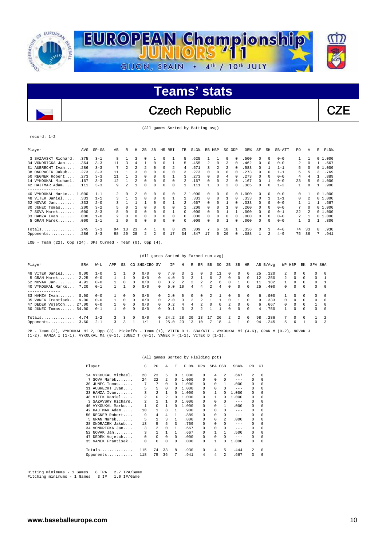

Czech Republic CZE

(All games Sorted by Batting avg)

#### record: 1-2

| Player                  | AVG  | $GP - GS$ | AB | R                        | Н  | 2B       | 3 <sub>B</sub> | HR.      | <b>RBT</b> | TB | $SLG$ $%$ | <b>BB</b> | HBP      | SO GDP         |                | OB%   | SF       | SH       | SB-ATT  | P <sub>0</sub> | Α        | E | FLD%      |
|-------------------------|------|-----------|----|--------------------------|----|----------|----------------|----------|------------|----|-----------|-----------|----------|----------------|----------------|-------|----------|----------|---------|----------------|----------|---|-----------|
| 3 SAZAVSKY Richard.     | .375 | $3 - 1$   | 8  |                          | ς  | $\Omega$ |                | n        |            | 5. | 625       |           |          | 0              |                | .500  | 0        | $\Omega$ | $0 - 0$ |                |          |   | 01.000    |
| 34 VONDRICKA Jan.       | .364 | $3 - 3$   | 11 | 3                        | 4  |          | U              | $\Omega$ |            | 5  | 455       | 2         | $\Omega$ | 3              |                | .462  | 0        | $\Omega$ | $0 - 0$ | $\mathfrak{D}$ | $\Omega$ |   | .667      |
| 31 AUBRECHT Ivan        | .286 | $3 - 3$   |    | 2                        |    |          | 0              | $\Omega$ | 2          | 4  | 571       | 3         | 2        | 2              |                | .583  | 0        |          | $1 - 1$ | 5              | $\Omega$ |   | 01.000    |
| 38 ONDRACEK Jakub       | .273 | $3 - 3$   | 11 |                          |    |          |                | $\Omega$ | 0          | 3  | 273       |           |          | 0              |                | 273   | 0        | $\Omega$ | $1 - 1$ | 5              |          |   | .769      |
| 50 REGNER Robert.       | .273 | $3 - 3$   | 11 |                          |    | $\Omega$ | 0              | $\Omega$ |            |    | 273       | 0         |          | 4              |                | 273   | 0        | $\Omega$ | $0 - 0$ | 4              |          |   | .889      |
| 14 VYKOUKAL Michael     | .167 | $3 - 3$   | 12 |                          |    | $\Omega$ |                | $\Omega$ | 0          |    | .167      | U         | $\cap$   | 2              |                | 167   | 0        |          | $0 - 0$ | 23             | ц        | 0 | 1,000     |
| 42 HAJTMAR Adam         | .111 | $3 - 3$   | 9  | $\overline{\mathcal{L}}$ |    | $\Omega$ | 0              | $\Omega$ | 0          |    | 111       |           | 3        | $\mathfrak{D}$ |                | .385  | 0        | $\Omega$ | $1 - 2$ |                | 8        |   | .900      |
| ---------               |      |           |    |                          |    |          |                |          |            |    |           |           |          |                |                |       |          |          |         |                |          |   |           |
| 40 VYKOUKAL Marko 1.000 |      | $1 - 1$   | 2  | $\Omega$                 |    | $\Omega$ | U              | $\Omega$ | 0          |    | 2, 1, 000 | 0         | $\Omega$ | 0              | 0 <sub>1</sub> | . 000 | $\Omega$ | $\Omega$ | $0 - 0$ | 0              |          |   | 01.000    |
| 48 VITEK Daniel<br>.    | .333 | $1 - 1$   | 3  |                          |    | 0        | 0              | 0        |            |    | .333      | 0         | $\Omega$ |                |                | .333  | 0        |          | $1 - 1$ | 0              |          |   | 01.000    |
| $52$ NOVAK Jan          | .333 | $2 - 0$   |    |                          |    |          |                | $\Omega$ |            |    | .667      | 0         |          |                |                | .333  |          | $\Omega$ | $0 - 0$ |                |          |   | .667      |
| 30 JUNEC Tomas          | .200 | $3 - 2$   |    |                          |    |          |                | 0        | 0          |    | 200       |           |          |                |                | 200   | 0        | $\Omega$ | $0 - 0$ | 7              |          |   | 0, 1, 000 |
| 7 SOVA Marek            | .000 | $3 - 3$   | 8  | $\Omega$                 | 0  | $\Omega$ | 0              | $\Omega$ |            | 0  | .000      | 0         |          |                |                | .000  | $\Omega$ | $\Omega$ | $0 - 1$ | 22             |          |   | 01.000    |
| 33 HAMZA Ivan           | .000 | $1 - 0$   |    | 0                        | 0  | 0        | 0              | $\Omega$ | 0          | 0  | .000      | 0         |          | 0              |                | .000  | 0        | 0        | $0 - 0$ | $\mathfrak{D}$ |          |   | 01.000    |
| 5 GRAN Marek            | .000 | $1 - 1$   | 2  | $\Omega$                 |    | $\Omega$ |                | 0        | 0          | 0  | .000      | U.        |          |                |                | .000  | 0        | $\Omega$ | $0 - 0$ |                | 3        |   | .800      |
| Totals                  | .245 | $3 - 3$   | 94 | 13                       | 23 | 4        |                | 0        | 8          | 29 | .309      |           | 6        | 18             |                | .336  | $\Omega$ | 3        | $4 - 6$ | 74             | 33       | 8 | .930      |
| Opponents               | .286 | $3 - 3$   | 98 | 20                       | 28 |          |                | 0        | 17         | 34 | .347      | 17        | $\Omega$ | 26             |                | .388  |          | 2        | $4 - 9$ | 75             | 36       |   | .941      |
|                         |      |           |    |                          |    |          |                |          |            |    |           |           |          |                |                |       |          |          |         |                |          |   |           |

 $LOB - Team (22)$ , Opp (24). DPs turned - Team (0), Opp (4).

|                        |      |         |              |          |          |               |          | (All games Sorted by Earned run avg) |          |        |                |               |     |          |          |          |    |          |              |            |          |              |          |
|------------------------|------|---------|--------------|----------|----------|---------------|----------|--------------------------------------|----------|--------|----------------|---------------|-----|----------|----------|----------|----|----------|--------------|------------|----------|--------------|----------|
| Player                 | ERA  | $W-L$   | APP          | GS       |          | CG SHO/CBO SV |          | ΙP                                   | Η        | R      | ER.            | BB            | SO. | 2B       | 3B       | HR       |    | AB B/Avq |              | WP HBP     | BK       | SFA SHA      |          |
| 48 VITEK Daniel        | 0.00 | $1 - 0$ |              |          | $\Omega$ | 0/0           | $\Omega$ | 7.0                                  | 3        | 2.     | 0              | 3             |     | $\Omega$ | $\Omega$ | $\Omega$ | 25 | .120     | 2            | 0          | $\Omega$ | 0            | $\Omega$ |
| 5 GRAN Marek           | 2.25 | $0 - 0$ | 1.           |          | $\Omega$ | 0/0           | $\Omega$ | 4.0                                  |          |        |                | б.            |     | $\Omega$ | 0        | $\Omega$ | 12 | .250     | $\mathbf{2}$ | $^{\circ}$ | $\Omega$ | $\Omega$     |          |
| $52$ NOVAK Jan         | 4.91 | $0 - 0$ |              | $\Omega$ | $\Omega$ | 0/0           | $\Omega$ | 3.2                                  |          |        |                |               | 6.  | $\Omega$ |          | $\Omega$ | 11 | .182     |              | 0          | $\Omega$ | 0            |          |
| 40 VYKOUKAL Marko      | 7.20 | $0 - 1$ |              |          | 0        | 0/0           | $\Omega$ | 5.0                                  | 10       | 4      | 4              | 2             | 4   | $\Omega$ | 0        | $\Omega$ | 25 | .400     | $\Omega$     | $\Omega$   | 0        | 0            | $\Omega$ |
| . <u>.</u> .           |      |         |              |          |          |               |          |                                      |          |        |                |               |     |          |          |          |    |          |              |            |          |              |          |
| 33 HAMZA Ivan          | 0.00 | $0 - 0$ | $\mathbf{1}$ | $\Omega$ | $\Omega$ | 0/0           | $\Omega$ | 2.0                                  | $\Omega$ | $\cap$ | $\Omega$       | $\mathcal{L}$ |     | $\Omega$ | $\cap$   | $\Omega$ | 6  | . 000    |              | $\Omega$   | $\Omega$ | $\Omega$     | $\Omega$ |
| 35 VANEK Frantisek     | 9.00 | $0 - 0$ | $\mathbf{1}$ | $\Omega$ | 0        | 0/0           | $\Omega$ | 2.0                                  |          |        | $\mathfrak{D}$ |               |     | $\Omega$ |          | $\Omega$ | 9  | .333     | $\Omega$     | $\Omega$   | $\Omega$ | 0            | $\Omega$ |
| 47 DEDEK Vojetch 27.00 |      | $0 - 0$ |              | $\Omega$ | $\Omega$ | 0/0           | $\Omega$ | 0.2                                  | 4        |        |                | <sup>n</sup>  | 0   |          | 0        | $\Omega$ | 6  | .667     | $\Omega$     | $\Omega$   | $\cap$   |              | $\Omega$ |
| 30 JUNEC Tomas 54.00   |      | $0 - 1$ |              | $\Omega$ | 0        | 0/0           | $\Omega$ | 0.1                                  | Κ        | 3      | $\mathfrak{D}$ |               |     | $\Omega$ | 0        | $\Omega$ | 4  | .750     |              | $\Omega$   | $\Omega$ | $\Omega$     | $\Omega$ |
| Totals                 | 4.74 | $1 - 2$ | 3.           | 3        | $\Omega$ | 0/0           | ∩.       | 24.2                                 | 28       | 20     | 13             |               | 26  | 2.       | 2        | $\Omega$ | 98 | .286     |              | $\Omega$   | $\Omega$ |              |          |
| Opponents              | 3.60 | $2 - 1$ | 3            | ર        |          | /1            |          | 25.0                                 | 23       | 13     | 10             |               | 18  | 4        |          | $\Omega$ | 94 | .245     | 5.           | 6          |          | <sup>n</sup> | ્ર       |
|                        |      |         |              |          |          |               |          |                                      |          |        |                |               |     |          |          |          |    |          |              |            |          |              |          |

PB - Team (2), VYKOUKAL Mi 2, Opp (3). Pickoffs - Team (1), VITEK D 1. SBA/ATT - VYKOUKAL Mi (4-6), GRAN M (0-2), NOVAK J<br>(1-2), HAMZA I (1-1), VYKOUKAL Ma (0-1), JUNEC T (0-1), VANEK F (1-1), VITEK D (1-1).

#### (All games Sorted by Fielding pct)

| Player |                      | C              | PO.          | A              | E.       | FLD%  | DPs      | SBA CSB      |    | SBA%    | PB       | CI       |
|--------|----------------------|----------------|--------------|----------------|----------|-------|----------|--------------|----|---------|----------|----------|
|        | 14 VYKOUKAL Michael. | 2.8            | 23           | 5              | 0        | 1,000 | $\Omega$ | 4            | 2. | .667    | 2        | 0        |
| 7      | SOVA Marek           | 24             | 2.2.         | 2              | 0        | 1,000 | 0        | <sup>n</sup> | 0  | $- - -$ | $\Omega$ | $\Omega$ |
| 30.    | JUNEC Tomas          | 7              | 7            | $\Omega$       | 0        | 1,000 | 0        | <sup>n</sup> | 1  | .000    | $\Omega$ | $\Omega$ |
| 31     | AUBRECHT Ivan        | 5              | 5            | $\Omega$       | 0        | 1,000 | $\Omega$ | 0            | 0  | $---$   | $\Omega$ | $\Omega$ |
| 33     | HAMZA Ivan           | 3              | 2            | 1              | 0        | 1,000 | 0        |              | 0  | 1,000   | $\Omega$ | 0        |
|        | 48 VITEK Daniel      | $\mathfrak{D}$ | $\Omega$     | $\mathfrak{D}$ | 0        | 1,000 | n        |              |    | 1,000   | 0        | $\Omega$ |
| 3.     | SAZAVSKY Richard.    | $\mathfrak{D}$ | 1            | 1              | 0        | 1,000 | 0        | 0            | 0  | $- - -$ | $\Omega$ | $\Omega$ |
| 40     | VYKOUKAL Marko       |                | 0            | 1              | 0        | 1,000 | $\Omega$ | 0            | 1  | .000    | 0        | 0        |
| 42     | HAJTMAR Adam         | 10             | 1            | 8              | 1        | .900  | $\Omega$ | 0            | 0  | $-- -$  | 0        | 0        |
| 50     | REGNER Robert        | 9              | 4            | 4              |          | .889  | U        | <sup>n</sup> | 0  | $- - -$ | $\Omega$ | $\Omega$ |
| 5.     | GRAN Marek           | 5              | 1            | 3              | 1        | .800  | $\Omega$ | 0            | 2. | .000    | $\Omega$ | $\Omega$ |
| 38     | ONDRACEK Jakub       | 13             | 5            | 5              | 3        | .769  | $\Omega$ | 0            | 0  | $- - -$ | $\Omega$ | 0        |
| 34     | VONDRICKA Jan        | 3              | 2            | 0              | 1        | .667  | $\Omega$ | 0            | 0  | $- - -$ | $\Omega$ | 0        |
|        | $52$ NOVAK Jan       | 3              | $\mathbf{1}$ |                | 1        | .667  | 0        |              |    | .500    | $\Omega$ | $\Omega$ |
| 47     | DEDEK Vojetch        | 0              | 0            | $\Omega$       | 0        | .000  | 0        | 0            | 0  | $- - -$ | $\Omega$ | $\Omega$ |
|        | 35 VANEK Frantisek   | 0              | 0            | $\Omega$       | $\Omega$ | .000  | 0        | 1            | 0  | 1,000   | $\Omega$ | $\Omega$ |
|        |                      | 115            | 74           | 33             | 8        | .930  | 0        | 4            | 5  | .444    | 2        | $\Omega$ |
|        | Opponents            | 118            | 75           | 36             | 7        | .941  | 4        | 4            | 2. | .667    | 3        | $\Omega$ |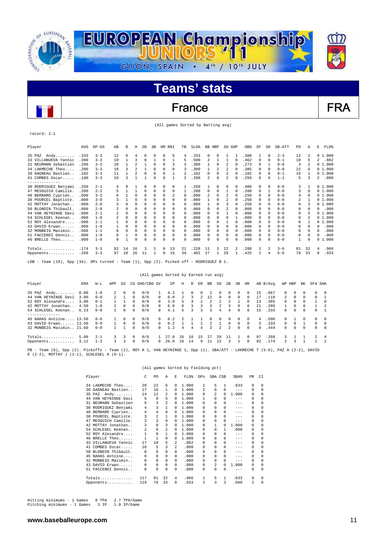

### France FRA

(All games Sorted by Batting avg)

#### record: 2-1

| Player               | AVG   | $GP - GS$ | AB | R        | Η            | 2B       | 3B       | HR.      | RBI      | TB             | SLG% | <b>BB</b>    | HBP      | SO. | GDP      | OB%  | SF           | SH           | SB-ATT  | PO. | Α            | E<br>FLD%             |
|----------------------|-------|-----------|----|----------|--------------|----------|----------|----------|----------|----------------|------|--------------|----------|-----|----------|------|--------------|--------------|---------|-----|--------------|-----------------------|
| 35 PAZ<br>Andy       | .333  | $3 - 3$   | 12 | 0        | 4            | $\Omega$ |          | $\Omega$ | 5        | 4              | .333 | $\Omega$     | 0        |     |          | .308 |              | $\Omega$     | $2 - 3$ | 12  | 2            | 01.000                |
| 33 VILLANUEVA Yannic | .300  | $3 - 3$   | 10 |          | 3            | $\Omega$ |          | 0        |          | 5              | .500 | 2            |          |     | 0        | .462 | 0            | $\Omega$     | $0 - 1$ | 10  | 5            | .882<br>$\mathcal{L}$ |
| 31 NEUMANN Sebastien | .200  | $3 - 3$   | 10 |          |              |          | $\Omega$ | $\Omega$ | 3        | 3              | .300 |              | 0        | 2   | 0        | .273 | 0            |              | $0 - 0$ | 3   | 2            | 01.000                |
| 34 LAKMECHE Theo     | .200  | $3 - 3$   | 10 | ٦        | 2.           |          | 0        | $\Omega$ | $\Omega$ | 3              | .300 |              | 2        | 2   | $\Omega$ | .385 | 0            | 0            | $0 - 0$ | 22  | 6            | 01.000                |
| 39 DAGNEAU Bastien.  | .182  | $3 - 3$   | 11 |          |              | n        |          | $\Omega$ |          | 2              | .182 | 0            | 0        | 2   | $\Omega$ | .182 | 0            | $\Omega$     | $0 - 1$ | 16  | $\mathbf{1}$ | 01.000                |
| 41 COMBES Oscar      | .100  | $3 - 3$   | 10 | 3        |              |          |          | $\Omega$ |          | $\mathfrak{D}$ | .200 | 2            | 0        | 2   | $\Omega$ | .250 | 0            | $\Omega$     | $1 - 1$ | 5   | 3            | .800<br>$\mathcal{L}$ |
| --------------       |       |           |    |          |              |          |          |          |          |                |      |              |          |     |          |      |              |              |         |     |              |                       |
| 30 RODRIGUEZ Benjami | .250  | $2 - 1$   | 4  | $\Omega$ |              | n        |          | 0        | $\Omega$ |                | .250 |              | 0        | 0   | $\Omega$ | .400 | 0            | $\Omega$     | $0 - 0$ | 3   | $\mathbf{1}$ | 01.000                |
| 47 MESGUICH Camille  | .200  | $2 - 2$   |    |          |              | 0        | 0        | 0        | $\Omega$ |                | .200 | 0            | 0        |     | $\Omega$ | .200 | 0            |              | $0 - 0$ | 3   | $\Omega$     | 01.000                |
| 48 BERNARD Cyprien   | .000  | $3 - 3$   |    |          | $\Omega$     | n        |          | $\Omega$ | 2        | $\Omega$       | .000 |              | $\Omega$ |     | $\Omega$ | .250 | 0            | 0            | $0 - 0$ | 4   | $\Omega$     | 01.000                |
| 38 POURCEL Baptiste. | .000  | $3 - 0$   |    |          | $\Omega$     | $\Omega$ |          | 0        | 0        | $\Omega$       | .000 |              | 0        | 2   | 0        | .250 | 0            | $\Omega$     | $0 - 0$ | 2   | 1            | 01.000                |
| 42 MOTTAY Jonathan.  | .000  | $2 - 0$   |    | 0        | $\Omega$     | $\Omega$ | 0        | 0        | 0        | 0              | .000 |              | 0        | 3   | $\Omega$ | .250 | 0            | 0            | $0 - 0$ | 0   | 3            | 01.000                |
| 50 BLONDIN Thibault  | . 000 | $2 - 0$   |    | 0        | $\Omega$     | n        |          | 0        | 0        | 0              | .000 | 0            | 0        |     | $\Omega$ | .000 | <sup>0</sup> | <sup>n</sup> | $0 - 0$ | 0   | $\Omega$     | .000<br>0             |
| 44 VAN HEYNINGE Davi | . 000 | $2 - 1$   |    | 0        | $\Omega$     | $\Omega$ | 0        | 0        | $\Omega$ | $\Omega$       | .000 |              | $\Omega$ |     |          | .000 |              | $\Omega$     | $0 - 0$ | 0   | 5            | 01.000                |
| 54 SCHLEGEL Keenan.  | . 000 | $1 - 0$   |    | 0        | <sup>0</sup> | n        |          | $\Omega$ | $\Omega$ | $\Omega$       | .000 | 0            | $\Omega$ | 0   |          | .000 | 0            | 0            | $0 - 0$ | 0   |              | 01.000                |
| 52 ROY Alexandre     | .000  | $1 - 1$   |    | U        | $\Omega$     | n        |          | 0        | $\Omega$ | $^{(1)}$       | .000 |              | $\Omega$ |     | $\Omega$ | .000 | 0            | $\Omega$     | $0 - 0$ | 0   |              | 01.000                |
| 43 DAVID Erwan       | .000  | $1 - 0$   |    | 0        | 0            | $\Omega$ | 0        | 0        | 0        | 0              | .000 |              | 0        | 0   | $\Omega$ | .000 | $\Omega$     | $\cap$       | $0 - 0$ | 0   | 0            | .000<br>0             |
| 32 MONBEIG Maximin.  | .000  | $1 - 1$   |    | 0        | $\Omega$     | 0        | 0        | $\Omega$ | 0        | 0              | .000 | 0            | $\Omega$ | 0   | $\Omega$ | .000 | 0            | 0            | $0 - 0$ | 0   | $\Omega$     | .000<br>0             |
| 51 FACCENDI Dennis.  | .000  | $1 - 0$   |    |          | 0            | 0        | 0        | $\Omega$ | 0        | 0              | .000 | 0            | 0        | 0   | $\Omega$ | .000 | 0            | 0            | $0 - 0$ | 0   | 0            | .000<br>0             |
| 46 BRELLE Theo       | .000  | $1 - 0$   | 0  |          | $\Omega$     | n        | $\Omega$ | $\Omega$ | $\Omega$ | <sup>n</sup>   | .000 | <sup>n</sup> | $\Omega$ | 0   | $\Omega$ | .000 | 0            | $\cap$       | $0 - 0$ | 1   | 0            | 01.000                |
| $Totals$             | .174  | $3 - 3$   | 92 | 14       | 16           | 3        |          | $\Omega$ | 13       | 21             | .228 | 11           | 3        | 22  | 2        | .280 |              | 2            | $3 - 6$ | 81  | 32           | .966<br>4             |
| Opponents            | .268  | $3 - 3$   | 97 | 18       | 26           | 11       |          | $\Omega$ | 16       | 39             | .402 | 27           |          | 28  |          | .425 | 2            |              | $5 - 6$ | 78  | 33           | .933<br>8             |

LOB - Team (19), Opp (34). DPs turned - Team (1), Opp (2). Picked off - RODRIGUEZ B 1.

|                                                  |              |                    |                               |            |                          | (All games Sorted by Earned run avg) |                      |            |               |         |                    |              |            |        |                  |                      |           |              |                     |                        |               |                    |                      |
|--------------------------------------------------|--------------|--------------------|-------------------------------|------------|--------------------------|--------------------------------------|----------------------|------------|---------------|---------|--------------------|--------------|------------|--------|------------------|----------------------|-----------|--------------|---------------------|------------------------|---------------|--------------------|----------------------|
| Player                                           | ERA          | $W-L$              | APP                           | GS         |                          | CG SHO/CBO SV                        |                      | ΙP         | Н             | R       | ER                 | BB           | SO.        | 2B     | 3B               | HR                   |           | AB B/Avq     | WP HBP              |                        | BK            | SFA SHA            |                      |
| 35 PAZ<br>Andy<br>44 VAN HEYNINGE Davi           | 0.00<br>3.00 | $1 - 0$<br>$0 - 0$ | $\overline{2}$<br>$2^{\circ}$ | $^{\circ}$ | 0<br>$\Omega$            | 0/0<br>0/0                           | $\Omega$             | 4.2<br>6.0 | $\mathcal{L}$ | 0<br>3. | 0<br>$\mathcal{L}$ | 12           | 8<br>9     | 0<br>0 | 0<br>$\cap$      | $^{\circ}$           | 15<br>17  | .067<br>.118 | 0<br>$\overline{2}$ | $^{\circ}$<br>$\Omega$ | 0<br>$\cap$   | $\Omega$<br>$\cap$ | - 0                  |
| 52 ROY Alexandre<br>42 MOTTAY Jonathan           | 3.00<br>4.50 | $0 - 1$<br>$1 - 0$ | 2                             | $\Omega$   | 0<br>$\Omega$            | 0/0<br>0/0                           | $\Omega$<br>$\Omega$ | 3.0<br>6.0 | 5.<br>б.      |         |                    |              |            | 3      | <sup>n</sup>     | 0<br>0               | 13<br>2.1 | .385<br>286  | ∩.                  | $\Omega$<br>$\Omega$   | 0<br>$\Omega$ |                    | - 2                  |
| 54 SCHLEGEL Keenan                               | 6.23         | $0 - 0$            |                               | $\Omega$   | <sup>n</sup>             | 0/0                                  | $\Omega$             | 4.1        | 5             |         | ર                  |              | 4          | 4      | $\cap$           | $\Omega$             | 1.5       | .333         | $\cap$              | $\Omega$               | $\Omega$      | 0                  |                      |
| 45 NAHAS Antoine 13.50                           |              | $0 - 0$            |                               | 0          | 0                        | 0/0                                  | $\Omega$             | 0.2        | 2             |         |                    | <sup>n</sup> | $^{\circ}$ | 0      | 0                | $\Omega$             | 4         | .500         | $\cap$              |                        | 0             | $\Omega$           | - ()                 |
| 43 DAVID Erwan 13.50<br>32 MONBEIG Maximin 21.60 |              | $0 - 0$<br>$0 - 0$ |                               | $\Omega$   | $\Omega$<br><sup>n</sup> | 0/0<br>0/0                           | $\Omega$<br>$\Omega$ | 0.2<br>1.2 | 4             |         | 4                  |              |            | 0<br>2 | $\cap$<br>$\cap$ | $\Omega$<br>$\Omega$ | 3<br>9    | .333<br>.444 | $\cap$<br>$\cap$    | $\Omega$<br>$\Omega$   | $\Omega$      | $\Omega$<br>0      | $\Omega$<br>$\Omega$ |
| Totals                                           | 5.00         | $2 - 1$            | $\overline{3}$                | 3          | $\Omega$                 | 0/0                                  |                      | 27.0       | 26            | 18      | 15                 | 27           | 28         | 11     |                  | $\Omega$             | 97        | .268         | 3                   |                        |               | $\mathcal{L}$      |                      |
| Opponents                                        | 3.12         | $1 - 2$            | 3                             | 3          | $\Omega$                 | 0/0                                  | $\Omega$             | 26.0       | 16            | 14      | 9                  | 11           | 2.2.       | 3      |                  | 0                    | 92        | .174         | $\mathbf{2}$        | 3                      |               |                    | - 2                  |

PB - Team (0), Opp (2). Pickoffs - Team (2), ROY A 1, VAN HEYNINGE 1, Opp (1). SBA/ATT - LAKMECHE T (5-6), PAZ A (2-2), DAVID E (2-2), MOTTAY J (1-1), SCHLEGEL K (0-1).

|                      |                |                |                |                | (All games Sorted by Fielding pct) |                |              |              |         |          |            |
|----------------------|----------------|----------------|----------------|----------------|------------------------------------|----------------|--------------|--------------|---------|----------|------------|
| Player               | C              | P <sub>0</sub> | A              | E.             | FLD%                               | DPs            | SBA CSB      |              | SBA%    | PB       | CI         |
| 34 LAKMECHE Theo     | 2.8            | 22             | 6              | 0              | 1,000                              | 1              | 5            | $\mathbf{1}$ | .833    | $\Omega$ | $\Omega$   |
| 39 DAGNEAU Bastien   | 17             | 16             | 1              | 0              | 1,000                              | 1              | 0            | 0            | $---$   | 0        | 0          |
| 35 PAZ Andy          | 14             | 12             | 2              | 0              | 1,000                              | 0              | 2            | 0            | 1,000   | $\Omega$ | 0          |
| 44 VAN HEYNINGE Davi | 5              | 0              | 5              | $\Omega$       | 1,000                              | 1              | $\Omega$     | 0            | $---$   | 0        | $\Omega$   |
| 31 NEUMANN Sebastien | 5              | 3              | $\overline{2}$ | 0              | 1,000                              | 0              | 0            | 0            | $-- -$  | $\Omega$ | $\Omega$   |
| 30 RODRIGUEZ Benjami | 4              | 3              | $\mathbf{1}$   | $\Omega$       | 1.000                              | 0              | 0            |              | $- - -$ | $\Omega$ | $\Omega$   |
| 48 BERNARD Cyprien   | 4              | 4              | 0              | 0              | 1,000                              | 0              | $\Omega$     | 0            | $-- -$  | $\Omega$ | $\Omega$   |
| 38 POURCEL Baptiste. | 3              | $\overline{a}$ | $\mathbf{1}$   | $\Omega$       | 1,000                              | <sup>n</sup>   | 0            | 0            | $- - -$ | $\Omega$ | 0          |
| 47 MESGUICH Camille. | 3              | 3              | 0              | 0              | 1,000                              | <sup>n</sup>   | 0            | 0            | $--$    | 0        | $\Omega$   |
| 42 MOTTAY Jonathan   | 3              | 0              | 3              | $\Omega$       | 1,000                              | 0              | $\mathbf{1}$ | 0            | 1,000   | $\Omega$ | $^{\circ}$ |
| 54 SCHLEGEL Keenan   | $\mathfrak{D}$ | 0              | $\mathfrak{D}$ | 0              | 1,000                              | 0              | $\Omega$     | 1            | .000    | $\Omega$ | $\Omega$   |
| 52 ROY Alexandre     | 1              | 0              | $\mathbf{1}$   | $\Omega$       | 1,000                              | 0              | 0            | 0            | $---$   | 0        | 0          |
| 46 BRELLE Theo       | 1              | 1              | $\Omega$       | $\Omega$       | 1,000                              | <sup>n</sup>   | 0            | 0            | $-- -$  | $\Omega$ | $\Omega$   |
| 33 VILLANUEVA Yannic | 17             | 10             | 5              | 2              | .882                               | 0              | 0            | 0            | $- - -$ | $\Omega$ | $\Omega$   |
| COMBES Oscar<br>41   | 10             | 5              | 3              | $\mathfrak{D}$ | .800                               | 0              | 0            | 0            | $-- -$  | $\Omega$ | 0          |
| 50 BLONDIN Thibault. | 0              | 0              | $\Omega$       | 0              | .000                               | $\Omega$       | 0            | 0            | $- - -$ | 0        | $\Omega$   |
| 45 NAHAS Antoine     | 0              | 0              | $\Omega$       | $\Omega$       | .000                               | 0              | <sup>n</sup> | 0            | $- - -$ | $\Omega$ | $\Omega$   |
| 32 MONBEIG Maximin   | 0              | 0              | $\Omega$       | 0              | .000                               | 0              | 0            | 0            | $- - -$ | $\Omega$ | 0          |
| 43 DAVID Erwan       | 0              | 0              | $\Omega$       | $\Omega$       | .000                               | $\Omega$       | 2            | 0            | 1,000   | $\Omega$ | 0          |
| 51 FACCENDI Dennis   | 0              | 0              | $\Omega$       | 0              | .000                               | 0              | 0            | 0            | $- - -$ | 0        | $\Omega$   |
| Totals               | 117            | 81             | 32             | 4              | .966                               | 1              | 5            | 1            | .833    | 0        | 0          |
| Opponents            | 119            | 78             | 33             | 8              | .933                               | $\mathfrak{D}$ | 3            | 3            | .500    | 2        | 0          |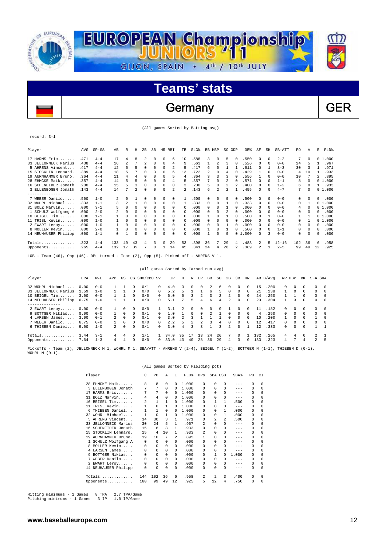

### Germany GER

(All games Sorted by Batting avg)

record: 3-1

| Player               | AVG  | $GP - GS$ | AB  | R        | Н  | 2B            | 3B       | HR.          | RBI | TB | SLG <sup>§</sup> | BB HBP |                          | SO GDP |            | OB%   | SF             | SH           | SB-ATT    | PO. | Α        | Е        | FLD%   |
|----------------------|------|-----------|-----|----------|----|---------------|----------|--------------|-----|----|------------------|--------|--------------------------|--------|------------|-------|----------------|--------------|-----------|-----|----------|----------|--------|
| 17 HARMS Eric        | .471 | $4 - 4$   | 17  | 4        | 8  |               | 0        | $\Omega$     | 6   | 10 | .588             | 3      | $\Omega$                 | 5      | $^{\circ}$ | .550  | 0              | $\Omega$     | $2 - 2$   | 7   | $\Omega$ |          | 01.000 |
| 33 JELLONNECK Marius | .438 | $4 - 4$   | 16  | 2        |    | $\mathcal{L}$ | $\Omega$ | $\Omega$     | 4   | 9  | .563             |        | 2                        | ٦      |            | .526  | $\Omega$       | $\cap$       | $0 - 0$   | 24  | 5        |          | .967   |
| 5 AHRENS Vincent     | .417 | $4 - 4$   | 12  | 5        | г, | $\Omega$      | 0        | $\Omega$     | 2   | 5  | .417             | 6      | $\Omega$                 |        |            | .611  | $\Omega$       |              | $3 - 3$   | 30  | 3        |          | .971   |
| 15 STOCKLIN Lennard. | .389 | $4 - 4$   | 18  | 5        |    | $\Omega$      | κ        | $\Omega$     | б   | 13 | .722             | 2      | $\Omega$                 |        |            | .429  |                | 0            | $0 - 0$   | 4   | 10       |          | .933   |
| 19 AURNHAMMER Bruno  | .364 | $4 - 4$   | 11  | 4        | 4  | $\Omega$      | 0        | <sup>n</sup> | 5   | 4  | .364             | 3      | 3                        |        |            | .556  |                | <sup>n</sup> | $0 - 0$   | 10  |          | 2        | .895   |
| 28 EHMCKE Maik       | .357 | $4 - 4$   | 14  | 5        | г, | $\Omega$      | 0        | $\Omega$     | 4   | 5  | .357             |        | $\Omega$                 |        |            | .571  | $\Omega$       | $\Omega$     | $1 - 1$   | 8   | 0        |          | 01.000 |
| 16 SCHENEIDER Jonath | .200 | $4 - 4$   | 15  | 5        | 3  | $\Omega$      | 0        | 0            | 0   | 3  | .200             | 5      | $\Omega$                 | 2      |            | .400  | $\Omega$       | $\Omega$     | $1 - 2$   | 6   | 8        |          | .933   |
| 3 ELLENBOGEN Jonath  | .143 | $4 - 4$   | 14  |          | 2  | $\Omega$      | 0        | 0            | 2   | 2. | .143             | б.     | $\overline{\mathcal{L}}$ |        |            | .455  | <sup>0</sup>   | $\Omega$     | $4 - 7$   | 7   | 0        |          | 01.000 |
| --------------       |      |           |     |          |    |               |          |              |     |    |                  |        |                          |        |            |       |                |              |           |     |          |          |        |
| 7 WEBER Danilo       | .500 | $1 - 0$   | 2   | 0        |    | $\Omega$      | 0        | 0            | 0   |    | .500             | 0      | 0                        | 0      |            | .500  | $\Omega$       | $\Omega$     | $0 - 0$   | 0   |          | 0        | .000   |
| 32 WOHRL Michael     | .333 | $1 - 1$   |     | 2        |    | $\Omega$      | 0        | $\Omega$     | 0   |    | .333             | 0      | $\Omega$                 |        |            | .333  | 0              | $\Omega$     | $0 - 0$   | 0   |          |          | 01.000 |
| 31 BOLZ Marvin       | .000 | $3 - 1$   |     | $\Omega$ | 0  | $\Omega$      | 0        | $\Omega$     | 0   | 0  | .000             | 0      | $\Omega$                 |        | $\Omega$   | .000  | 0              | 0            | $0 - 0$   | 4   | 0        |          | 01.000 |
| 1 SCHULZ Wolfgang A  | .000 | $2 - 0$   | 2   | $\Omega$ | 0  | 0             | 0        | 0            | 0   | 0  | .000             | 0      | 0                        | 2      | $\Omega$   | .000  | 0              | 0            | $0 - 0$   | 0   | 0        | U        | .000   |
| $10$ BETGEL Tim      | .000 | $1 - 1$   |     | $\Omega$ |    | 0             | 0        | 0            | 0   | 0  | .000             |        | $\Omega$                 |        | $\Omega$   | .500  | 0              |              | $0 - 0$   |     |          |          | 01.000 |
| 11 TRISL Kevin       | .000 | $1 - 0$   |     | $\Omega$ |    | 0             | 0        | $\Omega$     | 0   | 0  | .000             | 0      | 0                        | 0      |            | .000  | 0              | <sup>n</sup> | $0 - 0$   | 0   |          |          | 01.000 |
| 2 EWART Leroy        | .000 | $1 - 0$   |     | $\Omega$ | 0  | $\Omega$      | 0        | 0            | 0   | 0  | .000             | 0      | $\Omega$                 |        | $\Omega$   | .000  | $\Omega$       | $\Omega$     | $0 - 0$   | 0   | 0        | 0        | .000   |
| 8 MOLLER Kevin       | .000 | $2 - 0$   |     | $\Omega$ | 0  | $\Omega$      | 0        | $\Omega$     | 0   | 0  | .000             |        | $\Omega$                 |        | $\Omega$   | .500  | $\Omega$       | $\Omega$     | $1 - 1$   | 0   | 0        | $\Omega$ | .000   |
| 14 NEUHAUSER Philipp | .000 | $1 - 1$   | 0   |          | U  | $\Omega$      | U        |              | 0   | 0  | .000             |        |                          | U      | 0          | 1,000 | $\Omega$       | 3            | $0 - 0$   | 0   |          | 0        | .000   |
| $Totals$             | .323 | $4 - 4$   | 133 | 40       | 43 | 4             | 3        | $\Omega$     | 29  | 53 | .398             | 36     | 7                        | 29     | 4          | .483  | $\mathfrak{D}$ | 5            | $12 - 16$ | 102 | 36       | 6        | .958   |
| Opponents            | .265 | $4 - 4$   | 132 | 17       | 35 |               | $\Omega$ | 1            | 14  | 45 | .341             | 24     | 4                        | 26     |            | .389  | 2              |              | $2 - 5$   | 99  | 49       | 12       | .925   |
|                      |      |           |     |          |    |               |          |              |     |    |                  |        |                          |        |            |       |                |              |           |     |          |          |        |

LOB - Team (46), Opp (46). DPs turned - Team (2), Opp (5). Picked off - AHRENS V 1.

| ERA  | W-L     | APP           | GS       |              |     |              | ΙP            | Н  | R            | ER            | BB     | SO. | 2B                                   | 3B           | HR.        |     |       |          |          | BK         |                |          |
|------|---------|---------------|----------|--------------|-----|--------------|---------------|----|--------------|---------------|--------|-----|--------------------------------------|--------------|------------|-----|-------|----------|----------|------------|----------------|----------|
| 0.00 | $0 - 0$ |               |          |              | 0/1 | 0            | 4.0           |    |              | 0             |        | 6   | $\Omega$                             |              | $^{\circ}$ | 15  | .200  | $\Omega$ | 0        | 0          | $\Omega$       | $\Omega$ |
| 1.59 | $1 - 0$ |               |          | $\Omega$     | 0/0 | $\cap$       | 5.2           | 5. |              |               | 6      | 5.  | $\Omega$                             | $\Omega$     | $\Omega$   | 21  | .238  |          | $\Omega$ | $\Omega$   | $\Omega$       | $\Omega$ |
| 3.00 | $0 - 0$ |               |          | $\Omega$     | 0/0 | $\cap$       | 6.0           | 6  | ٦            |               |        |     | 2.                                   | $\Omega$     | $\Omega$   | 24  | .250  |          |          | $\cap$     | $\Omega$       | $\Omega$ |
| 6.75 | $1 - 0$ |               |          | $\Omega$     | 0/0 | 0            | 5.1           |    | 5            | 4             | 6      | 4   | 2.                                   | $\Omega$     | $\Omega$   | 23  | .304  |          | ς        | $\Omega$   | $\Omega$       | $\Omega$ |
|      |         |               |          |              |     |              |               |    |              |               |        |     |                                      |              |            |     |       |          |          |            |                |          |
| 0.00 | $0 - 0$ |               | 0        | $\Omega$     | 0/0 |              | 3.1           |    |              | $\Omega$      | $\cap$ | 0   |                                      |              | $^{\circ}$ | 11  | .182  | $\Omega$ | $\Omega$ | $^{\circ}$ | $\Omega$       | $\Omega$ |
| 0.00 | $0 - 0$ |               | $\Omega$ | $\Omega$     | 0/1 | $\cap$       | 1.0           |    | <sup>n</sup> | $\Omega$      |        |     | $\cap$                               |              | $\Omega$   | 4   | .250  | $\Omega$ | $\Omega$ | $\Omega$   | $\Omega$       | $\Omega$ |
| 3.00 | $0 - 1$ | 2             | $\Omega$ | $\Omega$     | 0/1 | $\cap$       | 3.0           |    | ٦            |               |        |     | $\cap$                               |              | $\Omega$   | 10  | .200  |          | $\Omega$ | $\cap$     |                | $\Omega$ |
| 6.75 | $0 - 0$ |               | $\Omega$ | $\Omega$     | 0/0 | $\cap$       | 2.2           | 5. | 2            | $\mathcal{L}$ | 3      | 4   | $\cap$                               | $\cap$       | $\Omega$   | 12. | .417  | $\cap$   | $\Omega$ | $\Omega$   | $\Omega$       | $\Omega$ |
| 9.00 | $1 - 0$ | $\mathcal{L}$ | 0        | $\cap$       | 0/1 | <sup>n</sup> | 3.0           | 4  | 3            |               |        |     | $\mathfrak{D}$                       |              |            | 12. | .333  | $\Omega$ | $\Omega$ | $\cap$     |                |          |
| 3.44 | $3 - 1$ | 4             | 4        | $\cap$       | 1/1 |              | 34.0          | 35 |              | 13            | 2.4    | 26  |                                      |              |            | 132 | . 265 | 4        | 4        | $\Omega$   | $\overline{2}$ |          |
| 7.64 | $1 - 3$ | 4             | 4        | $\Omega$     | 0/0 | 0            | 33.0          | 43 | 40           | 28            | 36     | 29  | 4                                    | $\mathbf{R}$ | $\Omega$   | 133 | .323  | 4        |          | 4          | $\mathcal{L}$  | 5        |
|      |         |               |          | $\mathbf{1}$ |     |              | CG SHO/CBO SV |    |              |               |        |     | (All games Sorted by Earned run avg) |              |            |     |       | AB B/Avq |          | WP HBP     |                | SFA SHA  |

Pickoffs – Team (2), JELLONNECK M 1, WOHRL M 1. SBA/ATT – AHRENS V (2-4), BEIGEL T (1-2), BOTTGER N (1-1), THIEBEN D (0-1),<br>WOHRL M (0-1).

|                          |                |                |             |                | (All games Sorted by Fielding pct) |                |                |                |         |          |          |
|--------------------------|----------------|----------------|-------------|----------------|------------------------------------|----------------|----------------|----------------|---------|----------|----------|
| Player                   | C              | P <sub>0</sub> | A           | E.             | FLD%                               | DPs            | SBA CSB        |                | SBA%    | PB.      | CT.      |
| 28 EHMCKE Maik           | 8              | 8              | 0           | $\Omega$       | 1.000                              | 0              | 0              | $\Omega$       | $-- -$  | $\Omega$ | $\Omega$ |
| 3 ELLENBOGEN Jonath      | 7              |                | $\Omega$    | 0              | 1,000                              | 0              | $\Omega$       | 0              | $- - -$ | $\Omega$ | $\Omega$ |
| 17 HARMS Eric            | 7              | 7              | $\Omega$    | $\Omega$       | 1,000                              | 0              | 0              | 0              | $--$    | $\Omega$ | $\Omega$ |
| BOLZ Marvin<br>31        | 4              | 4              | $\Omega$    | 0              | 1,000                              | 0              | $\Omega$       | 0              | $- - -$ | $\Omega$ | $\Omega$ |
| 10 BEIGEL Tim            | $\mathfrak{D}$ | $\mathbf{1}$   | 1           | 0              | 1,000                              | <sup>n</sup>   | 1              | 1.             | .500    | $\Omega$ | $\Omega$ |
| TRISL Kevin<br>11        | 1              | $\Omega$       | 1           | $\Omega$       | 1,000                              | <sup>n</sup>   | 0              | 0              | $---$   | $\Omega$ | $\Omega$ |
| THIEBEN Daniel<br>6.     | 1              | 1              | $\mathbf 0$ | 0              | 1,000                              | 0              | $\Omega$       | 1              | .000    | 0        | $\Omega$ |
| 32 WOHRL Michael         | $\mathbf{1}$   | $\Omega$       | 1           | $\Omega$       | 1,000                              | <sup>n</sup>   | $\Omega$       | 1              | .000    | $\Omega$ | $\Omega$ |
| AHRENS Vincent<br>5      | 34             | 30             | 3           | 1              | .971                               | <sup>n</sup>   | $\mathfrak{D}$ | $\mathfrak{D}$ | .500    | $\Omega$ | $\Omega$ |
| JELLONNECK Marius<br>33. | 30             | 2.4            | 5           | $\mathbf{1}$   | .967                               | 2              | $\Omega$       | 0              | $---$   | $\Omega$ | $\Omega$ |
| SCHENEIDER Jonath<br>16  | 15             | 6              | 8           | 1              | .933                               | <sup>n</sup>   | 0              | 0              | $- - -$ | $\Omega$ | $\Omega$ |
| STOCKLIN Lennard.<br>15  | 15             | 4              | 10          | 1              | .933                               | $\mathfrak{D}$ | 0              | 0              | $- - -$ | $\Omega$ | $\Omega$ |
| 19 AURNHAMMER Bruno.     | 19             | 10             | 7           | $\mathfrak{D}$ | .895                               | 1              | 0              | 0              | ---     | $\Omega$ | $\Omega$ |
| 1 SCHULZ Wolfgang A      | $\Omega$       | $\Omega$       | $\Omega$    | 0              | .000                               | <sup>n</sup>   | <sup>n</sup>   | $\Omega$       | $- - -$ | $\Omega$ | $\Omega$ |
| 8 MOLLER Kevin           | 0              | 0              | $\Omega$    | 0              | .000                               | <sup>n</sup>   | 0              | $\Omega$       | $--$    | $\Omega$ | $\Omega$ |
| 4 LARSEN James           | 0              | 0              | $\Omega$    | $\Omega$       | .000                               | $\Omega$       | 0              | 0              | $- - -$ | $\Omega$ | $\Omega$ |
| 9 BOTTGER Niklas         | 0              | 0              | $\Omega$    | $\Omega$       | .000                               | 0              | 1              | 0              | 1,000   | $\Omega$ | $\Omega$ |
| WEBER Danilo<br>7        | 0              | 0              | $\Omega$    | $\Omega$       | .000                               | <sup>n</sup>   | <sup>n</sup>   | 0              | $--$    | $\Omega$ | $\Omega$ |
| 2 EWART Leroy            | 0              | 0              | $\Omega$    | $\Omega$       | .000                               | 0              | $\Omega$       | $\Omega$       | $- - -$ | $\Omega$ | $\Omega$ |
| 14 NEUHAUSER Philipp     | 0              | 0              | $\Omega$    | 0              | .000                               | 0              | 0              | $\Omega$       | $- - -$ | $\Omega$ | $\Omega$ |
| Totals                   | 144            | 102            | 36          | 6              | .958                               | 2              | 2              | 3              | .400    | $\Omega$ | $\Omega$ |
| Opponents                | 160            | 99             | 49          | 12             | .925                               | 5              | 12             | 4              | .750    | $\Omega$ | 0        |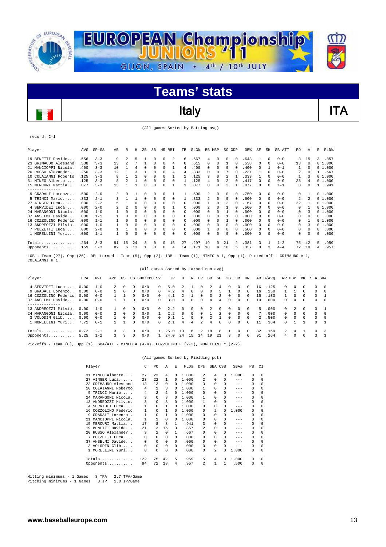

### Italy **ITA**

(All games Sorted by Batting avg)

record: 2-1

| Player                                                                                                | AVG   | $GP - GS$ | AB | R        | Η  | 2B       | 3B |          | HR RBI | TB       | $SLG$ $8$ | <b>BB</b> | HBP        | SO. | GDP      | OB <sup>%</sup> | SF       | SH       | SB-ATT                    | PO.      | Α  | E        | FLD%   |
|-------------------------------------------------------------------------------------------------------|-------|-----------|----|----------|----|----------|----|----------|--------|----------|-----------|-----------|------------|-----|----------|-----------------|----------|----------|---------------------------|----------|----|----------|--------|
| 19 BENETTI Davide                                                                                     | .556  | $3 - 3$   | 9  | 2        | 5. |          | 0  | $\Omega$ | 2      | 6        | .667      | 4         | $\Omega$   | 0   | 0        | .643            |          | $\Omega$ | $0 - 0$                   | 3        | 15 | 3.       | .857   |
| 23 GRIMAUDO Alessand                                                                                  | .538  | $3 - 3$   | 13 |          |    |          | 0  | $\Omega$ | 4      | 8        | .615      |           | $\Omega$   |     | $\Omega$ | .538            | 0        | 0        | $0 - 0$                   | 13       | 0  |          | 01.000 |
| 21 MANCIOPPI Nicola.                                                                                  | .400  | $3 - 3$   | 10 |          | 4  | 0        | U  | $\Omega$ |        | 4        | .400      |           | $\Omega$   | 0   | $\Omega$ | .400            | $\Omega$ |          | $0 - 1$                   |          | 0  |          | 01.000 |
| 20 RUSSO Alexander.                                                                                   | .250  | $3 - 3$   | 12 |          |    |          | 0  | $\Omega$ | 4      | 4        | .333      |           | $\Omega$   |     |          | .231            |          | 0        | $0 - 0$                   | 2        | n  |          | .667   |
| 10 COLAIANNI Roberto                                                                                  | .125  | $3 - 3$   | 8  |          |    | 0        | U  | $\Omega$ |        |          | .125      |           | $\Omega$   |     |          | .333            | 1.       | 0        | $0 - 0$                   |          |    |          | 01.000 |
| 31 MINEO Alberto                                                                                      | .125  | $3 - 3$   | 8  |          |    | $\Omega$ | 0  | $\Omega$ | 0      |          | .125      | 4         | $\Omega$   | 2   | $\Omega$ | .417            | $\Omega$ | $\Omega$ | $0 - 0$                   | 23       |    |          | 01.000 |
| 15 MERCURI Mattia                                                                                     | .077  | $3 - 3$   | 13 |          |    | $\Omega$ | 0  | $\Omega$ |        |          | .077      | 0         | $\Omega$   | 3   |          | .077            | $\Omega$ | $\Omega$ | $1 - 1$                   | 8        | 8  |          | .941   |
|                                                                                                       |       |           |    |          |    |          |    |          |        |          |           |           |            |     |          |                 |          |          |                           |          |    |          |        |
| 9 GRADALI Lorenzo                                                                                     | .500  | $2 - 0$   | 2  | $\Omega$ |    | $\Omega$ | 0  | $\Omega$ |        |          | .500      | 2         | $^{\circ}$ | 0   | $\Omega$ | .750            | $\Omega$ | $\Omega$ | $0 - 0$                   | $\Omega$ |    |          | 01.000 |
| 5 TRINCI Mario                                                                                        | .333  | $2 - 1$   | 3  |          |    | 0        | 0  | 0        | 0      |          | .333      | 2         | 0          | 0   | 0        | .600            | 0        | $\Omega$ | $0 - 0$                   | 2        |    |          | 01.000 |
| 27 AINGER Luca                                                                                        | .000  | $2 - 2$   |    |          | 0  | 0        | 0  | 0        | 0      | 0        | .000      |           | $\Omega$   |     | $\Omega$ | .167            | 0        | 0        | $0 - 0$                   | 22       |    |          | 01.000 |
| 4 SERVIDEI Luca                                                                                       | .000  | $2 - 0$   | 2  |          |    | 0        | 0  | $\Omega$ |        | 0        | .000      | 2         | $\Omega$   |     | $\Omega$ | .500            | 0        | 0        | $0 - 0$                   | $\Omega$ |    |          | 01.000 |
| 24 MARANGONI Nicola.                                                                                  | . 000 | $1 - 0$   |    | $\Omega$ | O  | 0        | 0  | $\Omega$ | 0      | 0        | .000      |           | $\Omega$   |     |          | .000            | 0        | 0        | $0 - 0$                   | $\Omega$ |    |          | 01.000 |
| 37 ANSELMI Davide                                                                                     | .000  | $1 - 1$   |    | $\Omega$ |    | 0        | U  | $\Omega$ | 0      | 0        | .000      |           | $\Omega$   |     | $\Omega$ | .000            | 0        | 0        | $0 - 0$                   | 0        |    | 0        | .000   |
| 16 COZZOLINO Federic                                                                                  | .000  | $1 - 1$   |    | 0        | 0  | 0        | 0  | $\Omega$ | 0      | 0        | .000      | 0         | $\Omega$   |     |          | .000            | 0        | 0        | $0 - 0$                   | 0        |    |          | 01.000 |
| 13 ANDREOZZI Milvio.                                                                                  | .000  | $1 - 0$   |    | $\Omega$ | 0  | 0        | U  | $\Omega$ | 0      | 0        | .000      |           | $\Omega$   | 0   |          | .000            | U        | $\Omega$ | $0 - 0$                   | 0        | 3  |          | 01.000 |
| 7 PULZETTI Luca                                                                                       | .000  | $2 - 0$   |    |          | 0  | 0        | 0  | $\Omega$ | 0      | $\Omega$ | .000      |           | 0          | 0   |          | .500            | 0        | $\Omega$ | $0 - 0$                   | 0        | n  | $\Omega$ | .000   |
| 1 MORELLINI Yuri                                                                                      | .000  | $1 - 1$   |    | $\Omega$ | 0  | 0        | U  | C        | 0      | 0        | .000      | U.        | $\Omega$   | 0   |          | .000            | $\Omega$ | $\Omega$ | $0 - 0$                   | 0        | 0  | 0        | .000   |
|                                                                                                       |       |           |    |          |    |          |    |          |        |          |           |           |            |     |          |                 |          |          |                           |          |    |          |        |
| $Totals$                                                                                              | .264  | $3 - 3$   | 91 | 15       | 24 | 3        | 0  | 0        | 15     | 27       | .297      | 19        | $^{\circ}$ | 21  | 2        | .381            | 3        |          | $1 - 2$                   | 75       | 42 | 5        | .959   |
| Opponents                                                                                             | .159  | $3 - 3$   | 82 | 6        | 13 |          | 0  | 0        | 4      | 14       | .171      | 18        | 4          | 18  | 5        | .337            | $\Omega$ | 3        | $4 - 4$                   | 72       | 18 | 4        | .957   |
| $100 -$ Team $(27)$ Opp $(26)$ DBs turned - Team $(5)$ Opp $(2)$ TDD - Team $(1)$ MINFO 3 1 Opp $(1)$ |       |           |    |          |    |          |    |          |        |          |           |           |            |     |          |                 |          |          | Dicked off - CRIMANDO & 1 |          |    |          |        |

 $(5)$ , Opp (2). IBB - Team (1), MINEO A 1, Opp (1). Picked off - GRIMAUDO A 1, LOB - Team (27), Opp (26). DPs t<br>COLAIANNI R 1.

|                                                                                                           |                              |                                          |                                                    |                                  |                                                |                          |                                              | (All games Sorted by Earned run avg) |                         |                                     |                                              |                    |                                       |                                              |                                       |                                              |                          |                               |                                |                                       |                                              |                                       |                                                     |
|-----------------------------------------------------------------------------------------------------------|------------------------------|------------------------------------------|----------------------------------------------------|----------------------------------|------------------------------------------------|--------------------------|----------------------------------------------|--------------------------------------|-------------------------|-------------------------------------|----------------------------------------------|--------------------|---------------------------------------|----------------------------------------------|---------------------------------------|----------------------------------------------|--------------------------|-------------------------------|--------------------------------|---------------------------------------|----------------------------------------------|---------------------------------------|-----------------------------------------------------|
| Player                                                                                                    | ERA                          | $W-L$                                    | APP                                                | GS                               |                                                | CG SHO/CBO SV            |                                              | ΙP                                   | Н                       | R                                   | ER.                                          | BB                 | SO                                    | 2B                                           | 3B                                    | HR.                                          |                          | AB B/Avq                      | WP HBP                         |                                       | BK                                           | SFA SHA                               |                                                     |
| 4 SERVIDEI Luca<br>9 GRADALI Lorenzo<br>16 COZZOLINO Federic<br>37 ANSELMI Davide                         | 0.00<br>0.00<br>0.00<br>0.00 | $1 - 0$<br>$0 - 0$<br>$0 - 0$<br>$0 - 0$ | $\mathbf{2}$<br>1.<br>$\mathbf{1}$<br>$\mathbf{1}$ | $^{\circ}$<br>$^{\circ}$         | $\Omega$<br>$^{\circ}$<br>$\Omega$<br>$\Omega$ | 0/0<br>0/0<br>0/0<br>0/0 | 0<br>$\Omega$<br>$\cap$<br>$\cap$            | 5.0<br>4.2<br>4.1<br>3.0             | 4<br>$\Omega$           | $\Omega$<br><sup>n</sup>            | $\Omega$<br>$\Omega$<br>$\Omega$<br>$\Omega$ | 2<br>0<br>4        | 4<br>5.<br>2.<br>4                    | $\Omega$<br>$\Omega$<br>$\Omega$             | $\Omega$<br>$\Omega$<br>$\Omega$<br>0 | $\Omega$<br>$\Omega$<br>$\Omega$<br>$\Omega$ | 16<br>16<br>1.5<br>10    | .125<br>.250<br>.133<br>.000  | 0<br>$\mathbf{1}$<br>0         | $^{\circ}$<br>$\Omega$<br>0           | $\Omega$<br>$\Omega$<br>$\Omega$<br>$\Omega$ | 0<br>0<br>$\Omega$<br>0               | - 0<br>$\overline{0}$<br>$\overline{1}$<br>$\Omega$ |
| . <u>.</u> .<br>13 ANDREOZZI Milvio.<br>24 MARANGONI Nicola.<br>3 VOLODIN Glib<br>1 MORELLINI Yuri        | 0.00<br>0.00<br>0.00<br>7.71 | $1 - 0$<br>$0 - 0$<br>$0 - 0$<br>$0 - 1$ | $\mathbf{1}$<br>$\overline{2}$<br>$\mathbf{1}$     | $\Omega$<br>$\Omega$<br>$\Omega$ | $\Omega$<br>$\Omega$<br>$\Omega$<br>$\Omega$   | 0/0<br>0/0<br>0/0<br>0/0 | $\mathbf{r}$<br>$\mathbf{1}$<br>n.<br>$\cap$ | 2.2<br>2.2<br>0.1<br>2.1             | $\cap$<br>$\Omega$<br>4 | $\Omega$<br>$\cap$<br>$\Omega$<br>4 | $\Omega$<br>$\Omega$<br>$\Omega$<br>2        | $\mathcal{L}$<br>4 | $\Omega$<br>$\mathcal{L}$<br>$\Omega$ | $\Omega$<br>$\Omega$<br>$\Omega$<br>$\Omega$ | $\Omega$<br>$\Omega$<br>0<br>0        | $\Omega$<br>$\Omega$<br>$\Omega$<br>$\Omega$ | 5<br>$\mathcal{L}$<br>11 | . 000<br>.000<br>.500<br>.364 | $\Omega$<br>$\Omega$<br>0<br>0 | $\mathcal{L}$<br>$\Omega$<br>$\Omega$ | $\Omega$<br>$\Omega$<br>$\Omega$             | $\Omega$<br>$\Omega$<br>0<br>$\Omega$ | $\Omega$<br>$\Omega$                                |
| Opponents<br>Pickoffs - Team (0), Opp (1). SBA/ATT - MINEO A (4-4), COZZOLINO F (2-2), MORELLINI Y (2-2). | 0.72<br>5.25                 | $2 - 1$<br>$1 - 2$                       | 3<br>3.                                            | 3<br>3                           | $\Omega$<br>$\Omega$                           | 0/0<br>0/0               |                                              | 25.0<br>24.0                         | -13<br>24               | 6<br>15                             | $\mathbf{2}^{\circ}$<br>14                   | 18<br>19           | 18<br>21                              | 3                                            | $\Omega$<br>$\Omega$                  | $\Omega$<br>$\Omega$                         | 82<br>91                 | .159<br>.264                  | 2<br>4                         | 4<br>0                                | $\Omega$                                     | $\Omega$<br>3                         | -3                                                  |

|                         |              |                |                |          | (All games Sorted by Fielding pct) |              |                |              |         |          |          |
|-------------------------|--------------|----------------|----------------|----------|------------------------------------|--------------|----------------|--------------|---------|----------|----------|
| Player                  | C            | P <sub>0</sub> | A              | E.       | FLD%                               | DPs          | SBA CSB        |              | SBA%    | PB       | CI       |
| 31 MINEO Alberto        | 27           | 23             | 4              | 0        | 1.000                              | 2            | 4              | 0            | 1,000   | $\Omega$ | $\Omega$ |
| 27 AINGER Luca          | 23           | 2.2.           | 1              | 0        | 1,000                              | 2            | <sup>n</sup>   | <sup>0</sup> | $--$    | 0        | $\Omega$ |
| 23 GRIMAUDO Alessand    | 13           | 13             | $\Omega$       | $\Omega$ | 1,000                              | 3            | 0              | 0            | $- - -$ | $\Omega$ | $\Omega$ |
| COLAIANNI Roberto<br>10 | 4            | $\mathbf{1}$   | 3              | $\Omega$ | 1,000                              |              | 0              | 0            | $- - -$ | $\Omega$ | $\Omega$ |
| TRINCI Mario<br>5       | 4            | 2              | $\overline{2}$ | $\Omega$ | 1,000                              | 0            | <sup>n</sup>   | 0            | $- - -$ | $\Omega$ | $\Omega$ |
| 24 MARANGONI Nicola.    | 3            | $\Omega$       | 3              | $\Omega$ | 1,000                              |              | 0              | 0            | $- - -$ | 0        | $\Omega$ |
| 13 ANDREOZZI Milvio.    | 3            | $\Omega$       | 3              | 0        | 1,000                              |              | U              | 0            | $- - -$ | $\Omega$ | $\Omega$ |
| SERVIDEI Luca<br>4      |              | $\Omega$       | 1              | $\Omega$ | 1,000                              | <sup>n</sup> | <sup>n</sup>   | 0            | $- - -$ | $\Omega$ | $\Omega$ |
| 16 COZZOLINO Federic    |              | 0              | 1              | $\Omega$ | 1,000                              | 0            | $\mathfrak{D}$ | 0            | 1,000   | $\Omega$ | $\Omega$ |
| GRADALI Lorenzo<br>9.   | $\mathbf{1}$ | 0              | 1              | $\Omega$ | 1,000                              | $\Omega$     | 0              | 0            | $- - -$ | $\Omega$ | $\Omega$ |
| 21 MANCIOPPI Nicola.    |              | 1              | 0              | $\Omega$ | 1,000                              | 0            | 0              | 0            | $- - -$ | 0        | $\Omega$ |
| MERCURI Mattia<br>15    | 17           | 8              | 8              | 1.       | .941                               | 3            | 0              | 0            | $- - -$ | 0        | $\Omega$ |
| BENETTI Davide<br>19    | 21           | 3              | 1.5            | 3        | .857                               | 2            | 0              | 0            | $- - -$ | $\Omega$ | $\Omega$ |
| 20 RUSSO Alexander      | 3            | $\mathfrak{D}$ | $\Omega$       | 1        | .667                               | 0            | 0              | 0            | $- - -$ | $\Omega$ | $\Omega$ |
| PULZETTI Luca<br>7      | 0            | 0              | $\Omega$       | 0        | .000                               | 0            | 0              | 0            | $- - -$ | 0        | $\Omega$ |
| 37 ANSELMI Davide       | 0            | 0              | $\Omega$       | $\Omega$ | .000                               | 0            | <sup>n</sup>   | $\Omega$     | $- - -$ | $\Omega$ | $\Omega$ |
| 3 VOLODIN Glib          | 0            | 0              | $\Omega$       | $\Omega$ | .000                               | 0            | 0              | 0            | $- - -$ | 0        | 0        |
| 1 MORELLINI Yuri        | 0            | 0              | $\Omega$       | 0        | .000                               | $\Omega$     | 2              | <sup>0</sup> | 1.000   | $\Omega$ | $\Omega$ |
| Totals                  | 122          | 75             | 42             | 5        | .959                               | 5            | 4              |              | 1,000   | $\Omega$ | $\Omega$ |
| Opponents               | 94           | 72             | 18             | 4        | .957                               | 2            |                |              | .500    | $\Omega$ | 0        |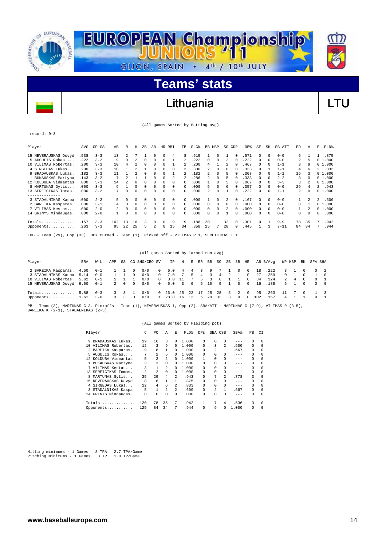

### Lithuania **Lithuania** LTU

(All games Sorted by Batting avg)

| ecora:<br>×<br>w<br>۰.<br>۹ |  |
|-----------------------------|--|
|-----------------------------|--|

| Player                                                                                      | AVG  | $GP - GS$ | AB  | R  | н  | 2B       | 3B           | HR.      | RBI | TB       | $SLG$ $8$ | <b>BB</b> | HBP      | SO.      | GDP      | OB%  | SF           | SH       | SB-ATT   | PO. | Α        | F. | FLD%   |
|---------------------------------------------------------------------------------------------|------|-----------|-----|----|----|----------|--------------|----------|-----|----------|-----------|-----------|----------|----------|----------|------|--------------|----------|----------|-----|----------|----|--------|
| 15 NEVERAUSKAS Dovyd                                                                        | .538 | $3 - 3$   | 13  |    |    |          | 0            | 0        | 4   | 8        | .615      |           | 0        |          | 0        | .571 | 0            | $\Omega$ | $0 - 0$  | 6.  |          |    | .875   |
| 5 AUGULIS Rokas                                                                             | .222 | $3 - 2$   | 9   |    |    | $\Omega$ | $\Omega$     | 0        |     |          | .222      | $\cap$    |          |          | $\Omega$ | .222 | $\Omega$     | $\Omega$ | $0 - 0$  | 2   | 5        |    | 01.000 |
| 10 VILIMAS Robertas.                                                                        | .200 | $3 - 3$   | 10  | 4  |    | $\Omega$ | 0            | 0        |     |          | .200      |           |          |          | 0        | .467 | $\Omega$     | n        | $1 - 1$  | 3   | 9        |    | 01.000 |
| 4 SIRGEDAS Lukas                                                                            | .200 | $3 - 3$   | 10  |    |    |          | <sup>0</sup> |          |     | 3        | .300      |           | $\Omega$ |          | $\Omega$ | .333 | <sup>0</sup> |          | $1 - 1$  | 4   | б        |    | 2.833  |
| 9 BRADAUSKAS Lukas.                                                                         | .182 | $3 - 3$   | 11  |    |    | $\Omega$ | 0            | 0        |     |          | .182      |           | $\Omega$ | 5        | $\Omega$ | .308 | $\Omega$     | 0        | $1 - 1$  | 16  | 3        |    | 01.000 |
| 1 BUKAUSKAS Martyna                                                                         | .143 | $3 - 2$   |     |    |    |          |              |          |     |          | .286      |           |          |          |          | .333 | 0            | 0        | $2 - 2$  | 3   |          |    | 01.000 |
| 12 KOLDUBA Vidmantas                                                                        | .000 | $3 - 3$   | 14  |    | 0  | $\Omega$ | 0            | 0        | n   | $\Omega$ | .000      |           | 0        | 5        |          | .067 | 0            | 0        | $3 - 3$  | 3   |          |    | 01.000 |
| 8 MARTUNAS Gytis                                                                            | .000 | $3 - 3$   | 9   |    |    | 0        |              | $\Omega$ |     | 0        | .000      |           |          | 6        |          | .357 | 0            | $\Omega$ | $0 - 0$  | 29  |          |    | 2.943  |
| 13 SEREICIKAS Tomas.                                                                        | .000 | $3 - 2$   |     | 0  | 0  | $\Omega$ | 0            | 0        | 0   | $\Omega$ | .000      |           | $\Omega$ |          | $\Omega$ | .222 | $\Omega$     | 0        | $1 - 1$  | 2   | $\Omega$ |    | 01.000 |
| --------------                                                                              |      |           |     |    |    |          |              |          |     |          |           |           |          |          |          |      |              |          |          |     |          |    |        |
| 3 STADALNIKAS Kaspa                                                                         | .000 | $2 - 2$   | 5.  | 0  | 0  | $\Omega$ | 0            | 0        | 0   | 0        | .000      |           | $\Omega$ | 2        | $\Omega$ | .167 | $\Omega$     | $\Omega$ | $0 - 0$  |     |          | 2  | .600   |
| 2 BAREIKA Kasparas.                                                                         | .000 | $3 - 1$   | 4   | 0  | 0  | $\Omega$ | $^{\circ}$   | 0        | 0   | $\Omega$ | .000      | 0         | $\Omega$ | $\Omega$ | $\Omega$ | .000 | $\Omega$     | $\Omega$ | $0 - 0$  | 8   |          |    | 01.000 |
| 7 VILIMAS Kestas                                                                            | .000 | $2 - 0$   |     | 0  | 0  | $\Omega$ | 0            | 0        | 0   | 0        | .000      | ∩.        | $\Omega$ | 2        | $\Omega$ | .000 | 0            | $\Omega$ | $0 - 0$  |     | 2        |    | 01.000 |
| 14 GRINYS Mindaugas.                                                                        | .000 | $2 - 0$   |     |    | 0  | $\Omega$ |              | $\Omega$ | 0   | 0        | .000      |           |          |          |          | .000 | 0            | $\Omega$ | $0 - 0$  | 0   | 0        | 0  | .000   |
| $Totals$                                                                                    | .157 | $3 - 3$   | 102 | 13 | 16 | 3        |              |          | q   | 19       | .186      | 20        |          | 32       | $\Omega$ | .301 | $\Omega$     |          | $9 - 9$  | 78  | 35       | 7  | .942   |
| Opponents                                                                                   | .263 | $3 - 3$   | 95  | 22 | 25 | 5        | 2.           | 0        | 15  | 34       | .358      | 25        | 7        | 28       | 0        | .445 |              | 3        | $7 - 11$ | 84  | 34       | 7  | .944   |
| LOB - Team (29), Opp (33). DPs turned - Team (1). Picked off - VILIMAS R 1, SEREICIKAS T 1. |      |           |     |    |    |          |              |          |     |          |           |           |          |          |          |      |              |          |          |     |          |    |        |

|                                                                                                                                                               |      |         |             |             |          |               |          | (All games Sorted by Earned run avg) |               |                 |      |    |     |               |               |          |      |          |              |             |            |          |                |
|---------------------------------------------------------------------------------------------------------------------------------------------------------------|------|---------|-------------|-------------|----------|---------------|----------|--------------------------------------|---------------|-----------------|------|----|-----|---------------|---------------|----------|------|----------|--------------|-------------|------------|----------|----------------|
| Player                                                                                                                                                        | ERA  | W-L     | APP         | GS          |          | CG SHO/CBO SV |          | TP.                                  | H             |                 | R ER | BB | SO. |               | 2B 3B         | HR       |      | AB B/Avg |              | WP HBP      | BK         | SFA SHA  |                |
| 2 BAREIKA Kasparas.                                                                                                                                           | 4.50 | $0 - 1$ |             |             | $\Omega$ | 0/0           | $\Omega$ | 6.0                                  | 4             | 4               |      | 9  |     |               | $\cap$        | $\Omega$ | 18   | .222     |              | $3 \quad 1$ | $\cap$     | $\Omega$ | $\overline{2}$ |
| 3 STADALNIKAS Kaspa                                                                                                                                           | 5.14 | $0 - 0$ |             |             | $\Omega$ | 0/0           | $\Omega$ | 7.0                                  |               | 5.              | 4    | 3. | 4   | 2             |               | 0        | 27   | .259     |              | 0 1         | $^{\circ}$ |          | $\Omega$       |
| 10 VILIMAS Robertas.                                                                                                                                          | 5.62 | $0 - 1$ |             |             |          | 0/0           | $\Omega$ | 8.0                                  | - 11          | $7\overline{ }$ | 5.   | 3  | 8   |               |               | $\Omega$ | 34   | .324     | $\mathbf{2}$ | 4           | $\Omega$   | $\Omega$ |                |
| 15 NEVERAUSKAS Dovyd 9.00                                                                                                                                     |      | $0 - 1$ |             | $2 \quad 0$ | $\Omega$ | 0/0           | $\Omega$ | 5.0                                  | $\mathcal{R}$ | 6               | 5.   | 10 | 9   | $\mathbf{1}$  | $\cap$        | $\Omega$ | 16   | .188     |              | 6 1         | $\Omega$   | $\cap$   | $\Omega$       |
| Totals                                                                                                                                                        | 5.88 | $0 - 3$ |             | 3 3         |          | 0/0           |          | 0, 26.0                              | - 25          | 22              | 17   | 25 | 2.8 | 5.            | $\mathcal{L}$ | $\Omega$ | 95   | .263     | 11           |             | $\cap$     |          |                |
| Opponents $1.61$                                                                                                                                              |      | $3 - 0$ | $3^{\circ}$ | 3           | $\Omega$ | 0/0           |          | 1 28.0 16 13                         |               |                 | 5.   | 20 | 32  | $\mathcal{R}$ | $\Omega$      | $\Omega$ | 102. | .157     |              | 4 1         |            | $\cap$   |                |
| PB - Team (3), MARTUNAS G 3. Pickoffs - Team (1), NEVERAUSKAS 1, Opp (2). SBA/ATT - MARTUNAS G (7-9), VILIMAS R (3-5),<br>BAREIKA K (2-3), STADALNIKAS (2-3). |      |         |             |             |          |               |          |                                      |               |                 |      |    |     |               |               |          |      |          |              |             |            |          |                |

#### (All games Sorted by Fielding pct)

| Player |                      | C   | PO.            | A              | F.            | FLD%  | <b>DPs</b>   | SBA CSB  |                | SBA%    | PB       | CI       |
|--------|----------------------|-----|----------------|----------------|---------------|-------|--------------|----------|----------------|---------|----------|----------|
| 9      | BRADAUSKAS Lukas.    | 19  | 16             | 3              | $\Omega$      | 1,000 | $\Omega$     | 0        | $\Omega$       | $- - -$ | $\Omega$ | 0        |
| 10     | VILIMAS Robertas.    | 12  | 3              | 9              | 0             | 1,000 | $\Omega$     | 3        | 2              | .600    | 0        | 0        |
|        | 2 BAREIKA Kasparas.  | 9   | 8              |                | 0             | 1.000 | $\Omega$     | 2        | $\mathbf{1}$   | .667    | 0        | 0        |
|        | 5 AUGULIS Rokas      | 7   | 2.             | 5              | 0             | 1.000 | $\Omega$     | 0        | $\Omega$       | $- - -$ | $\Omega$ | $\Omega$ |
|        | 12 KOLDUBA Vidmantas | 5   | 3              | $\mathfrak{D}$ | $\Omega$      | 1.000 |              | $\Omega$ | $\Omega$       | $- - -$ | $\Omega$ | $\Omega$ |
|        | 1 BUKAUSKAS Martyna  | 3   | 3              | 0              | $\Omega$      | 1,000 | $\Omega$     | $\Omega$ | $\Omega$       | $- - -$ | $\Omega$ | $\Omega$ |
|        | VILIMAS Kestas       | 3   |                | $\mathfrak{D}$ | $\Omega$      | 1,000 | $\Omega$     | 0        | 0              | $- - -$ | $\Omega$ | $\Omega$ |
| 13     | SEREICIKAS Tomas.    | 2   | $\mathfrak{D}$ | 0              | $\Omega$      | 1,000 | $\Omega$     | 0        | 0              | $- - -$ | 0        | $\Omega$ |
| 8      | MARTUNAS Gytis       | 35  | 29             | 4              | 2             | .943  | $\Omega$     | 7        | $\mathfrak{D}$ | .778    | 3        | $\Omega$ |
|        | 15 NEVERAUSKAS Dovyd | 8   | 6              |                |               | .875  | $\Omega$     | 0        | $\Omega$       | $- - -$ | 0        | $\Omega$ |
|        | 4 SIRGEDAS Lukas     | 12  | 4              | 6              | $\mathcal{L}$ | .833  | $\Omega$     | $\Omega$ | 0              | $- - -$ | $\Omega$ | $\Omega$ |
| 3.     | STADALNIKAS Kaspa    | 5   | 1              | $\mathfrak{D}$ | $\mathcal{L}$ | .600  | $\Omega$     | 2.       | $\mathbf{1}$   | .667    | 0        | $\Omega$ |
|        | 14 GRINYS Mindaugas. | 0   | 0              | 0              | 0             | .000  | 0            | 0        | $\Omega$       | $- - -$ | 0        | $\Omega$ |
|        | Totals               | 120 | 78             | 35             | 7             | .942  | $\mathbf{1}$ | 7        | 4              | .636    | 3        | 0        |
|        | Opponents.<br>.      | 125 | 84             | 34             | 7             | .944  | 0            | 9        | 0              | 1.000   | 0        | $\Omega$ |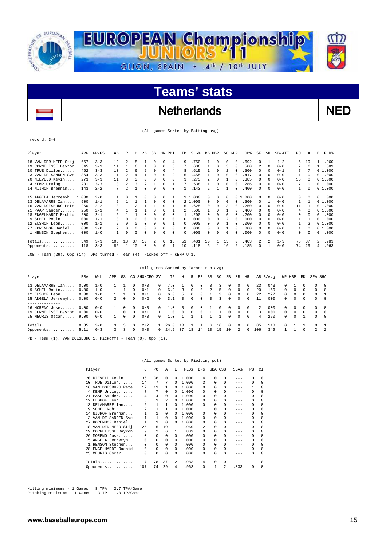

### Netherlands NED

(All games Sorted by Batting avg)

record: 3-0

 $\overline{a}$ 

| Player                                                                        | AVG  | $GP-GS$ | AB  | R        | Н        | 2B           | 3B | HR           | RBI          | TB           | SLG <sup>§</sup> | BB. | HBP          | SO.          | GDP      | OB%    | SF       | SH         | SB-ATT  | PO.      | Α        | E | FLD%   |
|-------------------------------------------------------------------------------|------|---------|-----|----------|----------|--------------|----|--------------|--------------|--------------|------------------|-----|--------------|--------------|----------|--------|----------|------------|---------|----------|----------|---|--------|
| 18 VAN DER MEER Stij                                                          | .667 | $3 - 3$ | 12  | 2        | 8        |              | 0  | 0            | 4            | 9            | .750             |     | 0            | 0            | 0        | .692   | 0        |            | $1 - 2$ | 5        | 19       |   | .960   |
| 19 CORNELISSE Bayron                                                          | .545 | $3 - 3$ | 11  |          | 6        |              | 0  | $\Omega$     | 3            | 7            | .636             |     | $\Omega$     | 3            |          | .500   | 2        | $^{\circ}$ | $0 - 0$ | 2        | 6        |   | .889   |
| $10$ TRUE Dillon                                                              | .462 | $3 - 3$ | 13  |          | 6        | 2            | 0  | 0            | 4            | 8            | .615             |     | $\Omega$     |              | 0        | .500   | 0        | $\Omega$   | $0 - 1$ |          |          |   | 01.000 |
| 3 VAN DE SANDEN Sve                                                           | .364 | $3 - 3$ | 11  | 2        | 4        |              | 0  | 0            | 2            | 5.           | .455             |     | $\Omega$     | 0            | 0        | .417   | 0        | $\Omega$   | $0 - 0$ |          | 0        |   | 01.000 |
| 20 NIEVELD Kevin                                                              | .273 | $3 - 3$ | 11  | ٦        |          | <sup>n</sup> | 0  | 0            | <sup>n</sup> |              | .273             | 2   | $\Omega$     |              |          | .385   | 0        | $\Omega$   | $0 - 0$ | 36       | 0        |   | 01.000 |
| 4 KEMP Urving                                                                 | .231 | $3 - 3$ | 13  | 2        |          | 2            |    | $\Omega$     |              |              | .538             |     | $\Omega$     | 0            | 0        | .286   | 0        | $\Omega$   | $0 - 0$ | 7        | $\Omega$ |   | 01.000 |
| 14 NIJHOF Brennan                                                             | .143 | $2 - 2$ | 7   | 2        |          | <sup>n</sup> | U  |              | 0            |              | .143             | 2   |              |              |          | .400   | 0        | $\Omega$   | $0 - 0$ | 1        | 0        |   | 01.000 |
| ----------                                                                    |      |         |     |          |          |              |    |              |              |              |                  |     |              |              |          |        |          |            |         |          |          |   |        |
| 15 ANGELA Jerremyh 1.000                                                      |      | $2 - 0$ |     | 0        |          |              | 0  | 0            |              |              | 1 1.000          | 0.  | $\Omega$     | 0            |          | 01.000 | 0        | $\Omega$   | $0 - 0$ | $\Omega$ |          | 0 | .000   |
| 13 DELAMARRE Ian                                                              | .500 | $1 - 1$ | 2   |          |          |              | 0  | $\Omega$     | 0            |              | 2 1.000          | 0   | $\Omega$     | 0            | 0        | .500   | 0        |            | $0 - 0$ | 1        |          |   | 01.000 |
| 16 VAN DOESBURG Pete                                                          | .250 | $2 - 2$ | 8   |          |          |              |    | $\Omega$     |              | 5.           | .625             | 0   | 0            |              |          | .250   | 0        | $\Omega$   | $0 - 0$ | 11       |          |   | 01.000 |
| 21 PAAP Sander.<br>.                                                          | .250 | $2 - 1$ |     |          |          |              | 0  |              |              |              | .500             |     | $\Omega$     |              |          | .400   | 0        | $\Omega$   | $0 - 0$ | 4        | $\Omega$ |   | 01.000 |
| 28 ENGELHARDT Rachid                                                          | .200 | $2 - 1$ |     |          |          | $\Omega$     | 0  | $\Omega$     | <sup>n</sup> |              | 200              | 0   | $\Omega$     | <sup>n</sup> | $\Omega$ | .200   | 0        | $\Omega$   | $0 - 0$ | 0        | 0        | 0 | .000   |
| 9 SCHEL Robin                                                                 | .000 | $1 - 1$ |     | $\Omega$ | U        | $\Omega$     | 0  | <sup>n</sup> | <sup>n</sup> | <sup>n</sup> | .000             | 0   | $\cap$       |              | $\Omega$ | .000   | $\Omega$ | $\Omega$   | $0 - 0$ |          |          |   | 01.000 |
| 12 ELSHOF Leon                                                                | .000 | $1 - 1$ |     | $\Omega$ | $\Omega$ | $\Omega$     | 0  | $\Omega$     |              | 0            | .000             | 0   | 0            |              | $\Omega$ | .000   | 0        | $\Omega$   | $0 - 0$ | 1.       |          |   | 01.000 |
| 27 KORENHOF Daniel                                                            | .000 | $2 - 0$ | 2.  | $\Omega$ | $\Omega$ |              | 0  | <sup>n</sup> | 0            | $\Omega$     | .000             | 0   | <sup>n</sup> |              |          | .000   | 0        | $\Omega$   | $0 - 0$ | 1.       | 0        |   | 01.000 |
| 1 HENSON Stephen                                                              | .000 | $1 - 0$ |     | $\Omega$ | U        | $\Omega$     | 0  | 0            | 0            | 0            | .000             | 0   | 0            | 0            |          | .000   | 0        | $\Omega$   | $0 - 0$ | 0        | $\Omega$ | 0 | .000   |
|                                                                               |      |         |     |          |          |              |    |              |              |              |                  |     |              |              |          |        |          |            |         |          |          |   |        |
| Totals                                                                        | .349 | $3 - 3$ | 106 | 18       | 37       | 10           | 2  | $\Omega$     | 18           | 51           | .481             | 10  |              | 15           | $\Omega$ | .403   | 2        | 2          | $1 - 3$ | 78       | 37       | 2 | .983   |
| Opponents                                                                     | .118 | $3 - 3$ | 85  |          | 10       | $\Omega$     | 0  | $\Omega$     |              | 10           | .118             | 6   |              | 16           |          | .185   | 0        |            | $0 - 0$ | 74       | 29       | 4 | .963   |
| 그 그 그 그 그 사람은 그 사람들은 그 그 그 그 사람들은 그 사람들을 그리고 있다. 그 그 그는 그 그들은 그들은 그들을 그리고 있다. |      |         |     |          |          |              |    |              |              |              |                  |     |              |              |          |        |          |            |         |          |          |   |        |

LOB - Team (29), Opp (14). DPs turned - Team (4). Picked off - KEMP U 1.

#### (All games Sorted by Earned run avg)

| Player                                                                    | ERA                          | W-L                                      | APP            | GS                        |                                  | CG SHO/CBO SV            |                                 | IP.                      | Н                   | R                                         | ER                      | BB            | SO.      | 2B                                           | 3B                        | HR                                               |                | AB B/Avq                     | WP HBP                  |                                  | BK                                   | SFA SHA |                                  |
|---------------------------------------------------------------------------|------------------------------|------------------------------------------|----------------|---------------------------|----------------------------------|--------------------------|---------------------------------|--------------------------|---------------------|-------------------------------------------|-------------------------|---------------|----------|----------------------------------------------|---------------------------|--------------------------------------------------|----------------|------------------------------|-------------------------|----------------------------------|--------------------------------------|---------|----------------------------------|
| 13 DELAMARRE Ian<br>9 SCHEL Robin<br>12 ELSHOF Leon<br>15 ANGELA Jerremyh | 0.00<br>0.00<br>0.00<br>0.00 | $1 - 0$<br>$1 - 0$<br>$1 - 0$<br>$0 - 0$ | $\overline{2}$ | $\Omega$                  | 0<br>0<br>0<br>0                 | 0/0<br>0/1<br>0/1<br>0/2 | 0<br>$\Omega$<br>n.<br>$\Omega$ | 7.0<br>6.2<br>6.0<br>3.1 | ર<br>5.<br>$\Omega$ | 0<br>$\Omega$<br><sup>n</sup><br>$\Omega$ | 0<br>0<br>0<br>$\Omega$ | 2<br>$\Omega$ | 5.<br>3  | $\Omega$<br>$\Omega$<br>$\Omega$<br>$\Omega$ | 0<br>0<br>0<br>0          | $^{\circ}$<br>$\Omega$<br>$^{\circ}$<br>$\Omega$ | 23<br>20<br>22 | .043<br>.150<br>.227<br>.000 | 0<br>$\Omega$<br>0<br>0 | $\Omega$<br>$\Omega$<br>$\Omega$ | $\cap$<br>$\mathbf{r}$<br>$^{\circ}$ | $\cap$  | - 0<br>$\Omega$<br>$\Omega$      |
| 26 MORENO Jose<br>19 CORNELISSE Bayron<br>25 MEURIS Oscar                 | 0.00<br>0.00<br>9.00         | $0 - 0$<br>$0 - 0$<br>$0 - 0$            |                | 0<br>$\Omega$<br>$\Omega$ | $\Omega$<br>$\Omega$<br>$\Omega$ | 0/0<br>0/1<br>0/0        | $\Omega$                        | ה ו<br>1. 0<br>1.0       | $\cap$              | <sup>n</sup><br>$\Omega$                  | Λ<br>0                  |               |          | $\Omega$<br>$\Omega$<br>$\Omega$             | 0<br>0<br>$\Omega$        | $^{\circ}$<br>0<br>$\Omega$                      | 2<br>3.<br>4   | . 000<br>.000<br>.250        | 0<br>0<br>$\Omega$      | 0<br>0<br>$\Omega$               | $\cap$<br>$\Omega$                   | $\cap$  | $\Omega$<br>$\Omega$<br>$\Omega$ |
| Totals<br>Opponents                                                       | 0.35<br>5.11                 | $3 - 0$<br>$0 - 3$                       | 3<br>3.        | 3<br>3                    | <sup>n</sup><br>0                | 2/2<br>0/0               | $\Omega$                        | 26.0<br>24.2             | 1 O<br>37           | 18                                        | 14                      | 6.<br>10      | 16<br>15 | $\Omega$<br>10                               | $\Omega$<br>$\mathcal{L}$ | $\Omega$<br>0                                    | 85<br>106      | .118<br>.349                 | ∩.                      |                                  | 0                                    |         | $2 \t 2$                         |

PB - Team (1), VAN DOESBURG 1. Pickoffs - Team (0), Opp (1).

#### (All games Sorted by Fielding pct)

|     | Player               | C   | PO.          | A            | E.       | FLD%  | <b>DPs</b> | SBA CSB      |              | SBA%    | PB       | CI       |
|-----|----------------------|-----|--------------|--------------|----------|-------|------------|--------------|--------------|---------|----------|----------|
|     | 20 NIEVELD Kevin     | 36  | 36           | 0            | 0        | 1,000 | 4          | 0            | 0            |         | 0        | $\Omega$ |
|     | 10 TRUE Dillon       | 14  | 7            | 7            | 0        | 1.000 | 3          | 0            | 0            | $--$    | 0        | 0        |
|     | 16 VAN DOESBURG Pete | 12  | 11           | 1            | $\Omega$ | 1,000 | 0          | 0            | 0            | $- - -$ | 1        | $\Omega$ |
|     | 4 KEMP Urving        | 7   | 7            | $\Omega$     | $\Omega$ | 1,000 | 0          | 0            | 0            | $- - -$ | $\Omega$ | $\Omega$ |
|     | 21 PAAP Sander       | 4   | 4            | 0            | 0        | 1,000 | 0          | <sup>n</sup> | 0            | $- - -$ | $\Omega$ | $\Omega$ |
|     | 12 ELSHOF Leon       | 3   | $\mathbf{1}$ | 2            | 0        | 1,000 | 0          | 0            | 0            | $- - -$ | $\Omega$ | $\Omega$ |
|     | 13 DELAMARRE Ian     | 2   | 1            | $\mathbf{1}$ | 0        | 1,000 | 0          | 0            | 0            | $-- -$  | 0        | $\Omega$ |
|     | 9 SCHEL Robin        | 2   | $\mathbf{1}$ | 1            | 0        | 1,000 |            | 0            | 0            | $- - -$ | $\Omega$ | $\Omega$ |
|     | 14 NIJHOF Brennan    | 1   | 1            | $\Omega$     | 0        | 1,000 | 0          | <sup>n</sup> | 0            | $- - -$ | 0        | $\Omega$ |
|     | 3 VAN DE SANDEN Sve  | 1   | $\mathbf{1}$ | $\Omega$     | 0        | 1,000 | 0          | 0            | 0            | $- - -$ | 0        | 0        |
| 27. | KORENHOF Daniel      |     | 1            | 0            | $\Omega$ | 1,000 | 0          | 0            | 0            | $--$    | 0        | $\Omega$ |
|     | 18 VAN DER MEER Stij | 25  | 5            | 19           | 1.       | .960  | 2          | 0            | 0            | $- - -$ | $\Omega$ | $\Omega$ |
|     | 19 CORNELISSE Bayron | 9   | 2            | 6            | 1        | .889  | 0          | 0            | 0            | $--$    | 0        | $\Omega$ |
|     | 26 MORENO Jose       | 0   | 0            | $\Omega$     | 0        | .000  | 0          | 0            | <sup>0</sup> | $- - -$ | $\Omega$ | $\Omega$ |
|     | 15 ANGELA Jerremyh   | 0   | 0            | 0            | 0        | .000  | 0          | 0            | 0            | $--$    | 0        | 0        |
|     | 1 HENSON Stephen     | 0   | 0            | $\Omega$     | 0        | .000  | 0          | 0            | 0            | $- - -$ | $\Omega$ | $\Omega$ |
| 28  | ENGELHARDT Rachid    | 0   | 0            | $\Omega$     | $\Omega$ | .000  | 0          | 0            | 0            | $- - -$ | 0        | $\Omega$ |
|     | 25 MEURIS Oscar      | 0   | 0            | $\Omega$     | $\Omega$ | .000  | 0          | 0            | 0            | $- - -$ | 0        | $\Omega$ |
|     | $Totals$             | 117 | 78           | 37           | 2        | .983  | 4          | 0            | 0            | $- - -$ |          | 0        |
|     | Opponents            | 107 | 74           | 29           | 4        | .963  | 0          |              | 2            | .333    | 0        | 0        |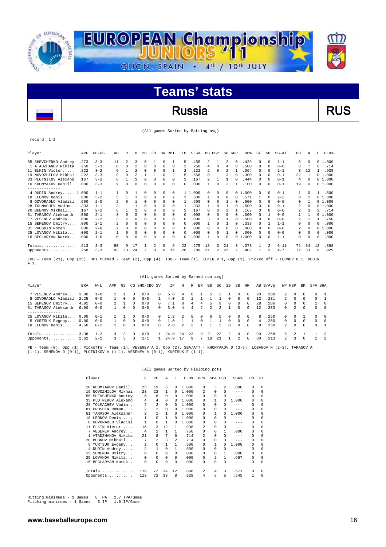

### Russia RUS

(All games Sorted by Batting avg)

record: 1-2

| Player                                                                                                                                | AVG  | $GP - GS$ | AB                      | R              | Н              | 2B       | 3 <sub>B</sub> | HR RBI       |              | <b>TB</b>      | $SLG$ $%$ | BB HBP |                | SO GDP       |          | OB%        | SF       | SH       | SB-ATT   | PO. | Α        | E  | FLD%   |
|---------------------------------------------------------------------------------------------------------------------------------------|------|-----------|-------------------------|----------------|----------------|----------|----------------|--------------|--------------|----------------|-----------|--------|----------------|--------------|----------|------------|----------|----------|----------|-----|----------|----|--------|
| 55 SHEVCHENKO Andrey                                                                                                                  | .273 | $3 - 3$   | 11                      | $\mathfrak{D}$ | 3              | 0        |                | $\Omega$     |              | 5              | .455      | 2      |                | 2            | $\Omega$ | .429       | $\Omega$ | $\Omega$ | $1 - 1$  | 6.  | $\Omega$ |    | 01.000 |
| 1 ATADZHANOV Nikita                                                                                                                   | .250 | $3 - 3$   | 8                       | $\Omega$       | 2              | $\Omega$ | 0              | $\Omega$     | 0            | $\mathfrak{D}$ | .250      | 4      | $\Omega$       | 4            | $\Omega$ | .500       | $\Omega$ | $\Omega$ | $0 - 0$  | 8   |          | 6  | .714   |
| 11 ELKIN Victor                                                                                                                       | .222 | $3 - 2$   | 9                       |                | $\mathfrak{D}$ | $\Omega$ | 0              | $\Omega$     | 1            | 2              | . 222     | 2.     | $\Omega$       | 2            |          | .364       | 0        | $\Omega$ | $1 - 1$  | 3   | 12       |    | .938   |
| 19 NOVOZHILOV Mikhai                                                                                                                  | .222 | $3 - 3$   | 9                       | $\Omega$       | $\mathfrak{D}$ |          |                | $\Omega$     | 2            | 5              | .556      | 0      |                | ٦            |          | .300       | $\Omega$ | $\cap$   | $0 - 1$  | 22  |          |    | 01.000 |
| 33 PLOTNIKOV Alexand                                                                                                                  | .167 | $3 - 2$   | 6                       |                |                | 0        | U              | $\Omega$     | 0            |                | .167      | 2      |                |              | $\Omega$ | .444       | $\Omega$ | $\Omega$ | $0 - 1$  | 4   | $\Omega$ |    | 01.000 |
| 10 KHOMYAKOV Daniil                                                                                                                   | .000 | $3 - 3$   | 9                       | <sup>n</sup>   | 0              | $\Omega$ | U              | 0            | 0            | <sup>n</sup>   | .000      |        | $\Omega$       | 2            |          | .100       | 0        | $\Omega$ | $0 - 1$  | 19  | 6        |    | 01.000 |
| --------------                                                                                                                        |      |           |                         |                |                |          |                |              |              |                |           |        |                |              |          |            |          |          |          |     |          |    |        |
| 4 DUDIN Andrey 1.000                                                                                                                  |      | $1 - 1$   |                         | $\Omega$       |                |          | 0              | $\Omega$     | 0            |                | 1 1.000   | 0      | $\Omega$       | 0            |          | 01.000     | 0        | $\cap$   | $0 - 1$  | 1   | $\Omega$ | 1. | .500   |
| 18 LEONOV Denis                                                                                                                       | .600 | $3 - 2$   | 5                       | 1              | 3              | $\Omega$ | 0              | 0            | 2            | 3              | .600      |        | $\Omega$       | $\Omega$     | $\Omega$ | .571       |          | $\Omega$ | $2 - 2$  | 0   |          |    | 01.000 |
| 8 GOVORADLO Vladisl                                                                                                                   | .500 | $2 - 0$   | $\mathfrak{D}$          | <sup>n</sup>   |                | $\Omega$ | 0              | $\Omega$     | <sup>n</sup> |                | .500      | 0      | $\Omega$       |              | $\Omega$ | .500       | $\Omega$ | $\Omega$ | $0 - 0$  | 0   |          |    | 01.000 |
| 28 TOLMACHEV Vadim                                                                                                                    | .333 | $1 - 1$   | 3                       |                |                | $\Omega$ | U              | $\Omega$     | 0            |                | .333      |        | $\Omega$       |              |          | .500       | $\Omega$ | $\Omega$ | $0 - 1$  | 2   | $\Omega$ |    | 01.000 |
| 20 BUBNOV Mikhail                                                                                                                     | .167 | $2 - 2$   | 6                       |                |                | 0        | 0              | $\Omega$     | 0            |                | .167      | 0      | $\Omega$       | 2            |          | .167       | $\Omega$ | $\Omega$ | $0 - 0$  | 2   | 3        | 2. | .714   |
| 51 TARASOV Aleksandr                                                                                                                  | .000 | $2 - 1$   | 3                       | 0              | 0              |          | U              | 0            | 0            | 0              | .000      | 0      | <sup>n</sup>   | <sup>n</sup> | $\Omega$ | .000       | 0        |          | $0 - 0$  |     |          |    | 01.000 |
| 7 VESENEV Andrey                                                                                                                      | .000 | $2 - 2$   |                         | 2              | O              |          | 0              | 0            | 0            | 0              | .000      | 3      | $\Omega$       |              |          | .500       | $\Omega$ | $\cap$   | $0 - 0$  | 2   |          |    | .750   |
| 15 SEMENOV Dmitry                                                                                                                     | .000 | $2 - 1$   | 2                       | 0              | 0              |          | U              | 0            | 0            | $\Omega$       | .000      |        | 0              |              |          | .333       | 0        |          | $1 - 1$  | 0   | 0        | 0  | .000   |
| 81 PROSHIN Roman                                                                                                                      | .000 | $2 - 0$   | $\overline{\mathbf{c}}$ | 0              | $\Omega$       | 0        | U              | 0            | 0            | $\Omega$       | .000      | 0      | $\Omega$       | n            | $\Omega$ | .000       | $\Omega$ | $\cap$   | $0 - 0$  | 2   | $\Omega$ |    | 01.000 |
| 25 LOVANOV Nikita                                                                                                                     | .000 | $2 - 1$   |                         | 0              | 0              | 0        | 0              | 0            | 0            | $\Omega$       | .000      | 0      | $\Omega$       |              | $\Omega$ | .000       | 0        | $\Omega$ | $0 - 0$  | 0   | $\Omega$ | 0  | .000   |
| 16 BEGLARYAN Narek                                                                                                                    | .000 | $1 - 0$   | 0                       | U              | O              | 0        | U              | <sup>n</sup> | 0            | n              | .000      |        | $\cap$         | $\Omega$     | 0        | .000<br>-1 | 0        | $\Omega$ | $1 - 1$  | 0   | $\Omega$ | 0  | .000   |
| $Totals$                                                                                                                              | .213 | $3 - 3$   | 80                      | 9              | 17             |          | 2              | $\Omega$     | 6            | 22             | .275      | 18     | 3              | 2.1          | 3        | .373       |          | 2        | $6 - 11$ | 72  | 34       | 12 | .898   |
| Opponents                                                                                                                             | .258 | $3 - 3$   | 93                      | 23             | 24             |          | 0              | 0            | 15           | 26             | .280      | 21     | $\mathfrak{D}$ | 23           | 2.       | .402       |          | 3        | $4 - 7$  | 72  | 33       | 8  | .929   |
| LOB - Team (23), Opp (25). DPs turned - Team (2), Opp (4). IBB - Team (1), ELKIN V 1, Opp (1). Picked off - LEONOV D 1, DUDIN<br>A 1. |      |           |                         |                |                |          |                |              |              |                |           |        |                |              |          |            |          |          |          |     |          |    |        |

|                                                                                                                                                                                                                           |      |         |               |          |          |               |              | (All games Sorted by Earned run avg) |               |                |              |    |     |             |                |              |              |          |                |               |          |          |                |
|---------------------------------------------------------------------------------------------------------------------------------------------------------------------------------------------------------------------------|------|---------|---------------|----------|----------|---------------|--------------|--------------------------------------|---------------|----------------|--------------|----|-----|-------------|----------------|--------------|--------------|----------|----------------|---------------|----------|----------|----------------|
| Player                                                                                                                                                                                                                    | ERA  | $W-L$   | APP           | GS.      |          | CG SHO/CBO SV |              | TP                                   | H             | R.             | ER.          | BB | SO. | 2B          | 3B             | HR           |              | AB B/Avg | WP HBP         |               | BK       | SFA SHA  |                |
| 7 VESENEV Andrey                                                                                                                                                                                                          | 1.80 | $1 - 0$ |               |          | 0        | 0/0           | $\Omega$     | 5.0                                  | 4             | 6.             |              | 5. |     |             | 0              | $^{\circ}$   | $20^{\circ}$ | . 200    | $\mathbf{2}$   | $^{\circ}$    | 0        | $\Omega$ |                |
| 8 GOVORADLO Vladisl                                                                                                                                                                                                       | 2.25 | $0 - 0$ |               | $\Omega$ | 0        | 0/0           |              | 4.0                                  |               |                |              |    |     | 0           | $\Omega$       | $\mathbf{v}$ | 13           | . 231    | $\mathfrak{D}$ | $\Omega$      | $\Omega$ | $\Omega$ |                |
| 15 SEMENOV Dmitry 4.91                                                                                                                                                                                                    |      | $0 - 0$ | $2^{\circ}$   |          | $\Omega$ | 0/0           | $\cap$       | 7.1                                  | R             | 4              | 4            | 5  | 9   | $\Omega$    | $\Omega$       | $\Omega$     | 2.8          | .286     | $\Omega$       | $\Omega$      | 0        |          | $\Omega$       |
| 51 TARASOV Aleksandr                                                                                                                                                                                                      | 6.00 | $0 - 0$ |               | $\Omega$ | $\Omega$ | 0/0           | $\cap$       | 3.0                                  | 4             | 4              | $\mathbf{2}$ | 2  | 2   |             | $\Omega$       | $\Omega$     | 12.          | .333     | $\Omega$       | $\mathcal{L}$ | $\Omega$ | $\Omega$ | $\Omega$       |
|                                                                                                                                                                                                                           |      |         |               |          |          |               |              |                                      |               |                |              |    |     |             |                |              |              |          |                |               |          |          |                |
| 25 LOVANOV Nikita                                                                                                                                                                                                         | 0.00 | $0 - 1$ |               |          | $\Omega$ | 0/0           | $\cap$       | 1.2                                  | $\mathcal{L}$ | 5.             | $\Omega$     | 6  | .5. | $\Omega$    | 0              | $\Omega$     | 8            | .250     | $\Omega$       |               |          | $\Omega$ |                |
| 5 YURTSUK Evgeny                                                                                                                                                                                                          | 0.00 | $0 - 0$ |               | $\Omega$ | $\Omega$ | 0/0           | $\mathsf{O}$ | 1.0                                  |               |                |              |    |     | 0           | $\Omega$       | $\Omega$     | 4            | .250     | $\Omega$       | $\Omega$      | $\Omega$ | $\Omega$ | $\Omega$       |
| 18 LEONOV Denis 4.50                                                                                                                                                                                                      |      | $0 - 1$ |               | $\Omega$ | $\Omega$ | 0/0           | $\cap$       | 2.0                                  | 2.            | $\mathfrak{D}$ |              |    | 3   | $\Omega$    | $\Omega$       | $\Omega$     | 8            | .250     | $2^{\circ}$    | $\Omega$      | $\Omega$ | $\Omega$ |                |
| Totals 3.38                                                                                                                                                                                                               |      | $1 - 2$ | $\mathcal{R}$ | 3        | $\cap$   | 0/0           | $\mathbf{1}$ | 24.0                                 | 2.4           | 23             | 9            | 21 | 23  | $2^{\circ}$ | $\Omega$       | $\Omega$     | 93           | .258     | 6.             | $\mathcal{L}$ |          |          |                |
| Opponents $2.62$                                                                                                                                                                                                          |      | $2 - 1$ | $\mathcal{R}$ | 3        | $\Omega$ | 1/1           | $\mathbf{1}$ | 24.0                                 | 17            | 9              | 7            | 18 | 2.1 |             | $\mathfrak{D}$ | $\Omega$     | 80           | .213     | $\mathbf{2}$   | 3             | $\cap$   | 1        | $\overline{2}$ |
| PB - Team (0), Opp (1). Pickoffs - Team (1), VESENEV A 1, Opp (2). SBA/ATT - KHOMYAKOV D (3-5), LOBANOV N (2-3), TARASOV A<br>$(1-1)$ , SEMENOV D $(0-1)$ , PLOTNIKOV A $(1-1)$ , VESENEV A $(0-1)$ , YURTSUK E $(1-1)$ . |      |         |               |          |          |               |              |                                      |               |                |              |    |     |             |                |              |              |          |                |               |          |          |                |

(All games Sorted by Fielding pct)

|     | Player               | C              | PO             | A            | E.           | FLD%  | DPs            | SBA CSB        |                | SBA%    | PB       | CI       |
|-----|----------------------|----------------|----------------|--------------|--------------|-------|----------------|----------------|----------------|---------|----------|----------|
|     | 10 KHOMYAKOV Daniil. | 25             | 19             | 6            | $\Omega$     | 1,000 | $\Omega$       | 3              | $\mathfrak{D}$ | .600    | $\Omega$ | $\Omega$ |
|     | 19 NOVOZHILOV Mikhai | 23             | 22             | 1            | 0            | 1,000 | $\mathfrak{D}$ | $\Omega$       | $\Omega$       | $-- -$  | 0        | $\Omega$ |
| 55  | SHEVCHENKO Andrey    | 6              | 6              | $\Omega$     | 0            | 1,000 | $\Omega$       | 0              | 0              | $- - -$ | $\Omega$ | $\Omega$ |
|     | 33 PLOTNIKOV Alexand | $\overline{4}$ | 4              | $^{\circ}$   | 0            | 1,000 | $\Omega$       | $\mathbf{1}$   | $\Omega$       | 1,000   | 0        | $\Omega$ |
| 28  | TOLMACHEV Vadim      | $\overline{a}$ | 2              | 0            | 0            | 1,000 | 0              | 0              | 0              | $- - -$ | $\Omega$ | $\Omega$ |
| 81  | PROSHIN Roman        | 2              | $\overline{a}$ | 0            | 0            | 1,000 | $\Omega$       | 0              | 0              | $- - -$ | $\Omega$ | $\Omega$ |
| 51  | TARASOV Aleksandr    | 2              | $\mathbf{1}$   | 1            | 0            | 1,000 | $\Omega$       | 1              | 0              | 1,000   | $\Omega$ | $\Omega$ |
| 18  | LEONOV Denis         | $\mathbf{1}$   | 0              | $\mathbf{1}$ | $\Omega$     | 1,000 | 0              | 0              | 0              | $- - -$ | $\Omega$ | $\Omega$ |
|     | GOVORADLO Vladisl    | $\mathbf{1}$   | $\Omega$       | $\mathbf{1}$ | $\Omega$     | 1,000 | 0              | <sup>n</sup>   | $\Omega$       | $- - -$ | $\Omega$ | $\Omega$ |
| 11  | ELKIN Victor         | 16             | 3              | 12           | 1            | .938  | $\mathfrak{D}$ | $\Omega$       | $\Omega$       | $- - -$ | $\Omega$ | $\Omega$ |
|     | 7 VESENEV Andrey     | $\overline{4}$ | 2.             | $\mathbf{1}$ | $\mathbf{1}$ | .750  | $\Omega$       | $\Omega$       | $\mathbf{1}$   | .000    | 0        | $\Omega$ |
|     | ATADZHANOV Nikita    | 2.1            | 8              | 7            | 6            | .714  | $\mathfrak{D}$ | 0              | 0              | $- - -$ | $\Omega$ | $\Omega$ |
| 20. | BUBNOV Mikhail       | 7              | $\mathfrak{D}$ | 3            | 2.           | .714  | 0              | 0              | 0              | $- - -$ | $\Omega$ | $\Omega$ |
|     | 5 YURTSUK Evgeny     | 2              | 0              | 1            | $\mathbf{1}$ | .500  | $\Omega$       | 1              | <sup>0</sup>   | 1,000   | $\Omega$ | $\Omega$ |
|     | 4 DUDIN Andrey       | 2              | $\mathbf{1}$   | 0            | $\mathbf{1}$ | .500  | 0              | 0              | 0              | $- - -$ | $\Omega$ | 0        |
|     | 15 SEMENOV Dmitry    | 0              | 0              | $\Omega$     | $\Omega$     | .000  | $\Omega$       | $\Omega$       | $\mathbf{1}$   | .000    | $\Omega$ | $\Omega$ |
|     | 25 LOVANOV Nikita    | 0              | $\Omega$       | $\Omega$     | $\Omega$     | .000  | $\Omega$       | $\mathfrak{D}$ | $\mathbf{1}$   | .667    | $\Omega$ | $\Omega$ |
|     | 16 BEGLARYAN Narek   | 0              | $\Omega$       | $\Omega$     | $\Omega$     | .000  | <sup>n</sup>   | <sup>n</sup>   | $\Omega$       | $---$   | $\Omega$ | $\Omega$ |
|     | Totals               | 118            | 72             | 34           | 12           | .898  | 2              | 4              | 3              | .571    | $\Omega$ | $\Omega$ |
|     | Opponents            | 113            | 72             | 33           | 8            | .929  | 4              | 6              | 5              | .545    | 1        | $\Omega$ |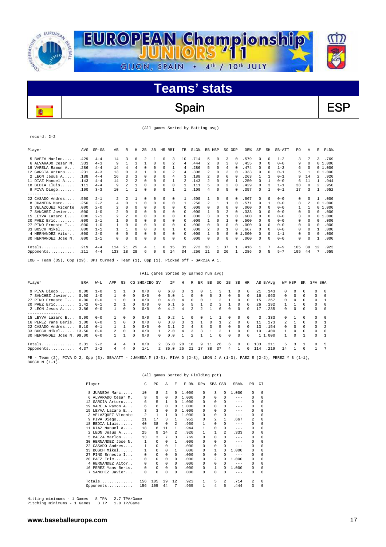

# Spain | ESP

(All games Sorted by Batting avg)

record: 2-2

ō

 $\overline{a}$ 

| Player                                                                                                                                                                                                                                                                                         | AVG   | $GP - GS$ | AB                       | R                       | Η        | 2B             | 3B | HR RBI       |              | TB       | SLG <sup>§</sup> | BB HBP         |              | SO GDP |          | OB%        | SF         | SH       | SB-ATT  | PO. | Α        | Е  | FLD%   |
|------------------------------------------------------------------------------------------------------------------------------------------------------------------------------------------------------------------------------------------------------------------------------------------------|-------|-----------|--------------------------|-------------------------|----------|----------------|----|--------------|--------------|----------|------------------|----------------|--------------|--------|----------|------------|------------|----------|---------|-----|----------|----|--------|
| 5 BAEZA Marlon                                                                                                                                                                                                                                                                                 | .429  | $4 - 4$   | 14                       | 3                       | 6        | $\mathfrak{D}$ |    | $\Omega$     | 3            | 10       | .714             | 5.             | $\Omega$     | 3      | $\Omega$ | .579       | $\Omega$   | $\Omega$ | $1 - 2$ | 3   |          | 3  | .769   |
| 6 ALVARADO Cesar M.                                                                                                                                                                                                                                                                            | .333  | $4 - 3$   | 9                        |                         | 3        |                | 0  | $\Omega$     | 2            | 4        | .444             | 2              | $\Omega$     | 3      |          | .455       | $\Omega$   | $\Omega$ | $0 - 0$ | 9   | $\Omega$ |    | 01.000 |
| 19 VARELA Ramon A                                                                                                                                                                                                                                                                              | .286  | $4 - 4$   | 14                       | 4                       | 4        | $\Omega$       | 0  | $\Omega$     |              | 4        | .286             | 5              | $\Omega$     | 4      | 0        | .474       | 0          | $\Omega$ | $1 - 2$ | 6   | 0        |    | 01.000 |
| 12 GARCIA Arturo                                                                                                                                                                                                                                                                               | .231  | $4 - 3$   | 13                       | 0                       |          |                |    | <sup>n</sup> |              | 4        | .308             | 2              | $\Omega$     |        |          | .333       | 0          | $\Omega$ | $0 - 1$ | 5   |          |    | 01.000 |
| 2 LEON Jesus A                                                                                                                                                                                                                                                                                 | .188  | $4 - 4$   | 16                       | κ                       |          | $\Omega$       | 0  | 0            | 4            | 3        | .188             | 2              | $\Omega$     | 6      |          | .263       |            |          | $0 - 1$ | 9   | 14       | 2  | .920   |
| 11 DIAZ Manuel A                                                                                                                                                                                                                                                                               | .143  | $4 - 4$   | 14                       | $\overline{\mathbf{c}}$ | 2        | 0              | 0  | 0            |              | 2        | .143             | 2              | $\Omega$     | 6      |          | .250       | $^{\circ}$ |          | $0 - 0$ | 6   | 11       |    | .944   |
| 18 BEDIA Lluis                                                                                                                                                                                                                                                                                 | .111  | $4 - 4$   | 9                        | $\mathfrak{D}$          |          | $\Omega$       | 0  | 0            | 0            |          | .111             | 5              | 0            | 2      |          | .429       | 0          | 3        | $1 - 1$ | 38  | $\Omega$ | 2. | .950   |
| 9 PIVA Diego                                                                                                                                                                                                                                                                                   | .100  | $3 - 3$   | 10                       |                         |          | $\Omega$       | 0  | 0            |              |          | .100             | 4              | 0            | 5      |          | .357       | $\Omega$   |          | $0 - 1$ | 17  | 3        |    | .952   |
| -------------                                                                                                                                                                                                                                                                                  |       |           |                          |                         |          |                |    |              |              |          |                  |                |              |        |          |            |            |          |         |     |          |    |        |
| 22 CASADO Andres                                                                                                                                                                                                                                                                               | .500  | $2 - 1$   | 2.                       | $\mathfrak{D}$          |          | $\Omega$       | 0  | $\Omega$     | 0            |          | .500             |                | $\Omega$     | 0      | 0        | .667       | 0          | $\Omega$ | $0 - 0$ | 0   |          |    | .000   |
| 8 JUANEDA Marc                                                                                                                                                                                                                                                                                 | .250  | $2 - 2$   | 4                        | $\Omega$                |          | $\Omega$       | 0  | $\Omega$     | 0            |          | .250             | $\mathfrak{D}$ |              |        |          | .571       | $\Omega$   |          | $0 - 0$ | 8   | 2        |    | 01.000 |
| 3 VELAZQUEZ Vicente                                                                                                                                                                                                                                                                            | .000  | $2 - 0$   |                          | 0                       | 0        | $\Omega$       | 0  | 0            | 0            | 0        | . 000            | 0              | $\Omega$     | 0      |          | .000       | $^{\circ}$ | $\Omega$ | $0 - 0$ |     |          |    | 01.000 |
| 7 SANCHEZ Javier                                                                                                                                                                                                                                                                               | .000  | $1 - 0$   | $\overline{\mathcal{L}}$ | 0                       | $\Omega$ | 0              | 0  | 0            | 0            | 0        | . 000            |                | 0            |        |          | . 333      | $\Omega$   | $\Omega$ | $0 - 0$ | 0   |          | U  | .000   |
| 15 LEYVA Lazaro E                                                                                                                                                                                                                                                                              | . 000 | $2 - 1$   | 2                        | 2                       | 0        | $\Omega$       | 0  | $\Omega$     | 0            | $\Omega$ | .000             | 3              | $\Omega$     |        |          | .600       | 0          | $\Omega$ | $0 - 0$ | 3   | $\Omega$ | 0  | 1,000  |
| 20 PAEZ Eric                                                                                                                                                                                                                                                                                   | . 000 | $2 - 1$   |                          | 0                       | U        |                | U  | 0            | 0            | 0        | .000             |                | <sup>n</sup> |        |          | .500       |            | $\Omega$ | $0 - 0$ | 0   |          |    | .000   |
| 27 PINO Ernesto I                                                                                                                                                                                                                                                                              | .000  | $1 - 0$   |                          | n                       | U        |                |    | <sup>n</sup> | <sup>n</sup> | n        | . 000            | 0              |              |        |          | .000       |            | $\Omega$ | $0 - 0$ | 0   | 0        |    | .000   |
| 33 BOSCH Mikel                                                                                                                                                                                                                                                                                 | .000  | $1 - 1$   |                          |                         | 0        | $\Omega$       | 0  | $\Omega$     |              | 0        | .000             | 2              | $\Omega$     |        |          | .667       | $^{\circ}$ | 0        | $0 - 0$ | 0   | 0        |    | .000   |
| 4 HERNANDEZ Aitor.                                                                                                                                                                                                                                                                             | .000  | $2 - 0$   | 0                        | n                       | 0        |                | U  | 0            | 0            | $\Omega$ | .000             |                | $\Omega$     | 0      | 0        | .000<br>-1 | 0          | $\Omega$ | $1 - 1$ | 0   | 0        | 0  | .000   |
| 30 HERNANDEZ Jose N.                                                                                                                                                                                                                                                                           | .000  | $1 - 1$   | 0                        | $\Omega$                | 0        |                | U  | $\Omega$     | 0            | 0        | .000             | 0              | $\Omega$     | U      |          | .000       | $\Omega$   | $\Omega$ | $0 - 0$ | 0   | U        |    | .000   |
| $Totals$                                                                                                                                                                                                                                                                                       | .219  | $4 - 4$   | 114                      | 21                      | 25       | 4              |    | <sup>n</sup> | 15           | 31       | .272             | 38             |              | 37     |          | .416       |            |          | $4 - 9$ | 105 | 39       | 12 | .923   |
| Opponents                                                                                                                                                                                                                                                                                      | .211  | $4 - 4$   | 133                      | 18                      | 28       | 6              | 0  | 0            | 14           | 34       | .256             | 11             | 3            | 26     |          | .286       | $\Omega$   | 5        | $5 - 7$ | 105 | 44       |    | .955   |
| $\tau$ on $\tau$ , $\tau$ , $\tau$ , $\tau$ , $\tau$ , $\tau$ , $\tau$ , $\tau$ , $\tau$ , $\tau$ , $\tau$ , $\tau$ , $\tau$ , $\tau$ , $\tau$ , $\tau$ , $\tau$ , $\tau$ , $\tau$ , $\tau$ , $\tau$ , $\tau$ , $\tau$ , $\tau$ , $\tau$ , $\tau$ , $\tau$ , $\tau$ , $\tau$ , $\tau$ , $\tau$ |       |           |                          |                         |          |                |    |              |              |          |                  |                |              |        |          |            |            |          |         |     |          |    |        |

- Team (35), Opp (29). DPs turned - Team  $(1)$ , Opp  $(1)$ . Picked off - GARCIA A 1.

|                            |      |         |              |          |          | (All games Sorted by Earned run avg) |          |         |    |          |               |          |    |              |              |            |     |          |               |            |          |              |                |
|----------------------------|------|---------|--------------|----------|----------|--------------------------------------|----------|---------|----|----------|---------------|----------|----|--------------|--------------|------------|-----|----------|---------------|------------|----------|--------------|----------------|
| Player                     | ERA  | $W-L$   | APP          | GS       |          | CG SHO/CBO SV                        |          | ΙP      | Η  | R        | ER.           | BB       | SO | 2B           | 3B           | HR         |     | AB B/Avq | WP HBP        |            | BK.      | SFA SHA      |                |
| 9 PIVA Diego               | 0.00 | $1 - 0$ |              |          | $\Omega$ | 0/0                                  | $\Omega$ | 6.0     | 3. |          | $\Omega$      |          |    |              |              | $\Omega$   | 21  | .143     | $\Omega$      | $^{\circ}$ | $\Omega$ | 0            | $\Omega$       |
| 7 SANCHEZ Javier           | 0.00 | $1 - 0$ |              | $\Omega$ | $\Omega$ | 0/0                                  | $\Omega$ | 5.0     |    | $\Omega$ | 0             | 0        |    | $\Omega$     | $\Omega$     | $\Omega$   | 16  | .063     | $\Omega$      | $\Omega$   | $\Omega$ | 0            | $\Omega$       |
| 27 PINO Ernesto I          | 0.00 | $0 - 0$ |              | $\Omega$ | $\Omega$ | 0/0                                  | $\Omega$ | 4.0     | 4  |          |               |          |    |              |              | $\Omega$   | 15  | .267     | 0             | $\Omega$   | $\Omega$ | 0            |                |
| $20$ PAEZ Eric             | 1.42 | $0 - 1$ | $\mathbf{2}$ |          | $\Omega$ | 0/0                                  | $\Omega$ | 6.1     |    |          |               |          |    |              |              | $\Omega$   | 26  | .192     |               |            | $\Omega$ | 0            | $\Omega$       |
| 2 LEON Jesus A             | 3.86 | $0 - 0$ |              | 0        | $\Omega$ | 0/0                                  | $\cap$   | 4.2     | 4  |          | $\mathcal{L}$ |          |    | <sup>n</sup> | $\cap$       | $\Omega$   | 17  | .235     | 0             | $\Omega$   | $\Omega$ | $\mathbf{0}$ | $\Omega$       |
|                            |      |         |              |          |          |                                      |          |         |    |          |               |          |    |              |              |            |     |          |               |            |          |              |                |
| 15 LEYVA Lazaro E          | 0.00 | $0 - 0$ |              | $\Omega$ | $\Omega$ | 0/0                                  |          | 0.2     |    | 0        | $^{\circ}$    |          |    | 0            | $\Omega$     | $\Omega$   | 3   | .333     | 0             |            | $\Omega$ | 0            | - 0            |
| 16 PEREZ Yans Beris.       | 3.00 | $0 - 0$ |              | $\Omega$ | 0        | 0/0                                  | $\cap$   | 3.0     |    |          |               | $\Omega$ |    | 2.           | $\Omega$     | $\Omega$   | 11  | .273     | $\mathcal{L}$ |            | $\Omega$ | 0            |                |
| 22 CASADO Andres           | 8.10 | $0 - 1$ |              |          | $\Omega$ | 0/0                                  | $\cap$   | 3.1     |    |          |               |          |    | $\Omega$     | $\Omega$     | $\Omega$   | 13  | .154     | 0             | $\Omega$   | $\Omega$ | $\Omega$     | $\overline{2}$ |
| 33 BOSCH Mikel 13.50       |      | $0 - 0$ | $\mathbf{2}$ | 0        | $\Omega$ | 0/0                                  |          | 2.0     |    |          |               |          |    |              |              | $^{\circ}$ | 10  | .400     |               | 0          | $\Omega$ | 0            | $\Omega$       |
| 30 HERNANDEZ Jose N. 99.00 |      | $0 - 0$ |              |          | 0        | 0/0                                  | $\cap$   | 0.0     |    |          |               |          |    | 0            | <sup>n</sup> | $\Omega$   |     | 1 1.000  |               | $\Omega$   |          | $\Omega$     |                |
|                            |      |         |              |          |          |                                      |          |         |    |          |               |          |    |              |              |            |     |          |               |            |          |              |                |
| Totals                     | 2.31 | $2 - 2$ | 4            | 4        | 0        | 0/0                                  |          | 2 35.0  | 28 | 18       | 9             | 11       | 26 | 6            | $\Omega$     | $^{\circ}$ | 133 | .211     | 5.            | 3          |          | $\Omega$     |                |
| Opponents 4.37             |      | $2 - 2$ | 4            | 4        | 0        | 1/1                                  |          | 2, 35.0 | 25 | 21       |               | 38       | 37 | 4            |              | $\Omega$   | 114 | 219      | 14            |            | $\Omega$ |              |                |
|                            |      |         |              |          |          |                                      |          |         |    |          |               |          |    |              |              |            |     |          |               |            |          |              |                |

PB - Team (2), PIVA D 2, Opp (3). SBA/ATT - JUANEDA M (3-3), PIVA D (2-3), LEON J A (1-3), PAEZ E (2-2), PEREZ Y B (1-1),<br>BOSCH M (1-1).

|                      |                |                |          |          | (All games Sorted by Fielding pct) |              |                |                |         |                |          |
|----------------------|----------------|----------------|----------|----------|------------------------------------|--------------|----------------|----------------|---------|----------------|----------|
| Player               | C              | P <sub>0</sub> | A        | E.       | FLD%                               | DPs          | SBA CSB        |                | SBA%    | PB             | CI       |
| JUANEDA Marc<br>8    | 10             | 8              | 2        | 0        | 1,000                              | 0            | 3              | $\Omega$       | 1,000   | 0              | $\Omega$ |
| 6 ALVARADO Cesar M.  | 9              | 9              | $\Omega$ | 0        | 1,000                              | 0            | 0              | 0              | $-- -$  | $\Omega$       | $\Omega$ |
| GARCIA Arturo<br>12. | 6              | 5              | 1        | 0        | 1,000                              | 0            | <sup>n</sup>   | 0              | $- - -$ | 0              | $\Omega$ |
| 19 VARELA Ramon A    | 6              | 6              | $\Omega$ | $\Omega$ | 1,000                              | <sup>n</sup> | <sup>n</sup>   | 0              | $- - -$ | $\Omega$       | $\Omega$ |
| 15 LEYVA Lazaro E    | 3              | 3              | 0        | $\Omega$ | 1,000                              | 0            | 0              | 0              | $- - -$ | $\Omega$       | 0        |
| 3 VELAZQUEZ Vicente  | $\mathfrak{D}$ | 1              | 1        | 0        | 1.000                              | 0            | 0              | 0              | $- - -$ | 0              | $\Omega$ |
| 9 PIVA Diego         | 21             | 17             | 3        | 1.       | .952                               | $\Omega$     | $\mathfrak{D}$ | 1              | .667    | $\mathfrak{D}$ | $\Omega$ |
| 18 BEDIA Lluis       | 40             | 38             | $\Omega$ | 2        | .950                               | 1            | 0              | 0              | $- - -$ | $\Omega$       | $\Omega$ |
| DIAZ Manuel A        | 18             | 6              | 11       | 1.       | .944                               | 1            | 0              | 0              | $--$    | $\Omega$       | $\Omega$ |
| 2 LEON Jesus A       | 25             | 9              | 14       | 2        | .920                               | 1            | 1              | $\mathfrak{D}$ | .333    | $\Omega$       | $\Omega$ |
| 5 BAEZA Marlon       | 13             | 3              | 7        | 3        | .769                               | <sup>n</sup> | <sup>n</sup>   | 0              | $-- -$  | $\Omega$       | $\Omega$ |
| 30 HERNANDEZ Jose N. | 1              | 0              | $\Omega$ | 1        | .000                               | 0            | 0              | 0              | $- - -$ | $\Omega$       | $\Omega$ |
| 22 CASADO Andres     | 1              | 0              | $\Omega$ | 1        | .000                               | 0            | 0              | 0              | $- - -$ | 0              | $\Omega$ |
| 33 BOSCH Mikel       | 1              | $\Omega$       | $\Omega$ | 1        | .000                               | n            |                |                | 1,000   | $\Omega$       | $\Omega$ |
| 27 PINO Ernesto I    | 0              | 0              | $\Omega$ | 0        | .000                               | 0            | 0              | 0              | $- - -$ | $\Omega$       | $\Omega$ |
| 20 PAEZ Eric         | 0              | 0              | $\Omega$ | 0        | .000                               | 0            | $\mathfrak{D}$ | 0              | 1,000   | 0              | $\Omega$ |
| 4 HERNANDEZ Aitor    | 0              | 0              | $\Omega$ | $\Omega$ | .000                               | 0            | 0              | 0              | $-- -$  | $\Omega$       | $\Omega$ |
| 16 PEREZ Yans Beris. | 0              | 0              | $\Omega$ | $\Omega$ | .000                               | 0            | 1              | <sup>0</sup>   | 1,000   | $\Omega$       | $\Omega$ |
| SANCHEZ Javier<br>7  | 0              | 0              | $\Omega$ | $\Omega$ | .000                               | 0            | 0              | 0              | $- - -$ | $\Omega$       | $\Omega$ |
|                      | 156            | 105            | 39       | 12       | .923                               | 1            | 5              | 2              | .714    | $\mathfrak{D}$ | $\Omega$ |
| Opponents            | 156            | 105            | 44       | 7        | .955                               | 1            | 4              | 5              | .444    | 3              | 0        |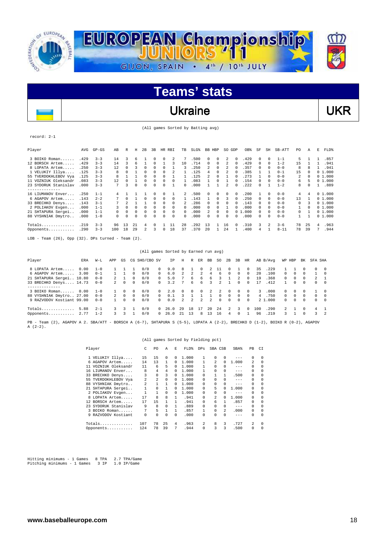

### Ukraine VKR

(All games Sorted by Batting avg)

record: 2-1

 $\overline{\phantom{a}}$ 

| Player               | AVG  | $GP - GS$ | AB       | R            | н      | 2B             | 3B       | HR.      | RBI          | TB       | SLG <sup>§</sup> | BB. | HBP      | SO GDP         |                | OB%  | SF       | SH       | SB-ATT   | PO.          | Α  | E | FLD%   |
|----------------------|------|-----------|----------|--------------|--------|----------------|----------|----------|--------------|----------|------------------|-----|----------|----------------|----------------|------|----------|----------|----------|--------------|----|---|--------|
| 3 BOIKO Roman        | .429 | $3 - 3$   | 14       | 3            | 6      |                | 0        | 0        | 2            | 7        | .500             | 0   | $\Omega$ | 2              | $^{\circ}$     | .429 | 0        | $\Omega$ | $1 - 1$  | 5            |    |   | .857   |
| 12 BORSCH Artem      | .429 | $3 - 3$   | 14       | 3            | 6      |                | $\Omega$ |          |              | 10       | .714             | 0   | $\Omega$ | 2              | $\Omega$       | .429 | $\Omega$ | $\Omega$ | $1 - 2$  | 15           |    |   | .941   |
| 8 LOPATA Artem       | .250 | $3 - 3$   | 12       |              |        |                |          |          |              | κ        | .250             | 2   | $\Omega$ | 2              |                | .357 | 0        | $\Omega$ | $0 - 0$  | 8            | я  |   | .941   |
| 1 VELUKIY Illya      | .125 | $3 - 3$   | 8        |              |        | $\Omega$       | 0        | $\Omega$ | 2            |          | .125             | 4   | $\Omega$ | 2              |                | .385 |          |          | $0 - 1$  | 15           | 0  |   | 01.000 |
| 55 TVERDOKHLEBOV Vya | .125 | $3 - 3$   |          |              |        | $\Omega$       |          | 0        |              |          | .125             | 2   |          |                |                | .273 |          | $\Omega$ | $0 - 0$  | 2            | 0  |   | 01.000 |
| 11 VOZNIUK Oleksandr | .083 | $3 - 3$   | 12.      | <sup>n</sup> |        | $\Omega$       | U        | $\Omega$ | <sup>n</sup> |          | .083             |     | $\Omega$ |                |                | .154 |          | $\Omega$ | $0 - 0$  | 6.           |    |   | 01.000 |
| 23 SYDORUK Stanislav | .000 | $3 - 3$   | 7        |              |        | $\Omega$       | U        | 0        |              | 0        | .000             |     |          | $\mathfrak{D}$ |                | .222 | 0        |          | $1 - 2$  | 8            |    |   | .889   |
| -------------        |      |           |          |              |        |                |          |          |              |          |                  |     |          |                |                |      |          |          |          |              |    |   |        |
| 16 LIUMANOV Enver    | .250 | $1 - 1$   |          |              |        |                |          | 0        |              | 2        | .500             | 0   | $\Omega$ | 0              | $\Omega$       | .200 |          | $\Omega$ | $0 - 0$  | 4            | 4  |   | 01.000 |
| 6 AGAPOV Artem       | .143 | $2 - 2$   |          |              |        | $\Omega$       | 0        | $\Omega$ | 0            |          | .143             |     | $\cap$   | κ              | $\Omega$       | .250 | $\Omega$ | $\Omega$ | $0 - 0$  | 13           |    |   | 01.000 |
| 33 BRECHKO Denys     | .143 | $3 - 1$   |          |              |        |                | 0        | $\Omega$ | 0            | 2        | 286              | 0   | $\Omega$ | 0              |                | .143 | $\Omega$ | $\Omega$ | $0 - 0$  | 0            |    |   | 01.000 |
| 2 POLIAKOV Evgen     | .000 | $1 - 1$   | Κ        |              |        | $\Omega$       | 0        | $\Omega$ | 0            | 0        | .000             | 0   | $\Omega$ |                |                | .000 | $\Omega$ | $\Omega$ | $0 - 0$  | 1.           | 0  |   | 01.000 |
| 21 SHTAPURA Sergei   | .000 | $1 - 1$   | $\Omega$ | $\Omega$     | 0      | $\Omega$       | 0        | $\Omega$ | $\Omega$     | $\Omega$ | .000             | 2   | $\Omega$ | 0              | 0 <sub>1</sub> | .000 | $\Omega$ | $\Omega$ | $0 - 0$  | $\Omega$     |    |   | 01.000 |
| 88 VYSHNIAK Dmytro   | .000 | $1 - 0$   | 0        | $\Omega$     | 0      | $\Omega$       | 0        | 0        | 0            | 0        | .000             | U   | $\Omega$ | 0              |                | .000 | 0        | $\Omega$ | $0 - 0$  | $\mathbf{1}$ |    |   | 01.000 |
| $Totals$             | .219 | $3 - 3$   | 96       | 13           | 21     | $\overline{4}$ |          |          | 11           | 28       | . 292            | 13  |          | 16             |                | .310 | ર        | 2        | $3 - 6$  | 78           | 25 | 4 | .963   |
| Opponents            | .290 | $3 - 3$   | 100      | 18           | 29     |                | ς        | $\Omega$ | 18           | 37       | .370             | 2.0 |          | 2.4            |                | .400 | 4        |          | $8 - 11$ | 78           | 39 | 7 | .944   |
|                      |      |           |          |              | $\sim$ |                |          |          |              |          |                  |     |          |                |                |      |          |          |          |              |    |   |        |

LOB - Team (26), Opp (32). DPs turned - Team (2).

|                                                                                                                                                   |      |         |               |          |            | (All games Sorted by Earned run avg) |          |         |          |                |                |     |               |              |            |          |                |           |                |          |          |               |          |
|---------------------------------------------------------------------------------------------------------------------------------------------------|------|---------|---------------|----------|------------|--------------------------------------|----------|---------|----------|----------------|----------------|-----|---------------|--------------|------------|----------|----------------|-----------|----------------|----------|----------|---------------|----------|
| Player                                                                                                                                            | ERA  | W-L     | APP           | GS       |            | CG SHO/CBO SV                        |          | TP      | Н        | R              | ER             | BB  | SO.           | 2B           | 3B         | HR       |                | AB B/Avq  |                | WP HBP   | BK       | SFA SHA       |          |
| 8 LOPATA Artem                                                                                                                                    | 0.00 | $1 - 0$ |               |          |            | 0/0                                  | $\Omega$ | 9.0     | R        |                | 0              | 2   |               | 0            |            | $\Omega$ | 35             | .229      |                |          |          | $\Omega$      | $\Omega$ |
| 6 AGAPOV Artem                                                                                                                                    | 3.00 | $0 - 1$ |               |          | $^{\circ}$ | 0/0                                  | $\Omega$ | 6.0     | 2.       | $\overline{2}$ | $\mathfrak{D}$ | 4   | 6             | $\Omega$     | $^{\circ}$ | $\Omega$ | 20             | .100      | $\Omega$       | 0        | 0        |               | $\Omega$ |
| 21 SHTAPURA Sergei 10.80                                                                                                                          |      | $0 - 0$ |               |          | $^{\circ}$ | 0/0                                  | $\Omega$ | 5.0     |          | 6.             | 6              | 6   | 3             |              | 2          | $\Omega$ | 19             | .368      | $\Omega$       | 0        | 0        | $\mathcal{L}$ |          |
| 33 BRECHKO Denys 14.73                                                                                                                            |      | $0 - 0$ | $2^{\circ}$   | $\Omega$ | $\Omega$   | 0/0                                  | $\Omega$ | 3.2     |          | б.             | 6              | ર   |               |              | $\Omega$   | 0        | 17             | .412      |                | 0        | $\Omega$ | $\Omega$      | $\Omega$ |
| --------------                                                                                                                                    |      |         |               |          |            |                                      |          |         |          |                |                |     |               |              |            |          |                |           |                |          |          |               |          |
| 3 BOIKO Roman 0.00                                                                                                                                |      | $1 - 0$ |               | 0        | $\Omega$   | 0/0                                  | $\Omega$ | 2.0     | $\Omega$ | $\Omega$       | 0              | 2.  | $\mathcal{L}$ | $\Omega$     | $^{\circ}$ | $\Omega$ | 3              | .000      | $\Omega$       | $\Omega$ | 0        |               | $\Omega$ |
| 88 VYSHNIAK Dmytro 27.00                                                                                                                          |      | $0 - 0$ | $2^{\circ}$   | $\Omega$ | $\Omega$   | 0/0                                  | $\Omega$ | 0.1     | २        |                |                |     | $\Omega$      | $\mathbf{r}$ | $\cap$     | $\Omega$ | $\overline{4}$ | .750      | $\Omega$       | $\Omega$ | $\Omega$ | $\Omega$      | $\Omega$ |
| 9 RAZVODOV Kostiant 99.00                                                                                                                         |      | $0 - 0$ |               | 0        | $\Omega$   | 0/0                                  | $\Omega$ | 0.0     | 2.       | $\mathbf{2}$   | 2              | 2   | $\Omega$      | $\cap$       | $\Omega$   | $\Omega$ |                | 2, 1, 000 | $\Omega$       | $\Omega$ | $\Omega$ | $\Omega$      | $\Omega$ |
| Totals                                                                                                                                            | 5.88 | $2 - 1$ | $\mathcal{R}$ | 3        |            | 0/0                                  | $\Omega$ | 26.0    | 29       | 18             | 17             | 2.0 | 2.4           | $2^{\circ}$  | 3          | $\Omega$ | 100            | .290      | $\overline{2}$ |          | $\Omega$ | 4             |          |
| Opponents                                                                                                                                         | 2.77 | $1 - 2$ | 3             | 3        |            | 0/0                                  |          | 0, 26.0 | 21       | 13             | R              | 13  | 16            | 4            | $\Omega$   |          | 96             | .219      | 3.             |          | $\Omega$ | 3             | 2        |
| Team (2), AGAPOV A 2. SBA/ATT - BORSCH A (6-7), SHTAPURA S (5-5), LOPATA A (2-2), BRECHKO D (1-2), BOIKO R (0-2), AGAPOV<br>$PB -$<br>$A (2-2)$ . |      |         |               |          |            |                                      |          |         |          |                |                |     |               |              |            |          |                |           |                |          |          |               |          |

#### (All games Sorted by Fielding pct)

| Player |                     | С   | PO. | Α        | Е        | FLD%  | <b>DPs</b> | SBA CSB |   | SBA%    | PB       | CI       |
|--------|---------------------|-----|-----|----------|----------|-------|------------|---------|---|---------|----------|----------|
|        | 1 VELUKIY Illya     | 15  | 15  | 0        | 0        | 1,000 | 1          | 0       | 0 | $- - -$ | $\Omega$ | $\Omega$ |
|        | 6 AGAPOV Artem      | 14  | 13  | 1        | 0        | 1,000 |            | 2       | 0 | 1,000   | 2        | 0        |
| 11.    | VOZNIUK Oleksandr   | 11  | 6   | 5        | 0        | 1,000 |            | 0       | 0 | $- - -$ | 0        | 0        |
|        | 16 LIUMANOV Enver   | 8   | 4   | 4        | 0        | 1,000 |            | 0       | 0 | $- - -$ | 0        | 0        |
|        | 33 BRECHKO Denys    | 3   | 0   | 3        | 0        | 1,000 | 0          |         |   | .500    | 0        | 0        |
| 55.    | TVERDOKHLEBOV Vya   | 2   | 2   | 0        | 0        | 1,000 | 0          | 0       | 0 | $- - -$ | $\Omega$ | 0        |
| 88.    | VYSHNIAK Dmytro     | 2   | 1   |          | 0        | 1,000 | 0          | 0       | 0 | $- - -$ | $\Omega$ | 0        |
|        | 21 SHTAPURA Sergei  |     | 0   |          | 0        | 1,000 | 0          | 5       | 0 | 1.000   | $\Omega$ | 0        |
|        | 2 POLIAKOV Evgen    |     |     | 0        | 0        | 1,000 | 0          | 0       | 0 | $- - -$ | $\Omega$ | 0        |
|        | 8 LOPATA Artem      | 17  | 8   | 8        |          | .941  | 0          | 2       | 0 | 1.000   | $\Omega$ | 0        |
| 12.    | BORSCH Artem        | 17  | 15  |          |          | .941  | 0          | 6       |   | .857    | 0        | 0        |
| 23     | SYDORUK Stanislav   | 9   | 8   | $\Omega$ | 1        | .889  | 0          | 0       | 0 | $- - -$ | $\Omega$ | $\Omega$ |
| 3.     | BOIKO Roman         | 7   | 5.  | 1        |          | .857  |            | 0       | 2 | .000    | 0        | 0        |
|        | 9 RAZVODOV Kostiant | 0   | 0   | $\Omega$ | $\Omega$ | .000  | 0          | 0       | 0 | $- - -$ | $\Omega$ | $\Omega$ |
|        |                     | 107 | 78  | 25       | 4        | .963  | 2          | 8       | 3 | .727    | 2        | 0        |
|        | Opponents           | 124 | 78  | 39       | 7        | .944  | 0          |         | 3 | .500    | 0        | 0        |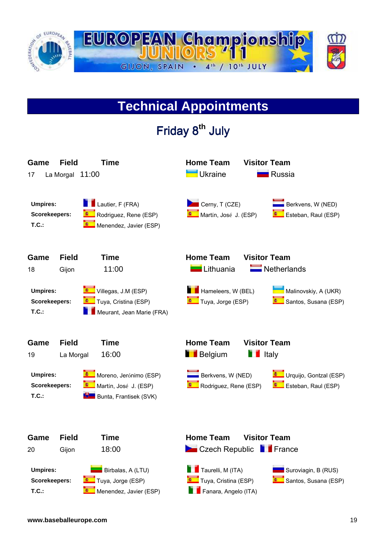

### **Technical Appointments**

Friday8**th** July **Game Field Time Home Team Visitor Team**  17 La Morgal 11:00 **Products** Ukraine Russia **Umpires: Lautier, F (FRA)** Cerny, T (CZE) **CERN** Berkvens, W (NED) **Scorekeepers: R**odriguez, Rene (ESP) **Rodriguez, Rene (ESP)** Martín, José J. (ESP) **Rodrigues** Esteban, Raul (ESP) **T.C.: T.C.: I.C.: I.C.: I.C.: I.C.: I.C.: I.C.: I.C.: I.C.: I.C.: I.C.: I.C.: I.C.: I.C.: I.C.: I.C.: I.C.: I.C.: I.C.: I.C.: I.C.: I.C.: I.C.: I.C.: I.C.: I.C.: I.C.: Game Field Time Home Team Visitor Team**  18 Gijon 11:00 Lithuania Netherlands **Umpires: Villegas, J.M (ESP) Hameleers, W (BEL)** Malinovskiy, A (UKR) **Scorekeepers: Tuya, Cristina (ESP)** Tuya, Jorge (ESP) **Tuya, Jorge (ESP)** Santos, Susana (ESP) **T.C.: Neurant, Jean Marie (FRA) Game Field Time Came Team Visitor Team** 19 La Morgal 16:00 **Belgium** Italy **Umpires: Moreno, Jerónimo (ESP)** Berkvens, W (NED) **Bullet Contains** Urquijo, Gontzal (ESP) **Scorekeepers: Constanting Martion**, José J. (ESP) **Constanting Constanting Constanting Constanting Constanting Constanting Constanting Constanting Constanting Constanting Constanting Constanting Constanting Constanting T.C.: Bunta, Frantisek (SVK) Game Field Time Home Team Visitor Team**  20 Gijon 18:00 **Czech Republic France Umpires: Birbalas, A (LTU) Birbalas, A (LTU)** Taurelli, M (ITA) **Suroviagin, B (RUS) Scorekeepers: Tuya, Jorge (ESP)** Tuya, Tuya, Cristina (ESP) **Tuya, Cristina (ESP)** Santos, Susana (ESP) **T.C.: Menendez, Javier (ESP) Fanara, Angelo (ITA) Fanara**, Angelo (ITA)